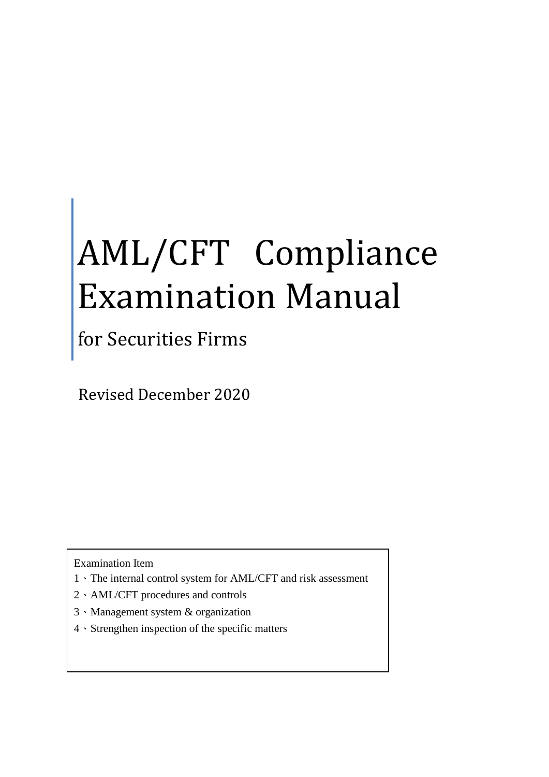## AML/CFT Compliance Examination Manual

for Securities Firms

Revised December 2020

Examination Item

- 1、The internal control system for AML/CFT and risk assessment
- 2、AML/CFT procedures and controls
- 3、Management system & organization
- 4、Strengthen inspection of the specific matters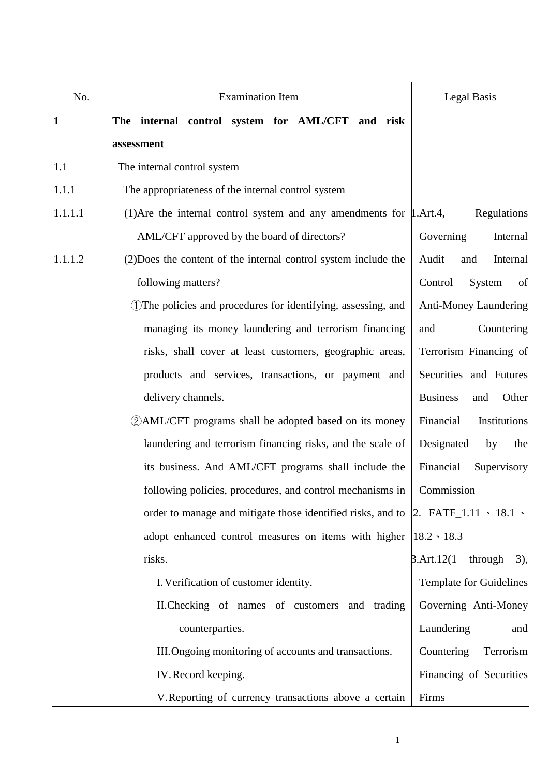| No.          | <b>Examination Item</b>                                                                                                                                                                                                           | Legal Basis                      |
|--------------|-----------------------------------------------------------------------------------------------------------------------------------------------------------------------------------------------------------------------------------|----------------------------------|
| $\mathbf{1}$ | The internal control system for AML/CFT and risk                                                                                                                                                                                  |                                  |
|              | assessment                                                                                                                                                                                                                        |                                  |
| 1.1          | The internal control system                                                                                                                                                                                                       |                                  |
| 1.1.1        | The appropriateness of the internal control system                                                                                                                                                                                |                                  |
| 1.1.1.1      | (1) Are the internal control system and any amendments for $\mu$ . Art. 4,                                                                                                                                                        | <b>Regulations</b>               |
|              | AML/CFT approved by the board of directors?                                                                                                                                                                                       | Governing<br>Internal            |
| 1.1.1.2      | (2) Does the content of the internal control system include the                                                                                                                                                                   | Audit<br>Internal<br>and         |
|              | following matters?                                                                                                                                                                                                                | Control<br>System<br>of          |
|              | (1) The policies and procedures for identifying, assessing, and                                                                                                                                                                   | Anti-Money Laundering            |
|              | managing its money laundering and terrorism financing                                                                                                                                                                             | Countering<br>and                |
|              | risks, shall cover at least customers, geographic areas,                                                                                                                                                                          | Terrorism Financing of           |
|              | products and services, transactions, or payment and                                                                                                                                                                               | Securities and Futures           |
|              | delivery channels.                                                                                                                                                                                                                | <b>Business</b><br>Other<br>and  |
|              | <b>2 AML/CFT</b> programs shall be adopted based on its money                                                                                                                                                                     | Institutions<br>Financial        |
|              | laundering and terrorism financing risks, and the scale of                                                                                                                                                                        | Designated<br>by<br>the          |
|              | its business. And AML/CFT programs shall include the                                                                                                                                                                              | Financial<br>Supervisory         |
|              | following policies, procedures, and control mechanisms in                                                                                                                                                                         | Commission                       |
|              | order to manage and mitigate those identified risks, and to $\vert$ 2. FATF_1.11 \cdot 18.1 \cdot \cdot \cdot \cdot \cdot \cdot \cdot \cdot \cdot \cdot \cdot \cdot \cdot \cdot \cdot \cdot \cdot \cdot \cdot \cdot \cdot \cdot \ |                                  |
|              | adopt enhanced control measures on items with higher $ 18.2 \cdot 18.3 \cdot$                                                                                                                                                     |                                  |
|              | risks.                                                                                                                                                                                                                            | 3.Art.12(1)<br>through<br>$3)$ , |
|              | I. Verification of customer identity.                                                                                                                                                                                             | Template for Guidelines          |
|              | II. Checking of names of customers and trading                                                                                                                                                                                    | Governing Anti-Money             |
|              | counterparties.                                                                                                                                                                                                                   | Laundering<br>and                |
|              | III. Ongoing monitoring of accounts and transactions.                                                                                                                                                                             | Countering<br>Terrorism          |
|              | IV. Record keeping.                                                                                                                                                                                                               | Financing of Securities          |
|              | V. Reporting of currency transactions above a certain                                                                                                                                                                             | Firms                            |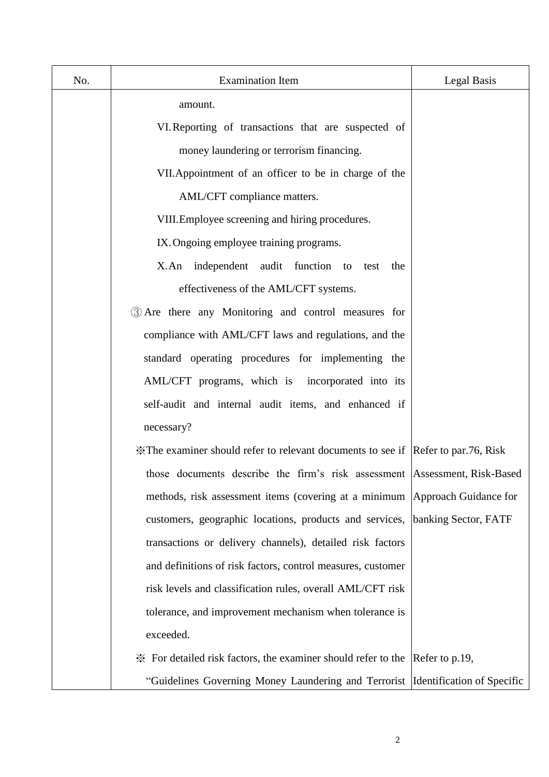| No. | <b>Examination Item</b>                                                           | Legal Basis          |
|-----|-----------------------------------------------------------------------------------|----------------------|
|     | amount.                                                                           |                      |
|     | VI. Reporting of transactions that are suspected of                               |                      |
|     | money laundering or terrorism financing.                                          |                      |
|     | VII. Appointment of an officer to be in charge of the                             |                      |
|     | AML/CFT compliance matters.                                                       |                      |
|     | VIII. Employee screening and hiring procedures.                                   |                      |
|     | IX. Ongoing employee training programs.                                           |                      |
|     | X.An independent audit function to<br>the<br>test                                 |                      |
|     | effectiveness of the AML/CFT systems.                                             |                      |
|     | 3 Are there any Monitoring and control measures for                               |                      |
|     | compliance with AML/CFT laws and regulations, and the                             |                      |
|     | standard operating procedures for implementing the                                |                      |
|     | AML/CFT programs, which is incorporated into its                                  |                      |
|     | self-audit and internal audit items, and enhanced if                              |                      |
|     | necessary?                                                                        |                      |
|     | X The examiner should refer to relevant documents to see if Refer to par.76, Risk |                      |
|     | those documents describe the firm's risk assessment Assessment, Risk-Based        |                      |
|     | methods, risk assessment items (covering at a minimum Approach Guidance for       |                      |
|     | customers, geographic locations, products and services,                           | banking Sector, FATF |
|     | transactions or delivery channels), detailed risk factors                         |                      |
|     | and definitions of risk factors, control measures, customer                       |                      |
|     | risk levels and classification rules, overall AML/CFT risk                        |                      |
|     | tolerance, and improvement mechanism when tolerance is                            |                      |
|     | exceeded.                                                                         |                      |
|     | im ≻ For detailed risk factors, the examiner should refer to the                  | Refer to p.19,       |
|     | "Guidelines Governing Money Laundering and Terrorist  Identification of Specific  |                      |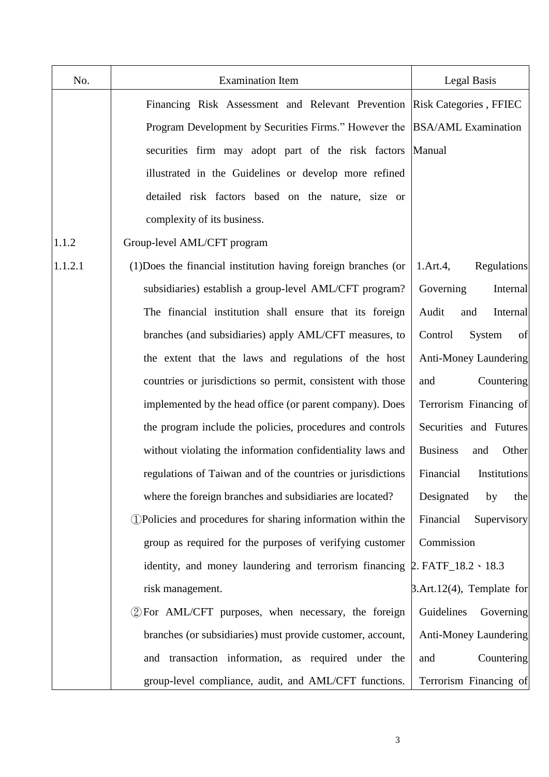| No.     | <b>Examination Item</b>                                                               | Legal Basis                      |
|---------|---------------------------------------------------------------------------------------|----------------------------------|
|         | Financing Risk Assessment and Relevant Prevention Risk Categories, FFIEC              |                                  |
|         | Program Development by Securities Firms." However the  BSA/AML Examination            |                                  |
|         | securities firm may adopt part of the risk factors Manual                             |                                  |
|         | illustrated in the Guidelines or develop more refined                                 |                                  |
|         | detailed risk factors based on the nature, size or                                    |                                  |
|         | complexity of its business.                                                           |                                  |
| 1.1.2   | Group-level AML/CFT program                                                           |                                  |
| 1.1.2.1 | (1) Does the financial institution having foreign branches (or                        | Regulations<br>1.Art.4,          |
|         | subsidiaries) establish a group-level AML/CFT program?                                | Governing<br>Internal            |
|         | The financial institution shall ensure that its foreign                               | Audit<br>and<br>Internal         |
|         | branches (and subsidiaries) apply AML/CFT measures, to                                | System<br>of<br>Control          |
|         | the extent that the laws and regulations of the host                                  | <b>Anti-Money Laundering</b>     |
|         | countries or jurisdictions so permit, consistent with those                           | Countering<br>and                |
|         | implemented by the head office (or parent company). Does                              | Terrorism Financing of           |
|         | the program include the policies, procedures and controls                             | Securities and Futures           |
|         | without violating the information confidentiality laws and                            | <b>Business</b><br>Other<br>and  |
|         | regulations of Taiwan and of the countries or jurisdictions                           | Financial<br>Institutions        |
|         | where the foreign branches and subsidiaries are located?                              | Designated<br>by<br>the          |
|         | 1) Policies and procedures for sharing information within the                         | Financial<br>Supervisory         |
|         | group as required for the purposes of verifying customer                              | Commission                       |
|         | identity, and money laundering and terrorism financing $\beta$ . FATF_18.2 \cdot 18.3 |                                  |
|         | risk management.                                                                      | $\beta$ .Art.12(4), Template for |
|         | 2 For AML/CFT purposes, when necessary, the foreign                                   | Guidelines<br>Governing          |
|         | branches (or subsidiaries) must provide customer, account,                            | <b>Anti-Money Laundering</b>     |
|         | and transaction information, as required under the                                    | Countering<br>and                |
|         | group-level compliance, audit, and AML/CFT functions.                                 | Terrorism Financing of           |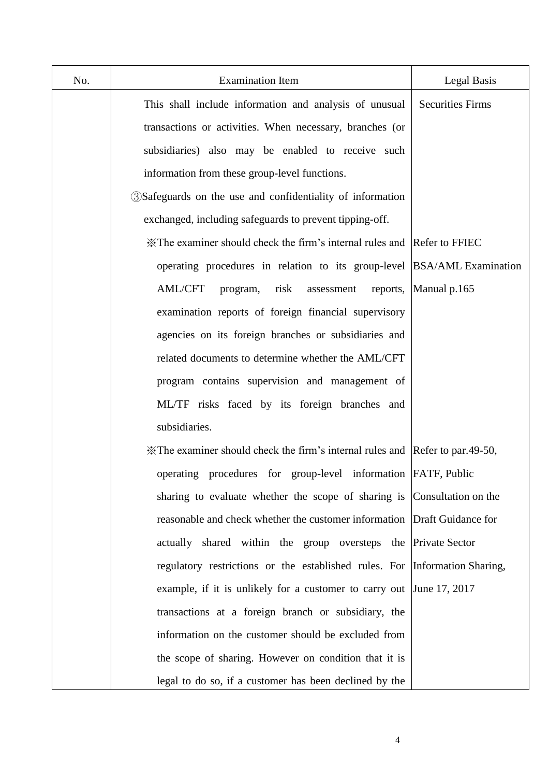| No. | <b>Examination Item</b>                                                       | <b>Legal Basis</b>      |
|-----|-------------------------------------------------------------------------------|-------------------------|
|     | This shall include information and analysis of unusual                        | <b>Securities Firms</b> |
|     | transactions or activities. When necessary, branches (or                      |                         |
|     | subsidiaries) also may be enabled to receive such                             |                         |
|     | information from these group-level functions.                                 |                         |
|     | <b>3Safeguards</b> on the use and confidentiality of information              |                         |
|     | exchanged, including safeguards to prevent tipping-off.                       |                         |
|     | X The examiner should check the firm's internal rules and Refer to FFIEC      |                         |
|     | operating procedures in relation to its group-level BSA/AML Examination       |                         |
|     | <b>AML/CFT</b><br>risk<br>program,<br>assessment                              | reports, Manual p.165   |
|     | examination reports of foreign financial supervisory                          |                         |
|     | agencies on its foreign branches or subsidiaries and                          |                         |
|     | related documents to determine whether the AML/CFT                            |                         |
|     | program contains supervision and management of                                |                         |
|     | ML/TF risks faced by its foreign branches and                                 |                         |
|     | subsidiaries.                                                                 |                         |
|     | X The examiner should check the firm's internal rules and Refer to par.49-50, |                         |
|     | operating procedures for group-level information FATF, Public                 |                         |
|     | sharing to evaluate whether the scope of sharing is Consultation on the       |                         |
|     | reasonable and check whether the customer information Draft Guidance for      |                         |
|     | actually shared within the group oversteps the Private Sector                 |                         |
|     | regulatory restrictions or the established rules. For Information Sharing,    |                         |
|     | example, if it is unlikely for a customer to carry out June 17, 2017          |                         |
|     | transactions at a foreign branch or subsidiary, the                           |                         |
|     | information on the customer should be excluded from                           |                         |
|     | the scope of sharing. However on condition that it is                         |                         |
|     | legal to do so, if a customer has been declined by the                        |                         |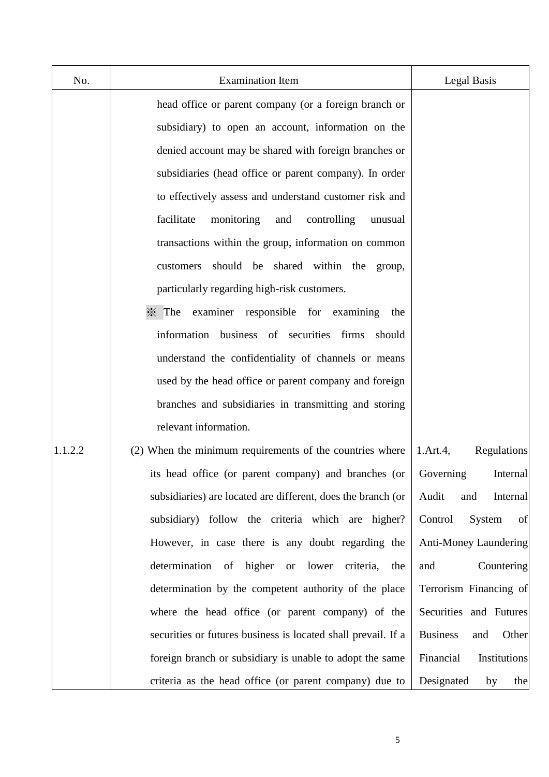| No.     | <b>Examination Item</b>                                                             | Legal Basis                      |
|---------|-------------------------------------------------------------------------------------|----------------------------------|
|         | head office or parent company (or a foreign branch or                               |                                  |
|         | subsidiary) to open an account, information on the                                  |                                  |
|         | denied account may be shared with foreign branches or                               |                                  |
|         | subsidiaries (head office or parent company). In order                              |                                  |
|         | to effectively assess and understand customer risk and                              |                                  |
|         | facilitate<br>monitoring<br>and<br>controlling<br>unusual                           |                                  |
|         | transactions within the group, information on common                                |                                  |
|         | should be shared within the group,<br>customers                                     |                                  |
|         | particularly regarding high-risk customers.                                         |                                  |
|         | $\frac{1}{2}$ The<br>examiner responsible for examining<br>the                      |                                  |
|         | information<br>business of securities firms<br>should                               |                                  |
|         | understand the confidentiality of channels or means                                 |                                  |
|         | used by the head office or parent company and foreign                               |                                  |
|         | branches and subsidiaries in transmitting and storing                               |                                  |
|         | relevant information.                                                               |                                  |
| 1.1.2.2 | (2) When the minimum requirements of the countries where                            | <b>Regulations</b><br>1.Art.4,   |
|         | its head office (or parent company) and branches (or                                | Internal<br>Governing            |
|         | subsidiaries) are located are different, does the branch (or                        | Audit<br>and<br>Internal         |
|         | subsidiary) follow the criteria which are higher?                                   | of<br>Control<br>System          |
|         | However, in case there is any doubt regarding the                                   | Anti-Money Laundering            |
|         | determination<br>higher<br>lower<br>criteria,<br>of<br>$\hbox{or}\hskip 1in$<br>the | Countering<br>and                |
|         | determination by the competent authority of the place                               | Terrorism Financing of           |
|         | where the head office (or parent company) of the                                    | Securities and Futures           |
|         | securities or futures business is located shall prevail. If a                       | <b>Business</b><br>Other<br>and  |
|         | foreign branch or subsidiary is unable to adopt the same                            | Financial<br><b>Institutions</b> |
|         | criteria as the head office (or parent company) due to                              | Designated<br>by<br>the          |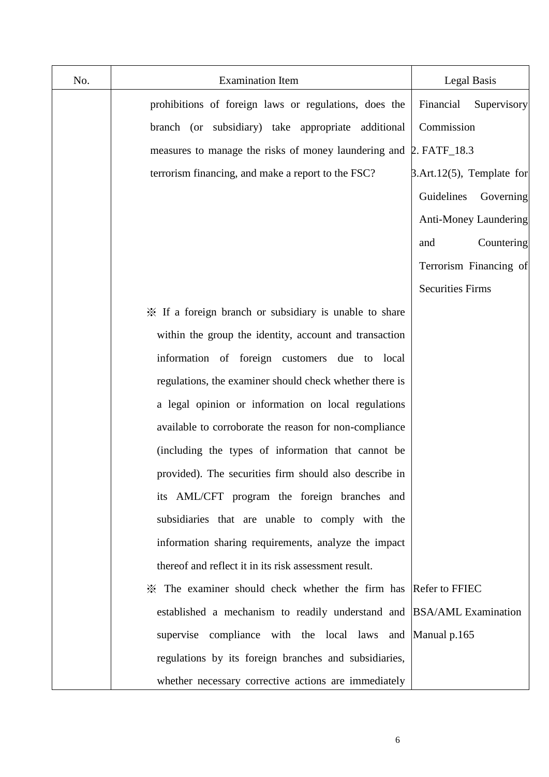| No. | <b>Examination Item</b>                                               | Legal Basis                      |
|-----|-----------------------------------------------------------------------|----------------------------------|
|     | prohibitions of foreign laws or regulations, does the                 | Financial<br>Supervisory         |
|     | branch (or subsidiary) take appropriate additional                    | Commission                       |
|     | measures to manage the risks of money laundering and 2. FATF_18.3     |                                  |
|     | terrorism financing, and make a report to the FSC?                    | $\beta$ .Art.12(5), Template for |
|     |                                                                       | Guidelines<br>Governing          |
|     |                                                                       | Anti-Money Laundering            |
|     |                                                                       | Countering<br>and                |
|     |                                                                       | Terrorism Financing of           |
|     |                                                                       | <b>Securities Firms</b>          |
|     | X If a foreign branch or subsidiary is unable to share                |                                  |
|     | within the group the identity, account and transaction                |                                  |
|     | information of foreign customers due to local                         |                                  |
|     | regulations, the examiner should check whether there is               |                                  |
|     | a legal opinion or information on local regulations                   |                                  |
|     | available to corroborate the reason for non-compliance                |                                  |
|     | (including the types of information that cannot be                    |                                  |
|     | provided). The securities firm should also describe in                |                                  |
|     | its AML/CFT program the foreign branches and                          |                                  |
|     | subsidiaries that are unable to comply with the                       |                                  |
|     | information sharing requirements, analyze the impact                  |                                  |
|     | thereof and reflect it in its risk assessment result.                 |                                  |
|     | * The examiner should check whether the firm has Refer to FFIEC       |                                  |
|     | established a mechanism to readily understand and BSA/AML Examination |                                  |
|     | supervise compliance with the local laws and Manual p.165             |                                  |
|     | regulations by its foreign branches and subsidiaries,                 |                                  |
|     | whether necessary corrective actions are immediately                  |                                  |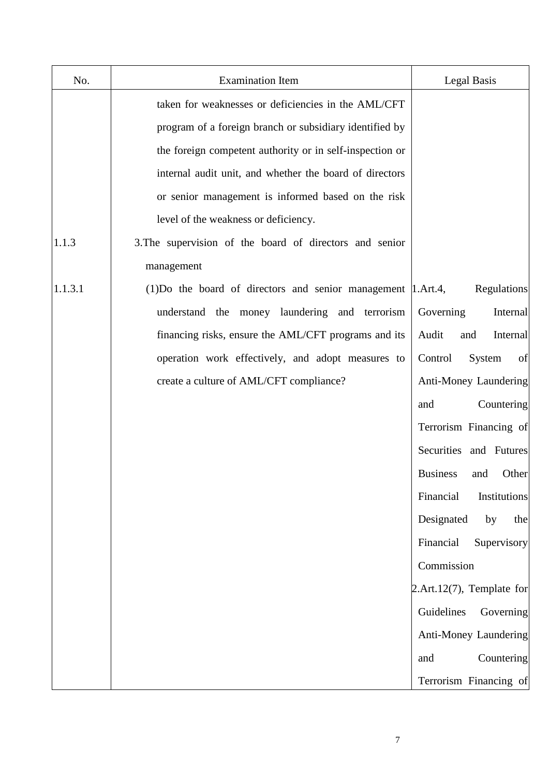| No.     | <b>Examination Item</b>                                             | Legal Basis                     |
|---------|---------------------------------------------------------------------|---------------------------------|
|         | taken for weaknesses or deficiencies in the AML/CFT                 |                                 |
|         | program of a foreign branch or subsidiary identified by             |                                 |
|         | the foreign competent authority or in self-inspection or            |                                 |
|         | internal audit unit, and whether the board of directors             |                                 |
|         | or senior management is informed based on the risk                  |                                 |
|         | level of the weakness or deficiency.                                |                                 |
| 1.1.3   | 3. The supervision of the board of directors and senior             |                                 |
|         | management                                                          |                                 |
| 1.1.3.1 | $(1)$ Do the board of directors and senior management $ 1.Art.4 $ , | Regulations                     |
|         | understand the money laundering and terrorism                       | Governing<br>Internal           |
|         | financing risks, ensure the AML/CFT programs and its                | Audit<br>Internal<br>and        |
|         | operation work effectively, and adopt measures to                   | System<br>of<br>Control         |
|         | create a culture of AML/CFT compliance?                             | Anti-Money Laundering           |
|         |                                                                     | Countering<br>and               |
|         |                                                                     | Terrorism Financing of          |
|         |                                                                     | Securities and Futures          |
|         |                                                                     | <b>Business</b><br>Other<br>and |
|         |                                                                     | Financial<br>Institutions       |
|         |                                                                     | Designated<br>by<br>the         |
|         |                                                                     | Financial<br>Supervisory        |
|         |                                                                     | Commission                      |
|         |                                                                     | 2.Art.12 $(7)$ , Template for   |
|         |                                                                     | Guidelines<br>Governing         |
|         |                                                                     | Anti-Money Laundering           |
|         |                                                                     | Countering<br>and               |
|         |                                                                     | Terrorism Financing of          |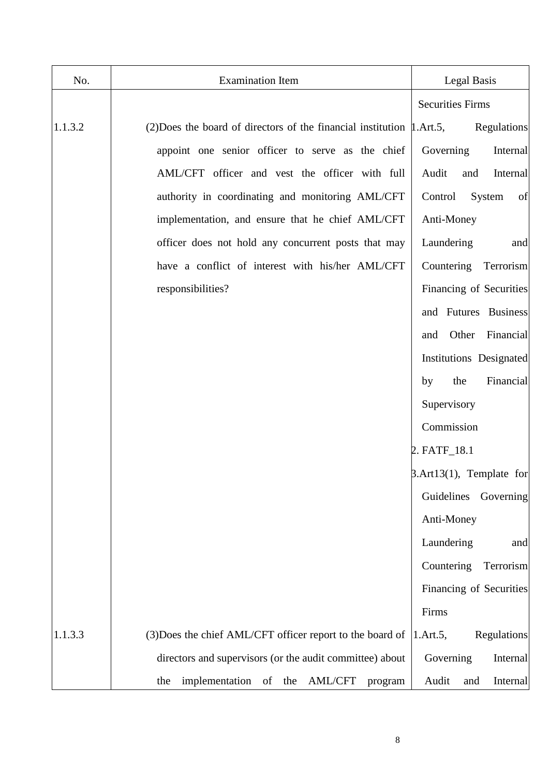| No.     | <b>Examination Item</b>                                                      | Legal Basis                     |
|---------|------------------------------------------------------------------------------|---------------------------------|
|         |                                                                              | <b>Securities Firms</b>         |
| 1.1.3.2 | (2) Does the board of directors of the financial institution $\mu$ . Art. 5, | Regulations                     |
|         | appoint one senior officer to serve as the chief                             | Governing<br><b>Internal</b>    |
|         | AML/CFT officer and vest the officer with full                               | Audit<br>and<br><b>Internal</b> |
|         | authority in coordinating and monitoring AML/CFT                             | System<br>of<br>Control         |
|         | implementation, and ensure that he chief AML/CFT                             | Anti-Money                      |
|         | officer does not hold any concurrent posts that may                          | Laundering<br>and               |
|         | have a conflict of interest with his/her AML/CFT                             | Countering Terrorism            |
|         | responsibilities?                                                            | Financing of Securities         |
|         |                                                                              | and Futures Business            |
|         |                                                                              | Other<br>Financial<br>and       |
|         |                                                                              | Institutions Designated         |
|         |                                                                              | Financial<br>the<br>by          |
|         |                                                                              | Supervisory                     |
|         |                                                                              | Commission                      |
|         |                                                                              | 2. FATF_18.1                    |
|         |                                                                              | $\beta$ .Art13(1), Template for |
|         |                                                                              | Guidelines<br>Governing         |
|         |                                                                              | Anti-Money                      |
|         |                                                                              | Laundering<br>and               |
|         |                                                                              | Countering<br>Terrorism         |
|         |                                                                              | Financing of Securities         |
|         |                                                                              | Firms                           |
| 1.1.3.3 | (3) Does the chief AML/CFT officer report to the board of                    | Regulations<br>1.Art.5,         |
|         | directors and supervisors (or the audit committee) about                     | Governing<br>Internal           |
|         | implementation of the AML/CFT<br>the<br>program                              | Audit<br>and<br><b>Internal</b> |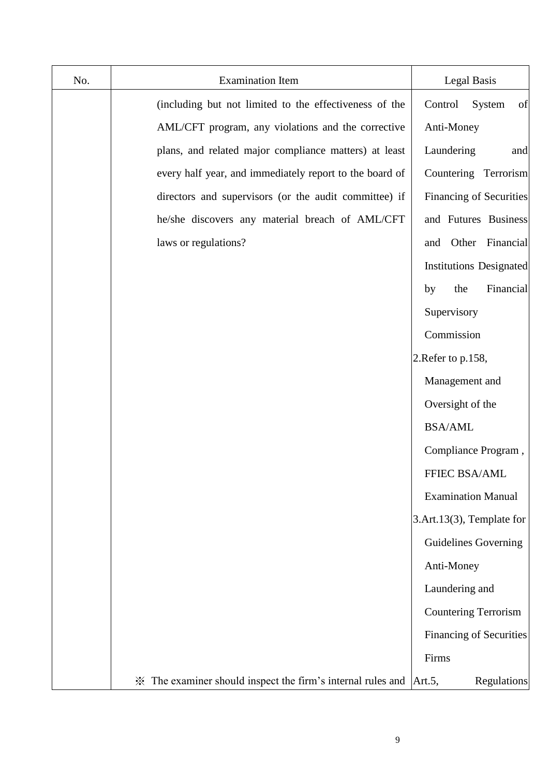| No. | <b>Examination Item</b>                                     | Legal Basis                    |
|-----|-------------------------------------------------------------|--------------------------------|
|     | (including but not limited to the effectiveness of the      | of<br>System<br>Control        |
|     | AML/CFT program, any violations and the corrective          | Anti-Money                     |
|     | plans, and related major compliance matters) at least       | Laundering<br>and              |
|     | every half year, and immediately report to the board of     | Countering Terrorism           |
|     | directors and supervisors (or the audit committee) if       | <b>Financing of Securities</b> |
|     | he/she discovers any material breach of AML/CFT             | and Futures Business           |
|     | laws or regulations?                                        | and Other Financial            |
|     |                                                             | <b>Institutions Designated</b> |
|     |                                                             | Financial<br>the<br>by         |
|     |                                                             | Supervisory                    |
|     |                                                             | Commission                     |
|     |                                                             | 2. Refer to p.158,             |
|     |                                                             | Management and                 |
|     |                                                             | Oversight of the               |
|     |                                                             | <b>BSA/AML</b>                 |
|     |                                                             | Compliance Program,            |
|     |                                                             | <b>FFIEC BSA/AML</b>           |
|     |                                                             | <b>Examination Manual</b>      |
|     |                                                             | 3.Art.13(3), Template for      |
|     |                                                             | <b>Guidelines Governing</b>    |
|     |                                                             | Anti-Money                     |
|     |                                                             | Laundering and                 |
|     |                                                             | Countering Terrorism           |
|     |                                                             | <b>Financing of Securities</b> |
|     |                                                             | Firms                          |
|     | * The examiner should inspect the firm's internal rules and | Art.5,<br><b>Regulations</b>   |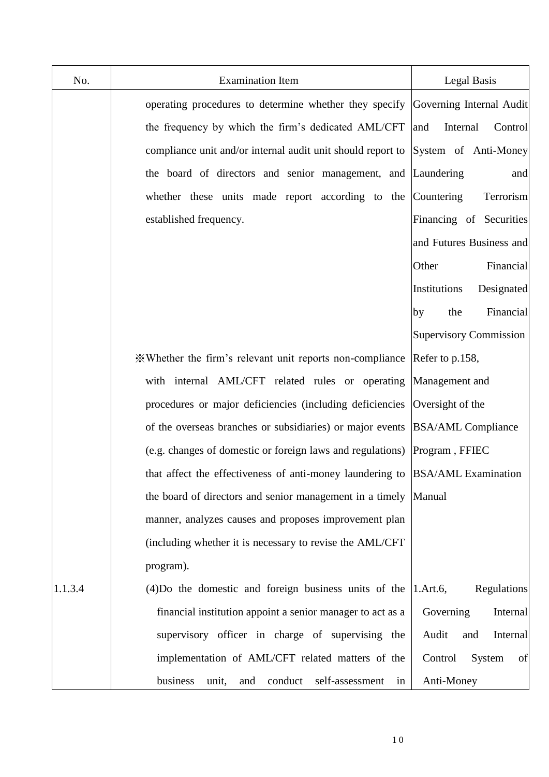| No.     | <b>Examination Item</b>                                                          | Legal Basis                   |
|---------|----------------------------------------------------------------------------------|-------------------------------|
|         | operating procedures to determine whether they specify                           | Governing Internal Audit      |
|         | the frequency by which the firm's dedicated AML/CFT                              | Internal<br>Control<br>and    |
|         | compliance unit and/or internal audit unit should report to System of Anti-Money |                               |
|         | the board of directors and senior management, and Laundering                     | and                           |
|         | whether these units made report according to the Countering                      | Terrorism                     |
|         | established frequency.                                                           | Financing of Securities       |
|         |                                                                                  | and Futures Business and      |
|         |                                                                                  | Financial<br>Other            |
|         |                                                                                  | Institutions<br>Designated    |
|         |                                                                                  | Financial<br>by<br>the        |
|         |                                                                                  | <b>Supervisory Commission</b> |
|         | ※Whether the firm's relevant unit reports non-compliance  Refer to p.158,        |                               |
|         | with internal AML/CFT related rules or operating Management and                  |                               |
|         | procedures or major deficiencies (including deficiencies                         | Oversight of the              |
|         | of the overseas branches or subsidiaries) or major events BSA/AML Compliance     |                               |
|         | (e.g. changes of domestic or foreign laws and regulations) Program, FFIEC        |                               |
|         | that affect the effectiveness of anti-money laundering to BSA/AML Examination    |                               |
|         | the board of directors and senior management in a timely Manual                  |                               |
|         | manner, analyzes causes and proposes improvement plan                            |                               |
|         | (including whether it is necessary to revise the AML/CFT                         |                               |
|         | program).                                                                        |                               |
| 1.1.3.4 | $(4)$ Do the domestic and foreign business units of the $ 1.Art.6$ ,             | Regulations                   |
|         | financial institution appoint a senior manager to act as a                       | Governing<br>Internal         |
|         | supervisory officer in charge of supervising the                                 | Audit<br>Internal<br>and      |
|         | implementation of AML/CFT related matters of the                                 | Control<br>System<br>of       |
|         | business<br>self-assessment<br>conduct<br>unit,<br>and<br>in                     | Anti-Money                    |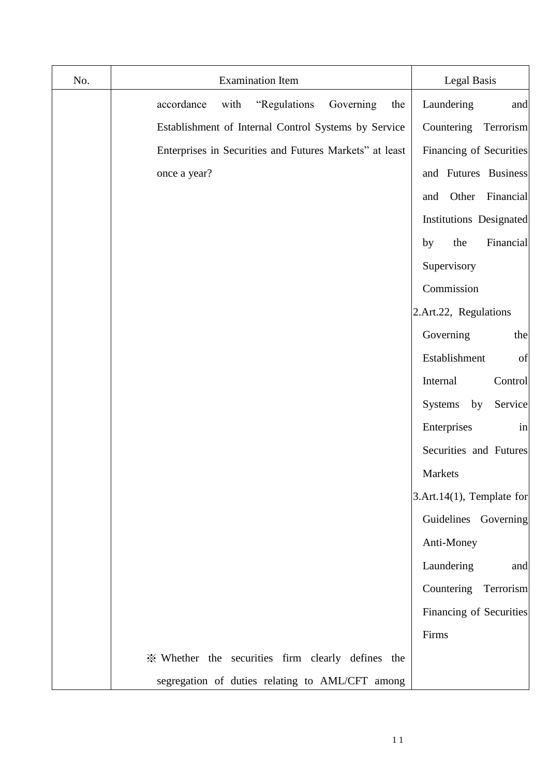| No. | <b>Examination Item</b>                                 | <b>Legal Basis</b>            |
|-----|---------------------------------------------------------|-------------------------------|
|     | accordance<br>"Regulations<br>Governing<br>with<br>the  | Laundering<br>and             |
|     | Establishment of Internal Control Systems by Service    | Countering<br>Terrorism       |
|     | Enterprises in Securities and Futures Markets" at least | Financing of Securities       |
|     | once a year?                                            | and Futures Business          |
|     |                                                         | Other<br>Financial<br>and     |
|     |                                                         | Institutions Designated       |
|     |                                                         | Financial<br>the<br>by        |
|     |                                                         | Supervisory                   |
|     |                                                         | Commission                    |
|     |                                                         | 2.Art.22, Regulations         |
|     |                                                         | Governing<br>the              |
|     |                                                         | Establishment<br>of           |
|     |                                                         | Internal<br>Control           |
|     |                                                         | Systems<br>by<br>Service      |
|     |                                                         | Enterprises<br>in             |
|     |                                                         | Securities and Futures        |
|     |                                                         | Markets                       |
|     |                                                         | 3.Art.14 $(1)$ , Template for |
|     |                                                         | Guidelines Governing          |
|     |                                                         | Anti-Money                    |
|     |                                                         | Laundering<br>and             |
|     |                                                         | Countering Terrorism          |
|     |                                                         | Financing of Securities       |
|     |                                                         | Firms                         |
|     | * Whether the securities firm clearly defines the       |                               |
|     | segregation of duties relating to AML/CFT among         |                               |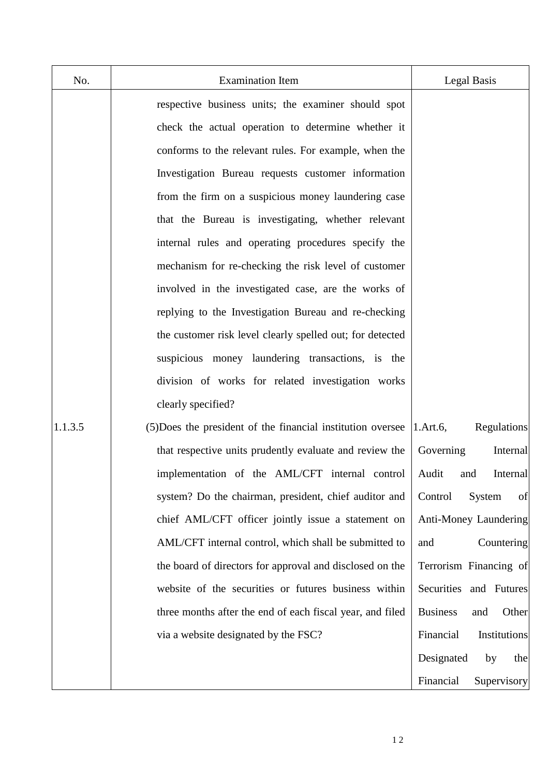| No.     | <b>Examination Item</b>                                     | Legal Basis                     |
|---------|-------------------------------------------------------------|---------------------------------|
|         | respective business units; the examiner should spot         |                                 |
|         | check the actual operation to determine whether it          |                                 |
|         | conforms to the relevant rules. For example, when the       |                                 |
|         | Investigation Bureau requests customer information          |                                 |
|         | from the firm on a suspicious money laundering case         |                                 |
|         | that the Bureau is investigating, whether relevant          |                                 |
|         | internal rules and operating procedures specify the         |                                 |
|         | mechanism for re-checking the risk level of customer        |                                 |
|         | involved in the investigated case, are the works of         |                                 |
|         | replying to the Investigation Bureau and re-checking        |                                 |
|         | the customer risk level clearly spelled out; for detected   |                                 |
|         | suspicious money laundering transactions, is the            |                                 |
|         | division of works for related investigation works           |                                 |
|         | clearly specified?                                          |                                 |
| 1.1.3.5 | (5) Does the president of the financial institution oversee | Regulations<br>1.Art.6,         |
|         | that respective units prudently evaluate and review the     | Governing<br>Internal           |
|         | implementation of the AML/CFT internal control              | Audit<br>Internal<br>and        |
|         | system? Do the chairman, president, chief auditor and       | of<br>System<br>Control         |
|         | chief AML/CFT officer jointly issue a statement on          | Anti-Money Laundering           |
|         | AML/CFT internal control, which shall be submitted to       | Countering<br>and               |
|         | the board of directors for approval and disclosed on the    | Terrorism Financing of          |
|         | website of the securities or futures business within        | Securities and Futures          |
|         | three months after the end of each fiscal year, and filed   | <b>Business</b><br>Other<br>and |
|         | via a website designated by the FSC?                        | Financial<br>Institutions       |
|         |                                                             | Designated<br>by<br>the         |
|         |                                                             | Financial<br>Supervisory        |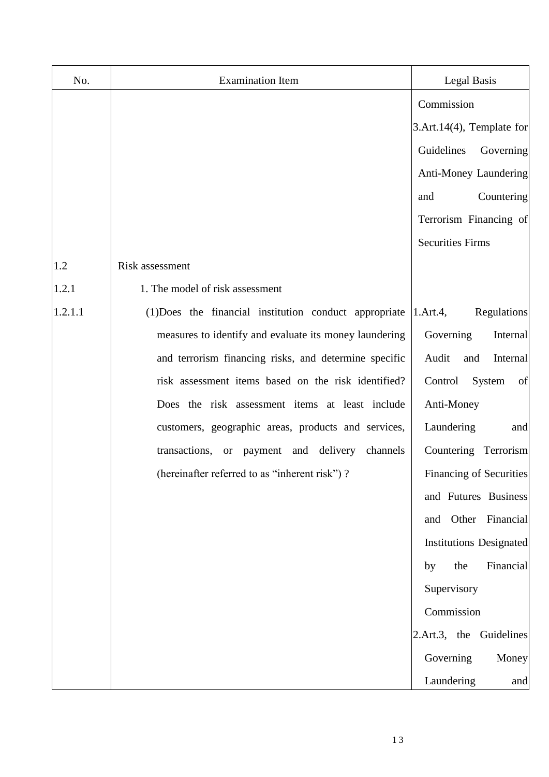| No.     | <b>Examination Item</b>                                | <b>Legal Basis</b>             |
|---------|--------------------------------------------------------|--------------------------------|
|         |                                                        | Commission                     |
|         |                                                        | 3.Art.14(4), Template for      |
|         |                                                        | Guidelines<br>Governing        |
|         |                                                        | Anti-Money Laundering          |
|         |                                                        | Countering<br>and              |
|         |                                                        | Terrorism Financing of         |
|         |                                                        | <b>Securities Firms</b>        |
| 1.2     | Risk assessment                                        |                                |
| 1.2.1   | 1. The model of risk assessment                        |                                |
| 1.2.1.1 | (1) Does the financial institution conduct appropriate | Regulations<br>1.Art.4,        |
|         | measures to identify and evaluate its money laundering | Governing<br>Internal          |
|         | and terrorism financing risks, and determine specific  | Audit<br>Internal<br>and       |
|         | risk assessment items based on the risk identified?    | Control<br>System<br>of        |
|         | Does the risk assessment items at least include        | Anti-Money                     |
|         | customers, geographic areas, products and services,    | Laundering<br>and              |
|         | transactions, or payment and delivery<br>channels      | Countering Terrorism           |
|         | (hereinafter referred to as "inherent risk")?          | <b>Financing of Securities</b> |
|         |                                                        | and Futures Business           |
|         |                                                        | and Other Financial            |
|         |                                                        | <b>Institutions Designated</b> |
|         |                                                        | the<br>Financial<br>by         |
|         |                                                        | Supervisory                    |
|         |                                                        | Commission                     |
|         |                                                        | 2.Art.3, the Guidelines        |
|         |                                                        | Governing<br>Money             |
|         |                                                        | Laundering<br>and              |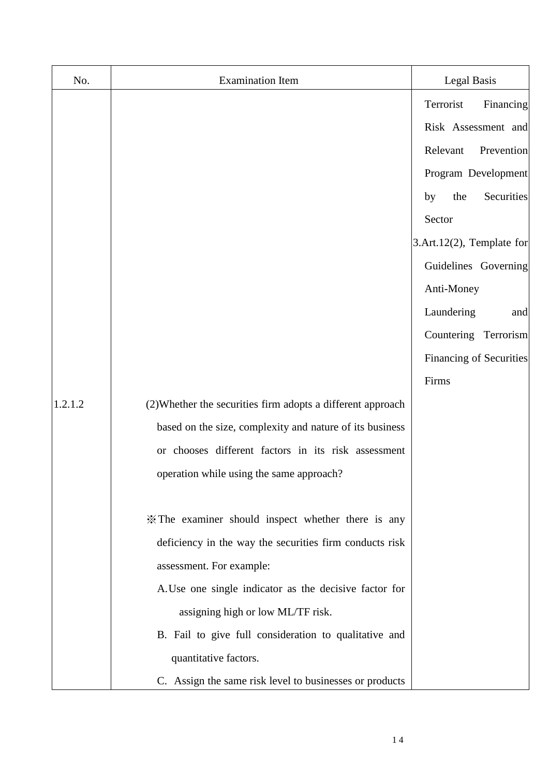| No.     | <b>Examination Item</b>                                     | <b>Legal Basis</b>            |
|---------|-------------------------------------------------------------|-------------------------------|
|         |                                                             | Financing<br>Terrorist        |
|         |                                                             | Risk Assessment and           |
|         |                                                             | Relevant<br>Prevention        |
|         |                                                             | Program Development           |
|         |                                                             | the<br>Securities<br>by       |
|         |                                                             | Sector                        |
|         |                                                             | 3.Art.12 $(2)$ , Template for |
|         |                                                             | Guidelines Governing          |
|         |                                                             | Anti-Money                    |
|         |                                                             | Laundering<br>and             |
|         |                                                             | Countering Terrorism          |
|         |                                                             | Financing of Securities       |
|         |                                                             | Firms                         |
| 1.2.1.2 | (2) Whether the securities firm adopts a different approach |                               |
|         | based on the size, complexity and nature of its business    |                               |
|         | or chooses different factors in its risk assessment         |                               |
|         | operation while using the same approach?                    |                               |
|         |                                                             |                               |
|         | * The examiner should inspect whether there is any          |                               |
|         | deficiency in the way the securities firm conducts risk     |                               |
|         | assessment. For example:                                    |                               |
|         | A. Use one single indicator as the decisive factor for      |                               |
|         | assigning high or low ML/TF risk.                           |                               |
|         | B. Fail to give full consideration to qualitative and       |                               |
|         | quantitative factors.                                       |                               |
|         | C. Assign the same risk level to businesses or products     |                               |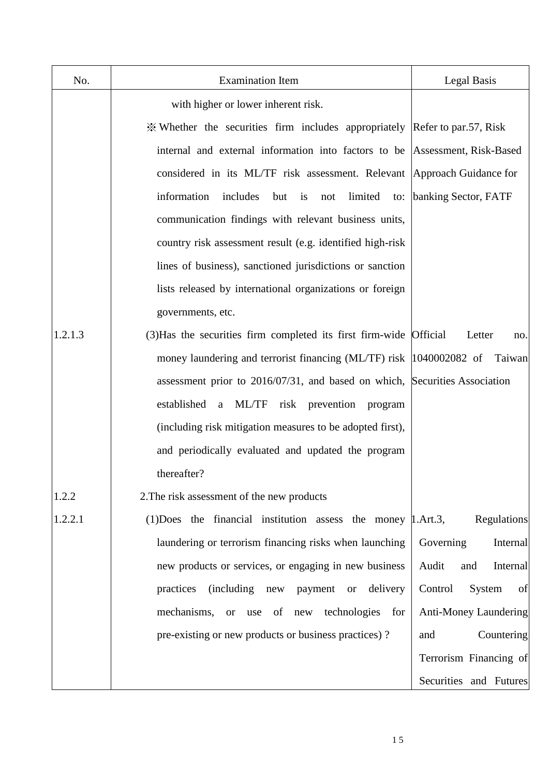| No.     | <b>Examination Item</b>                                                     | Legal Basis                  |
|---------|-----------------------------------------------------------------------------|------------------------------|
|         | with higher or lower inherent risk.                                         |                              |
|         | * Whether the securities firm includes appropriately Refer to par.57, Risk  |                              |
|         | internal and external information into factors to be Assessment, Risk-Based |                              |
|         | considered in its ML/TF risk assessment. Relevant Approach Guidance for     |                              |
|         | information<br>includes<br>limited<br>but is<br>not                         | to: banking Sector, FATF     |
|         | communication findings with relevant business units,                        |                              |
|         | country risk assessment result (e.g. identified high-risk                   |                              |
|         | lines of business), sanctioned jurisdictions or sanction                    |                              |
|         | lists released by international organizations or foreign                    |                              |
|         | governments, etc.                                                           |                              |
| 1.2.1.3 | (3) Has the securities firm completed its first firm-wide Official          | Letter<br>no.                |
|         | money laundering and terrorist financing (ML/TF) risk  1040002082 of Taiwan |                              |
|         | assessment prior to 2016/07/31, and based on which, Securities Association  |                              |
|         | established a ML/TF<br>risk prevention program                              |                              |
|         | (including risk mitigation measures to be adopted first),                   |                              |
|         | and periodically evaluated and updated the program                          |                              |
|         | thereafter?                                                                 |                              |
| 1.2.2   | 2. The risk assessment of the new products                                  |                              |
| 1.2.2.1 | (1) Does the financial institution assess the money   1. Art. 3,            | Regulations                  |
|         | laundering or terrorism financing risks when launching                      | Governing<br>Internal        |
|         | new products or services, or engaging in new business                       | Audit<br>and<br>Internal     |
|         | (including new<br>delivery<br>practices<br>payment or                       | Control<br>System<br>of      |
|         | mechanisms, or<br>use of new technologies for                               | <b>Anti-Money Laundering</b> |
|         | pre-existing or new products or business practices)?                        | Countering<br>and            |
|         |                                                                             | Terrorism Financing of       |
|         |                                                                             | Securities and Futures       |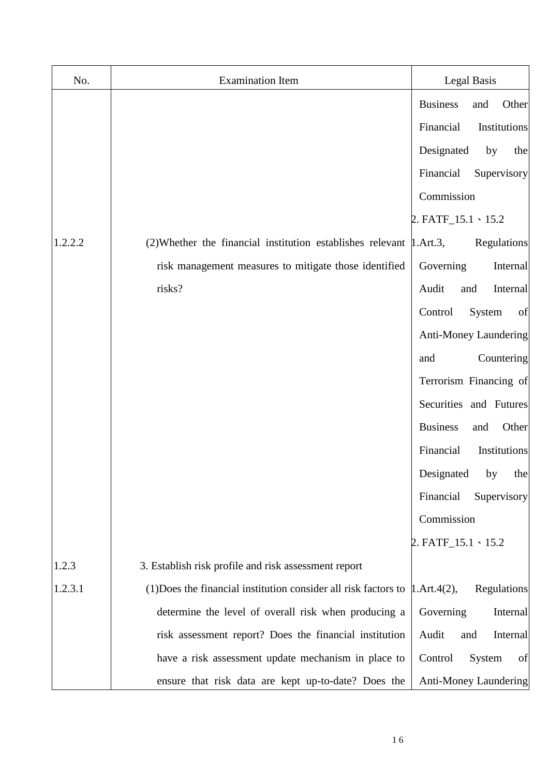| No.     | <b>Examination Item</b>                                                               | Legal Basis                     |
|---------|---------------------------------------------------------------------------------------|---------------------------------|
|         |                                                                                       | <b>Business</b><br>Other<br>and |
|         |                                                                                       | Financial<br>Institutions       |
|         |                                                                                       | Designated<br>by<br>the         |
|         |                                                                                       | Financial<br>Supervisory        |
|         |                                                                                       | Commission                      |
|         |                                                                                       | 2. $FATF_15.1 \cdot 15.2$       |
| 1.2.2.2 | $(2)$ Whether the financial institution establishes relevant $\mu$ . Art. 3,          | Regulations                     |
|         | risk management measures to mitigate those identified                                 | Governing<br>Internal           |
|         | risks?                                                                                | Audit<br>Internal<br>and        |
|         |                                                                                       | Control<br>System<br>of         |
|         |                                                                                       | Anti-Money Laundering           |
|         |                                                                                       | Countering<br>and               |
|         |                                                                                       | Terrorism Financing of          |
|         |                                                                                       | Securities and Futures          |
|         |                                                                                       | <b>Business</b><br>Other<br>and |
|         |                                                                                       | Financial<br>Institutions       |
|         |                                                                                       | Designated<br>by<br>the         |
|         |                                                                                       | Financial<br>Supervisory        |
|         |                                                                                       | Commission                      |
|         |                                                                                       | 2. $FATF_15.1 \cdot 15.2$       |
| 1.2.3   | 3. Establish risk profile and risk assessment report                                  |                                 |
| 1.2.3.1 | (1) Does the financial institution consider all risk factors to $\vert$ 1. Art. 4(2), | Regulations                     |
|         | determine the level of overall risk when producing a                                  | Governing<br>Internal           |
|         | risk assessment report? Does the financial institution                                | Internal<br>Audit<br>and        |
|         | have a risk assessment update mechanism in place to                                   | Control<br>System<br>of         |
|         | ensure that risk data are kept up-to-date? Does the                                   | Anti-Money Laundering           |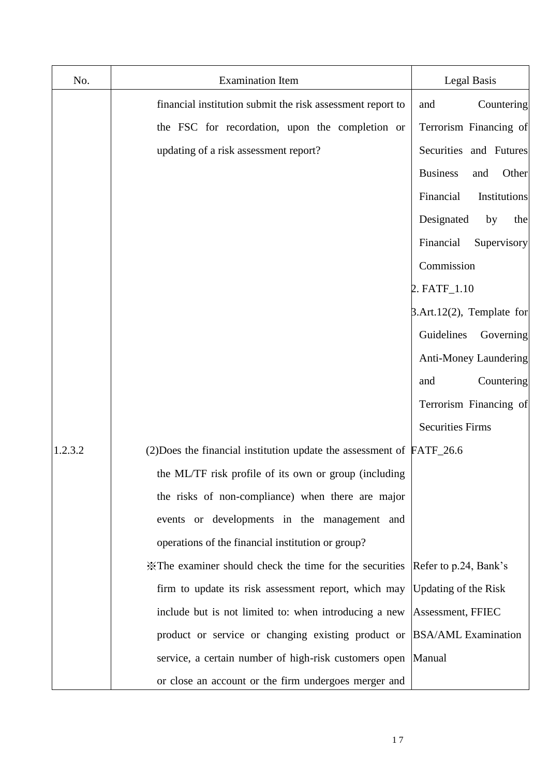| No.     | <b>Examination Item</b>                                                    | Legal Basis                      |
|---------|----------------------------------------------------------------------------|----------------------------------|
|         | financial institution submit the risk assessment report to                 | Countering<br>and                |
|         | the FSC for recordation, upon the completion or                            | Terrorism Financing of           |
|         | updating of a risk assessment report?                                      | Securities and Futures           |
|         |                                                                            | <b>Business</b><br>Other<br>and  |
|         |                                                                            | Financial<br>Institutions        |
|         |                                                                            | Designated<br>by<br>the          |
|         |                                                                            | Financial<br>Supervisory         |
|         |                                                                            | Commission                       |
|         |                                                                            | 2. FATF_1.10                     |
|         |                                                                            | $\beta$ .Art.12(2), Template for |
|         |                                                                            | Guidelines<br>Governing          |
|         |                                                                            | Anti-Money Laundering            |
|         |                                                                            | Countering<br>and                |
|         |                                                                            | Terrorism Financing of           |
|         |                                                                            | <b>Securities Firms</b>          |
| 1.2.3.2 | $(2)$ Does the financial institution update the assessment of $FATF_2$ 6.6 |                                  |
|         | the ML/TF risk profile of its own or group (including                      |                                  |
|         | the risks of non-compliance) when there are major                          |                                  |
|         | events or developments in the management and                               |                                  |
|         | operations of the financial institution or group?                          |                                  |
|         | *The examiner should check the time for the securities                     | Refer to p.24, Bank's            |
|         | firm to update its risk assessment report, which may                       | <b>Updating of the Risk</b>      |
|         | include but is not limited to: when introducing a new                      | Assessment, FFIEC                |
|         | product or service or changing existing product or                         | <b>BSA/AML</b> Examination       |
|         | service, a certain number of high-risk customers open                      | Manual                           |
|         | or close an account or the firm undergoes merger and                       |                                  |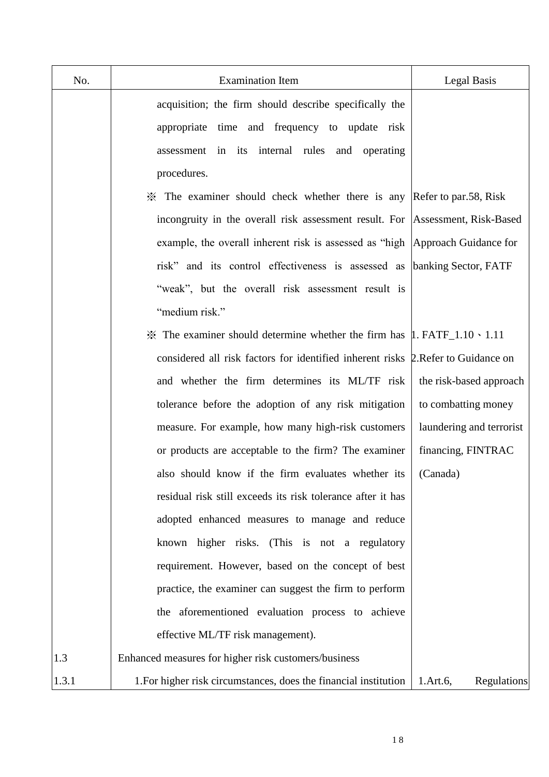| No.   | <b>Examination Item</b>                                                                        | Legal Basis              |
|-------|------------------------------------------------------------------------------------------------|--------------------------|
|       | acquisition; the firm should describe specifically the                                         |                          |
|       | appropriate time and frequency to update risk                                                  |                          |
|       | its internal rules and operating<br>assessment in                                              |                          |
|       | procedures.                                                                                    |                          |
|       | X The examiner should check whether there is any Refer to par.58, Risk                         |                          |
|       | incongruity in the overall risk assessment result. For Assessment, Risk-Based                  |                          |
|       | example, the overall inherent risk is assessed as "high  Approach Guidance for                 |                          |
|       | risk" and its control effectiveness is assessed as                                             | banking Sector, FATF     |
|       | "weak", but the overall risk assessment result is                                              |                          |
|       | "medium risk."                                                                                 |                          |
|       | $\frac{3}{2}$ The examiner should determine whether the firm has $\mu$ . FATF_1.10 \cdots 1.11 |                          |
|       | considered all risk factors for identified inherent risks 2. Refer to Guidance on              |                          |
|       | and whether the firm determines its ML/TF risk                                                 | the risk-based approach  |
|       | tolerance before the adoption of any risk mitigation                                           | to combatting money      |
|       | measure. For example, how many high-risk customers                                             | laundering and terrorist |
|       | or products are acceptable to the firm? The examiner                                           | financing, FINTRAC       |
|       | also should know if the firm evaluates whether its                                             | (Canada)                 |
|       | residual risk still exceeds its risk tolerance after it has                                    |                          |
|       | adopted enhanced measures to manage and reduce                                                 |                          |
|       | known higher risks. (This is not a regulatory                                                  |                          |
|       | requirement. However, based on the concept of best                                             |                          |
|       | practice, the examiner can suggest the firm to perform                                         |                          |
|       | the aforementioned evaluation process to achieve                                               |                          |
|       | effective ML/TF risk management).                                                              |                          |
| 1.3   | Enhanced measures for higher risk customers/business                                           |                          |
| 1.3.1 | 1. For higher risk circumstances, does the financial institution                               | 1.Art.6,<br>Regulations  |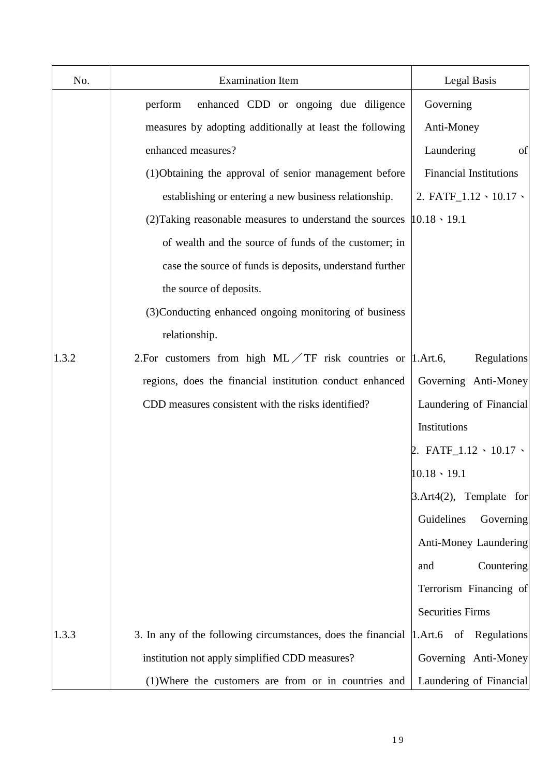| No.   | <b>Examination Item</b>                                                              | Legal Basis                        |
|-------|--------------------------------------------------------------------------------------|------------------------------------|
|       | enhanced CDD or ongoing due diligence<br>perform                                     | Governing                          |
|       | measures by adopting additionally at least the following                             | Anti-Money                         |
|       | enhanced measures?                                                                   | Laundering<br>of                   |
|       | (1)Obtaining the approval of senior management before                                | <b>Financial Institutions</b>      |
|       | establishing or entering a new business relationship.                                | 2. FATF_1.12 \ 10.17 \             |
|       | (2) Taking reasonable measures to understand the sources                             | $10.18 \cdot 19.1$                 |
|       | of wealth and the source of funds of the customer; in                                |                                    |
|       | case the source of funds is deposits, understand further                             |                                    |
|       | the source of deposits.                                                              |                                    |
|       | (3) Conducting enhanced ongoing monitoring of business                               |                                    |
|       | relationship.                                                                        |                                    |
| 1.3.2 | 2. For customers from high $ML/TF$ risk countries or  1. Art. 6,                     | Regulations                        |
|       | regions, does the financial institution conduct enhanced                             | Governing Anti-Money               |
|       | CDD measures consistent with the risks identified?                                   | Laundering of Financial            |
|       |                                                                                      | Institutions                       |
|       |                                                                                      | 2. FATF_1.12 $\cdot$ 10.17 $\cdot$ |
|       |                                                                                      | $10.18 \cdot 19.1$                 |
|       |                                                                                      | $\beta$ .Art4(2), Template for     |
|       |                                                                                      | Guidelines<br>Governing            |
|       |                                                                                      | Anti-Money Laundering              |
|       |                                                                                      | Countering<br>and                  |
|       |                                                                                      | Terrorism Financing of             |
|       |                                                                                      | <b>Securities Firms</b>            |
| 1.3.3 | 3. In any of the following circumstances, does the financial  1.Art.6 of Regulations |                                    |
|       | institution not apply simplified CDD measures?                                       | Governing Anti-Money               |
|       | (1) Where the customers are from or in countries and                                 | Laundering of Financial            |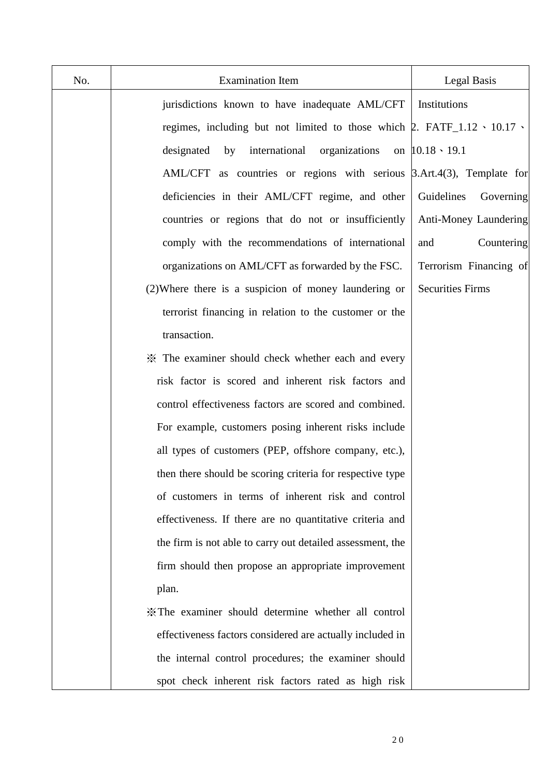| No. | <b>Examination Item</b>                                                                 | Legal Basis             |
|-----|-----------------------------------------------------------------------------------------|-------------------------|
|     | jurisdictions known to have inadequate AML/CFT                                          | Institutions            |
|     | regimes, including but not limited to those which $\beta$ . FATF_1.12 \cdot 10.17 \cdot |                         |
|     | international<br>organizations<br>designated<br>by                                      | on $10.18 \cdot 19.1$   |
|     | AML/CFT as countries or regions with serious 3.Art.4(3), Template for                   |                         |
|     | deficiencies in their AML/CFT regime, and other                                         | Guidelines<br>Governing |
|     | countries or regions that do not or insufficiently                                      | Anti-Money Laundering   |
|     | comply with the recommendations of international                                        | Countering<br>and       |
|     | organizations on AML/CFT as forwarded by the FSC.                                       | Terrorism Financing of  |
|     | (2) Where there is a suspicion of money laundering or                                   | <b>Securities Firms</b> |
|     | terrorist financing in relation to the customer or the                                  |                         |
|     | transaction.                                                                            |                         |
|     | * The examiner should check whether each and every                                      |                         |
|     | risk factor is scored and inherent risk factors and                                     |                         |
|     | control effectiveness factors are scored and combined.                                  |                         |
|     | For example, customers posing inherent risks include                                    |                         |
|     | all types of customers (PEP, offshore company, etc.),                                   |                         |
|     | then there should be scoring criteria for respective type                               |                         |
|     | of customers in terms of inherent risk and control                                      |                         |
|     | effectiveness. If there are no quantitative criteria and                                |                         |
|     | the firm is not able to carry out detailed assessment, the                              |                         |
|     | firm should then propose an appropriate improvement                                     |                         |
|     | plan.                                                                                   |                         |
|     | X The examiner should determine whether all control                                     |                         |
|     | effectiveness factors considered are actually included in                               |                         |
|     | the internal control procedures; the examiner should                                    |                         |
|     | spot check inherent risk factors rated as high risk                                     |                         |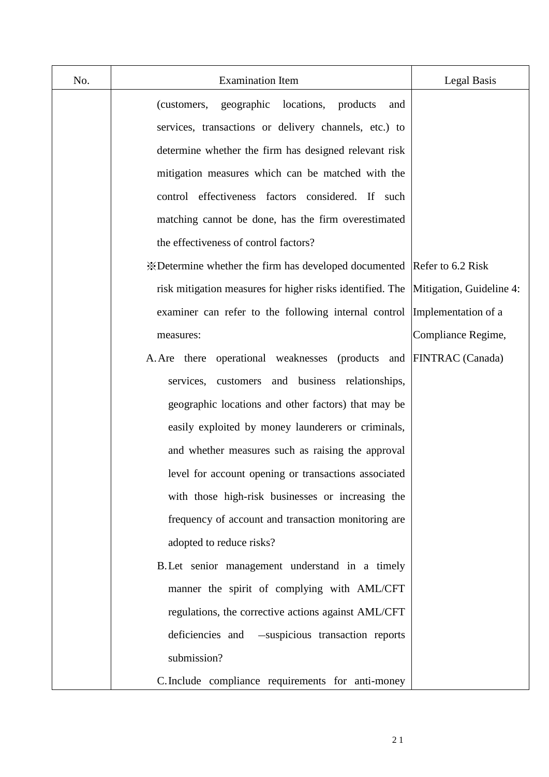| No. | <b>Examination Item</b>                                                | Legal Basis              |
|-----|------------------------------------------------------------------------|--------------------------|
|     | geographic locations, products<br>(customers,<br>and                   |                          |
|     | services, transactions or delivery channels, etc.) to                  |                          |
|     | determine whether the firm has designed relevant risk                  |                          |
|     | mitigation measures which can be matched with the                      |                          |
|     | control effectiveness factors considered. If such                      |                          |
|     | matching cannot be done, has the firm overestimated                    |                          |
|     | the effectiveness of control factors?                                  |                          |
|     | *Determine whether the firm has developed documented Refer to 6.2 Risk |                          |
|     | risk mitigation measures for higher risks identified. The              | Mitigation, Guideline 4: |
|     | examiner can refer to the following internal control                   | Implementation of a      |
|     | measures:                                                              | Compliance Regime,       |
|     | A. Are there operational weaknesses (products and FINTRAC (Canada)     |                          |
|     | services, customers and business relationships,                        |                          |
|     | geographic locations and other factors) that may be                    |                          |
|     | easily exploited by money launderers or criminals,                     |                          |
|     | and whether measures such as raising the approval                      |                          |
|     | level for account opening or transactions associated                   |                          |
|     | with those high-risk businesses or increasing the                      |                          |
|     | frequency of account and transaction monitoring are                    |                          |
|     | adopted to reduce risks?                                               |                          |
|     | B. Let senior management understand in a timely                        |                          |
|     | manner the spirit of complying with AML/CFT                            |                          |
|     | regulations, the corrective actions against AML/CFT                    |                          |
|     | deficiencies and<br>-suspicious transaction reports                    |                          |
|     | submission?                                                            |                          |
|     | C. Include compliance requirements for anti-money                      |                          |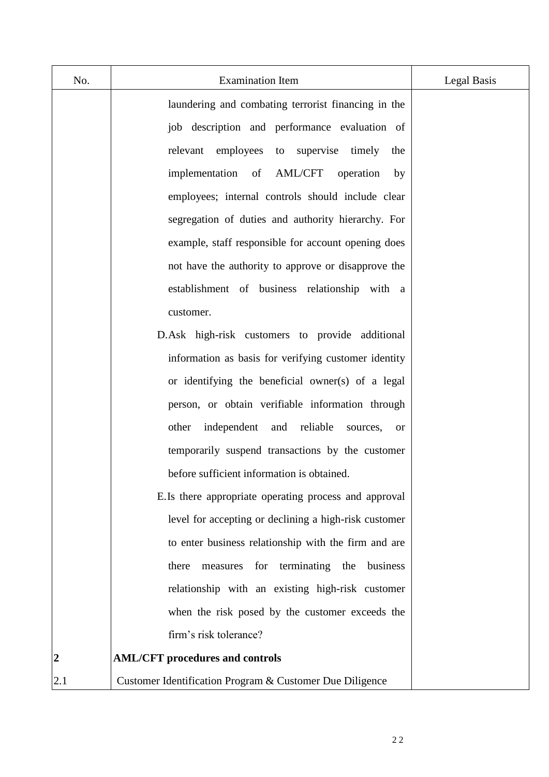| No.            | <b>Examination Item</b>                                          | Legal Basis |
|----------------|------------------------------------------------------------------|-------------|
|                | laundering and combating terrorist financing in the              |             |
|                | job description and performance evaluation of                    |             |
|                | employees<br>to supervise<br>timely<br>relevant<br>the           |             |
|                | <b>AML/CFT</b><br>implementation of<br>operation<br>by           |             |
|                | employees; internal controls should include clear                |             |
|                | segregation of duties and authority hierarchy. For               |             |
|                | example, staff responsible for account opening does              |             |
|                | not have the authority to approve or disapprove the              |             |
|                | establishment of business relationship with a                    |             |
|                | customer.                                                        |             |
|                | D.Ask high-risk customers to provide additional                  |             |
|                | information as basis for verifying customer identity             |             |
|                | or identifying the beneficial owner(s) of a legal                |             |
|                | person, or obtain verifiable information through                 |             |
|                | reliable<br>independent<br>and<br>other<br>sources,<br><b>or</b> |             |
|                | temporarily suspend transactions by the customer                 |             |
|                | before sufficient information is obtained.                       |             |
|                | E.Is there appropriate operating process and approval            |             |
|                | level for accepting or declining a high-risk customer            |             |
|                | to enter business relationship with the firm and are             |             |
|                | terminating the<br>there<br>business<br>for<br>measures          |             |
|                | relationship with an existing high-risk customer                 |             |
|                | when the risk posed by the customer exceeds the                  |             |
|                | firm's risk tolerance?                                           |             |
| $\overline{2}$ | <b>AML/CFT</b> procedures and controls                           |             |
| 2.1            | Customer Identification Program & Customer Due Diligence         |             |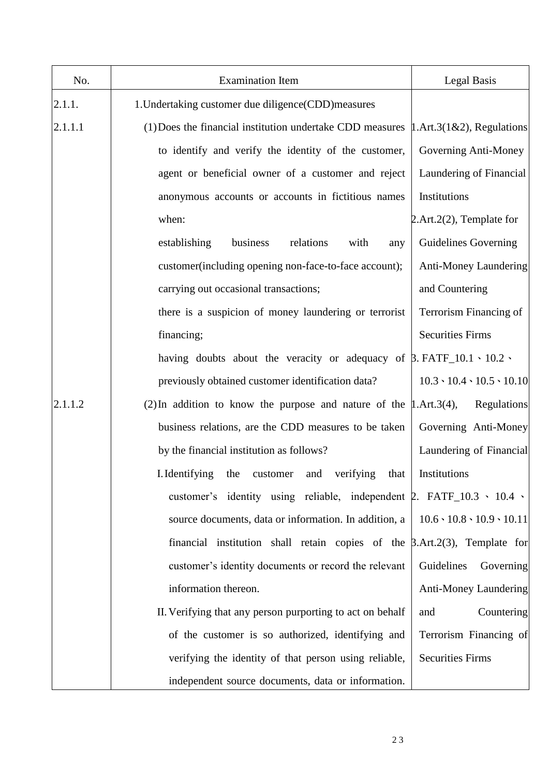| No.     | <b>Examination Item</b>                                                                      | Legal Basis                              |
|---------|----------------------------------------------------------------------------------------------|------------------------------------------|
| 2.1.1.  | 1. Undertaking customer due diligence (CDD) measures                                         |                                          |
| 2.1.1.1 | (1) Does the financial institution undertake CDD measures $\vert 1.$ Art.3(1&2), Regulations |                                          |
|         | to identify and verify the identity of the customer,                                         | Governing Anti-Money                     |
|         | agent or beneficial owner of a customer and reject                                           | Laundering of Financial                  |
|         | anonymous accounts or accounts in fictitious names                                           | Institutions                             |
|         | when:                                                                                        | $2.$ Art. $2(2)$ , Template for          |
|         | establishing<br>business<br>relations<br>with<br>any                                         | <b>Guidelines Governing</b>              |
|         | customer(including opening non-face-to-face account);                                        | Anti-Money Laundering                    |
|         | carrying out occasional transactions;                                                        | and Countering                           |
|         | there is a suspicion of money laundering or terrorist                                        | Terrorism Financing of                   |
|         | financing;                                                                                   | <b>Securities Firms</b>                  |
|         | having doubts about the veracity or adequacy of $\beta$ . FATF_10.1 \cdot 10.2 \cdot         |                                          |
|         | previously obtained customer identification data?                                            | $10.3 \cdot 10.4 \cdot 10.5 \cdot 10.10$ |
| 2.1.1.2 | (2) In addition to know the purpose and nature of the $\mu$ . Art. 3(4),                     | Regulations                              |
|         | business relations, are the CDD measures to be taken                                         | Governing Anti-Money                     |
|         | by the financial institution as follows?                                                     | Laundering of Financial                  |
|         | I. Identifying<br>verifying<br>the<br>customer<br>and<br>that                                | Institutions                             |
|         | customer's identity using reliable, independent $\beta$ . FATF_10.3 \cdot 10.4 \cdot         |                                          |
|         | source documents, data or information. In addition, a                                        | $10.6 \cdot 10.8 \cdot 10.9 \cdot 10.11$ |
|         | financial institution shall retain copies of the $\beta$ .Art.2(3), Template for             |                                          |
|         | customer's identity documents or record the relevant                                         | Guidelines<br>Governing                  |
|         | information thereon.                                                                         | <b>Anti-Money Laundering</b>             |
|         | II. Verifying that any person purporting to act on behalf                                    | Countering<br>and                        |
|         | of the customer is so authorized, identifying and                                            | Terrorism Financing of                   |
|         | verifying the identity of that person using reliable,                                        | <b>Securities Firms</b>                  |
|         | independent source documents, data or information.                                           |                                          |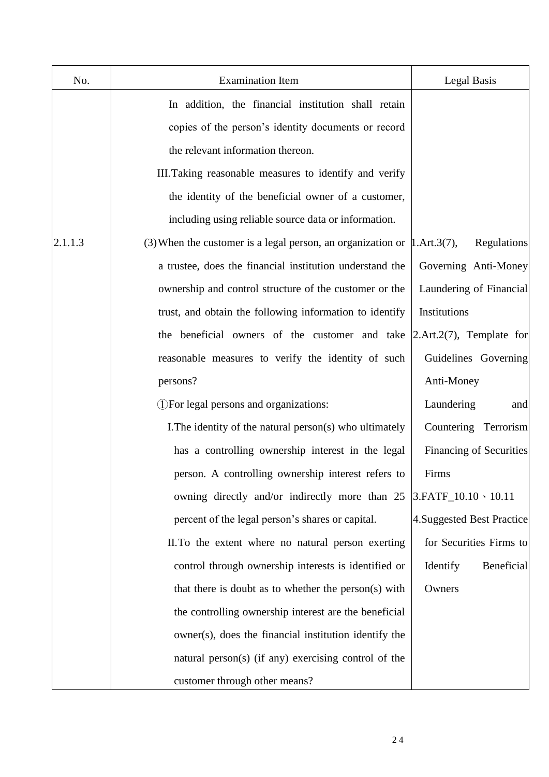| No.     | <b>Examination Item</b>                                                         | <b>Legal Basis</b>             |
|---------|---------------------------------------------------------------------------------|--------------------------------|
|         | In addition, the financial institution shall retain                             |                                |
|         | copies of the person's identity documents or record                             |                                |
|         | the relevant information thereon.                                               |                                |
|         | III. Taking reasonable measures to identify and verify                          |                                |
|         | the identity of the beneficial owner of a customer,                             |                                |
|         | including using reliable source data or information.                            |                                |
| 2.1.1.3 | (3) When the customer is a legal person, an organization or $\vert$ 1.Art.3(7), | Regulations                    |
|         | a trustee, does the financial institution understand the                        | Governing Anti-Money           |
|         | ownership and control structure of the customer or the                          | Laundering of Financial        |
|         | trust, and obtain the following information to identify                         | Institutions                   |
|         | the beneficial owners of the customer and take                                  | $[2.Art.2(7),$ Template for    |
|         | reasonable measures to verify the identity of such                              | Guidelines Governing           |
|         | persons?                                                                        | Anti-Money                     |
|         | (1) For legal persons and organizations:                                        | Laundering<br>and              |
|         | I. The identity of the natural person(s) who ultimately                         | Countering Terrorism           |
|         | has a controlling ownership interest in the legal                               | <b>Financing of Securities</b> |
|         | person. A controlling ownership interest refers to                              | Firms                          |
|         | owning directly and/or indirectly more than 25                                  | $ 3.FATF_10.10 \cdot 10.11$    |
|         | percent of the legal person's shares or capital.                                | 4. Suggested Best Practice     |
|         | II. To the extent where no natural person exerting                              | for Securities Firms to        |
|         | control through ownership interests is identified or                            | Identify<br>Beneficial         |
|         | that there is doubt as to whether the person(s) with                            | Owners                         |
|         | the controlling ownership interest are the beneficial                           |                                |
|         | owner(s), does the financial institution identify the                           |                                |
|         | natural person(s) (if any) exercising control of the                            |                                |
|         | customer through other means?                                                   |                                |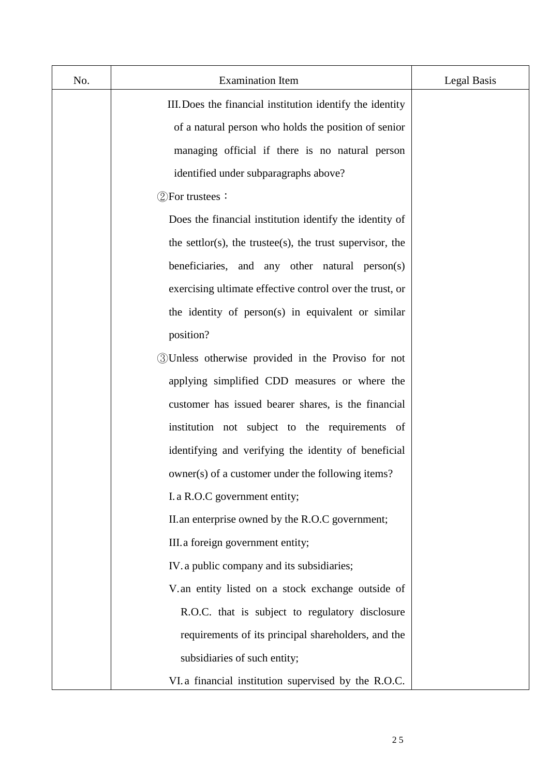| No. | <b>Examination Item</b>                                   | Legal Basis |
|-----|-----------------------------------------------------------|-------------|
|     | III. Does the financial institution identify the identity |             |
|     | of a natural person who holds the position of senior      |             |
|     | managing official if there is no natural person           |             |
|     | identified under subparagraphs above?                     |             |
|     | $\mathcal{D}$ For trustees:                               |             |
|     | Does the financial institution identify the identity of   |             |
|     | the settlor(s), the trustee(s), the trust supervisor, the |             |
|     | beneficiaries, and any other natural person(s)            |             |
|     | exercising ultimate effective control over the trust, or  |             |
|     | the identity of person(s) in equivalent or similar        |             |
|     | position?                                                 |             |
|     | 3 Unless otherwise provided in the Proviso for not        |             |
|     | applying simplified CDD measures or where the             |             |
|     | customer has issued bearer shares, is the financial       |             |
|     | institution not subject to the requirements of            |             |
|     | identifying and verifying the identity of beneficial      |             |
|     | owner(s) of a customer under the following items?         |             |
|     | I. a R.O.C government entity;                             |             |
|     | II.an enterprise owned by the R.O.C government;           |             |
|     | III. a foreign government entity;                         |             |
|     | IV. a public company and its subsidiaries;                |             |
|     | V.an entity listed on a stock exchange outside of         |             |
|     | R.O.C. that is subject to regulatory disclosure           |             |
|     | requirements of its principal shareholders, and the       |             |
|     | subsidiaries of such entity;                              |             |
|     | VI. a financial institution supervised by the R.O.C.      |             |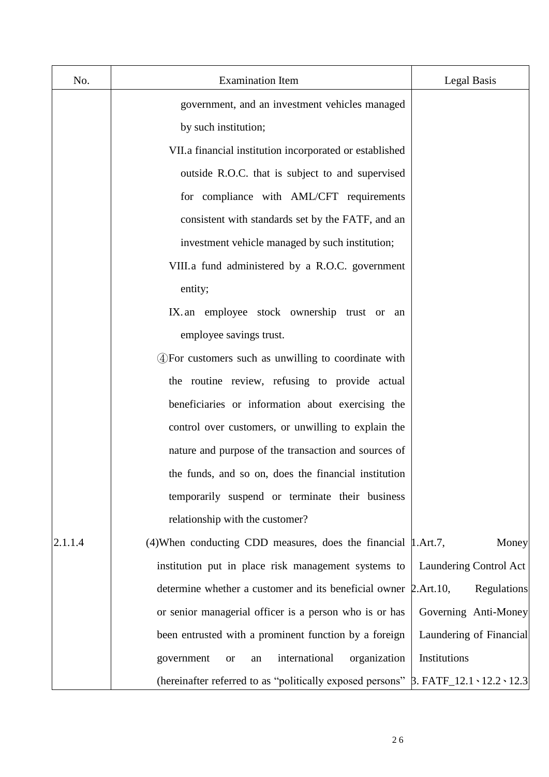| No.     | <b>Examination Item</b>                                                                             | Legal Basis             |
|---------|-----------------------------------------------------------------------------------------------------|-------------------------|
|         | government, and an investment vehicles managed                                                      |                         |
|         | by such institution;                                                                                |                         |
|         | VII.a financial institution incorporated or established                                             |                         |
|         | outside R.O.C. that is subject to and supervised                                                    |                         |
|         | for compliance with AML/CFT requirements                                                            |                         |
|         | consistent with standards set by the FATF, and an                                                   |                         |
|         | investment vehicle managed by such institution;                                                     |                         |
|         | VIII.a fund administered by a R.O.C. government                                                     |                         |
|         | entity;                                                                                             |                         |
|         | IX. an employee stock ownership trust or an                                                         |                         |
|         | employee savings trust.                                                                             |                         |
|         | 4) For customers such as unwilling to coordinate with                                               |                         |
|         | the routine review, refusing to provide actual                                                      |                         |
|         | beneficiaries or information about exercising the                                                   |                         |
|         | control over customers, or unwilling to explain the                                                 |                         |
|         | nature and purpose of the transaction and sources of                                                |                         |
|         | the funds, and so on, does the financial institution                                                |                         |
|         | temporarily suspend or terminate their business                                                     |                         |
|         | relationship with the customer?                                                                     |                         |
| 2.1.1.4 | (4) When conducting CDD measures, does the financial   1. Art.7,                                    | Money                   |
|         | institution put in place risk management systems to                                                 | Laundering Control Act  |
|         | determine whether a customer and its beneficial owner 2.Art.10,                                     | Regulations             |
|         | or senior managerial officer is a person who is or has                                              | Governing Anti-Money    |
|         | been entrusted with a prominent function by a foreign                                               | Laundering of Financial |
|         | international<br>organization<br>government<br><b>or</b><br>an                                      | Institutions            |
|         | (hereinafter referred to as "politically exposed persons" $\beta$ . FATF_12.1 \cdot 12.2 \cdot 12.3 |                         |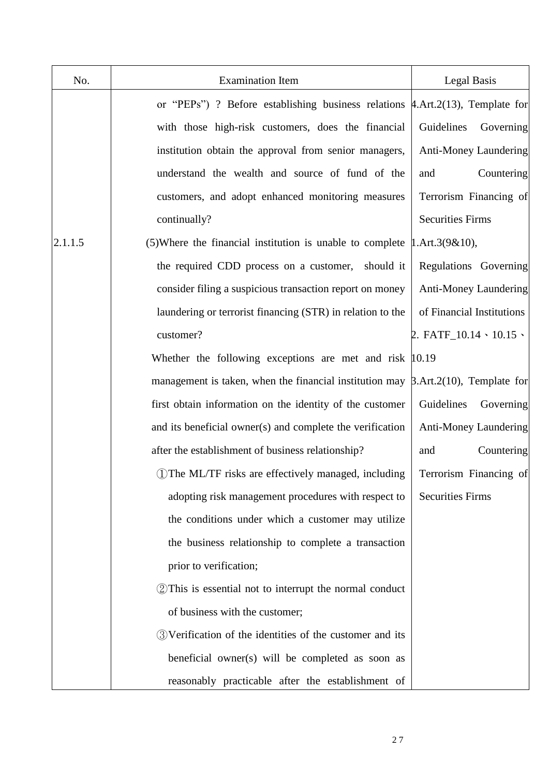| No.     | <b>Examination Item</b>                                                                  | Legal Basis                  |
|---------|------------------------------------------------------------------------------------------|------------------------------|
|         | or "PEPs") ? Before establishing business relations $\sharp$ .Art.2(13), Template for    |                              |
|         | with those high-risk customers, does the financial                                       | Guidelines<br>Governing      |
|         | institution obtain the approval from senior managers,                                    | <b>Anti-Money Laundering</b> |
|         | understand the wealth and source of fund of the                                          | and<br>Countering            |
|         | customers, and adopt enhanced monitoring measures                                        | Terrorism Financing of       |
|         | continually?                                                                             | <b>Securities Firms</b>      |
| 2.1.1.5 | (5) Where the financial institution is unable to complete                                | $1.$ Art. $3(9&10)$ ,        |
|         | the required CDD process on a customer, should it                                        | Regulations Governing        |
|         | consider filing a suspicious transaction report on money                                 | Anti-Money Laundering        |
|         | laundering or terrorist financing (STR) in relation to the                               | of Financial Institutions    |
|         | customer?                                                                                | 2. FATF_10.14 \ 10.15 \      |
|         | Whether the following exceptions are met and risk $ 10.19\rangle$                        |                              |
|         | management is taken, when the financial institution may $\beta$ .Art.2(10), Template for |                              |
|         | first obtain information on the identity of the customer                                 | Guidelines<br>Governing      |
|         | and its beneficial owner(s) and complete the verification                                | <b>Anti-Money Laundering</b> |
|         | after the establishment of business relationship?                                        | Countering<br>and            |
|         | 1) The ML/TF risks are effectively managed, including                                    | Terrorism Financing of       |
|         | adopting risk management procedures with respect to                                      | <b>Securities Firms</b>      |
|         | the conditions under which a customer may utilize                                        |                              |
|         | the business relationship to complete a transaction                                      |                              |
|         | prior to verification;                                                                   |                              |
|         | 2 This is essential not to interrupt the normal conduct                                  |                              |
|         | of business with the customer;                                                           |                              |
|         | 3) Verification of the identities of the customer and its                                |                              |
|         | beneficial owner(s) will be completed as soon as                                         |                              |
|         | reasonably practicable after the establishment of                                        |                              |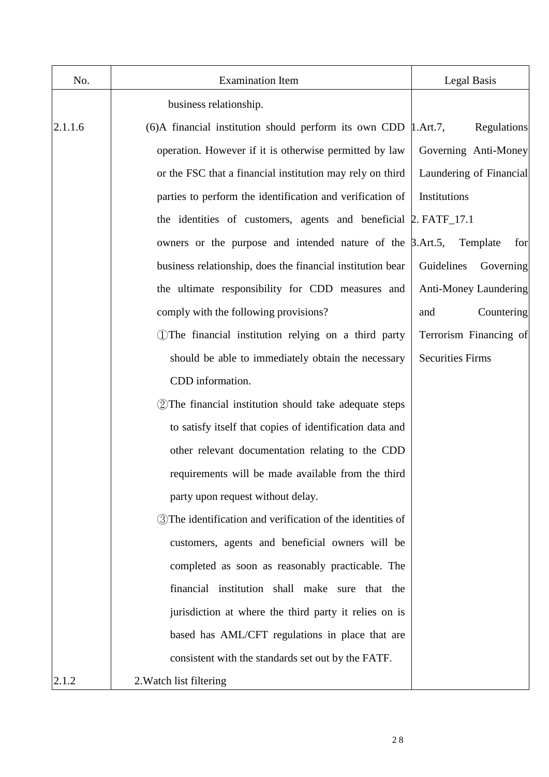| No.     | <b>Examination Item</b>                                                      | Legal Basis             |
|---------|------------------------------------------------------------------------------|-------------------------|
|         | business relationship.                                                       |                         |
| 2.1.1.6 | $(6)$ A financial institution should perform its own CDD $\parallel$ .Art.7, | Regulations             |
|         | operation. However if it is otherwise permitted by law                       | Governing Anti-Money    |
|         | or the FSC that a financial institution may rely on third                    | Laundering of Financial |
|         | parties to perform the identification and verification of                    | Institutions            |
|         | the identities of customers, agents and beneficial 2. FATF_17.1              |                         |
|         | owners or the purpose and intended nature of the $\beta$ . Art. 5,           | Template<br>for         |
|         | business relationship, does the financial institution bear                   | Guidelines<br>Governing |
|         | the ultimate responsibility for CDD measures and                             | Anti-Money Laundering   |
|         | comply with the following provisions?                                        | Countering<br>and       |
|         | (1) The financial institution relying on a third party                       | Terrorism Financing of  |
|         | should be able to immediately obtain the necessary                           | <b>Securities Firms</b> |
|         | CDD information.                                                             |                         |
|         | 2) The financial institution should take adequate steps                      |                         |
|         | to satisfy itself that copies of identification data and                     |                         |
|         | other relevant documentation relating to the CDD                             |                         |
|         | requirements will be made available from the third                           |                         |
|         | party upon request without delay.                                            |                         |
|         | <b>3</b> ) The identification and verification of the identities of          |                         |
|         | customers, agents and beneficial owners will be                              |                         |
|         | completed as soon as reasonably practicable. The                             |                         |
|         | financial institution shall make sure that the                               |                         |
|         | jurisdiction at where the third party it relies on is                        |                         |
|         | based has AML/CFT regulations in place that are                              |                         |
|         | consistent with the standards set out by the FATF.                           |                         |
| 2.1.2   | 2. Watch list filtering                                                      |                         |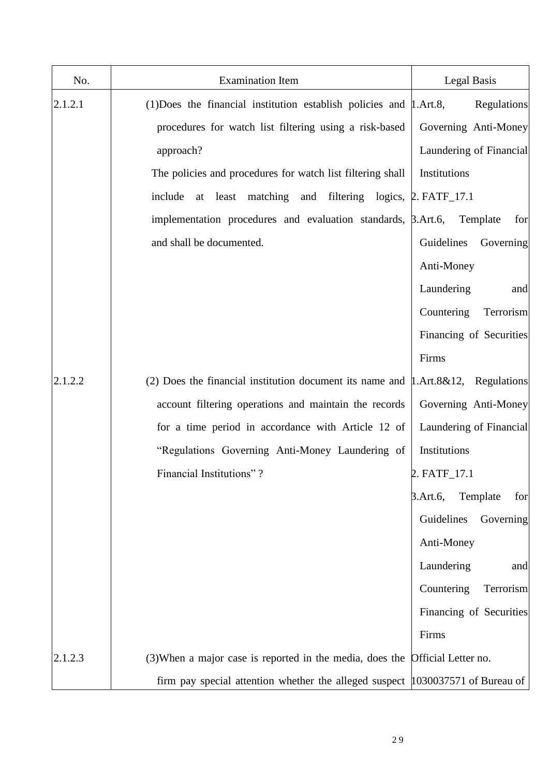| No.     | <b>Examination Item</b>                                                                 | Legal Basis                 |
|---------|-----------------------------------------------------------------------------------------|-----------------------------|
| 2.1.2.1 | $(1)$ Does the financial institution establish policies and $\mu$ .Art.8,               | Regulations                 |
|         | procedures for watch list filtering using a risk-based                                  | Governing Anti-Money        |
|         | approach?                                                                               | Laundering of Financial     |
|         | The policies and procedures for watch list filtering shall                              | Institutions                |
|         | at least matching and filtering logics, 2. FATF_17.1<br>include                         |                             |
|         | implementation procedures and evaluation standards, $\beta$ .Art.6,                     | Template<br>for             |
|         | and shall be documented.                                                                | Guidelines<br>Governing     |
|         |                                                                                         | Anti-Money                  |
|         |                                                                                         | Laundering<br>and           |
|         |                                                                                         | Countering<br>Terrorism     |
|         |                                                                                         | Financing of Securities     |
|         |                                                                                         | Firms                       |
| 2.1.2.2 | (2) Does the financial institution document its name and $\mu$ . Art. 8&12, Regulations |                             |
|         | account filtering operations and maintain the records                                   | Governing Anti-Money        |
|         | for a time period in accordance with Article 12 of                                      | Laundering of Financial     |
|         | "Regulations Governing Anti-Money Laundering of                                         | Institutions                |
|         | Financial Institutions"?                                                                | 2. FATF_17.1                |
|         |                                                                                         | Template<br>3.Art.6,<br>for |
|         |                                                                                         | Guidelines<br>Governing     |
|         |                                                                                         | Anti-Money                  |
|         |                                                                                         | Laundering<br>and           |
|         |                                                                                         | Countering<br>Terrorism     |
|         |                                                                                         | Financing of Securities     |
|         |                                                                                         | Firms                       |
| 2.1.2.3 | (3) When a major case is reported in the media, does the                                | Official Letter no.         |
|         | firm pay special attention whether the alleged suspect 1030037571 of Bureau of          |                             |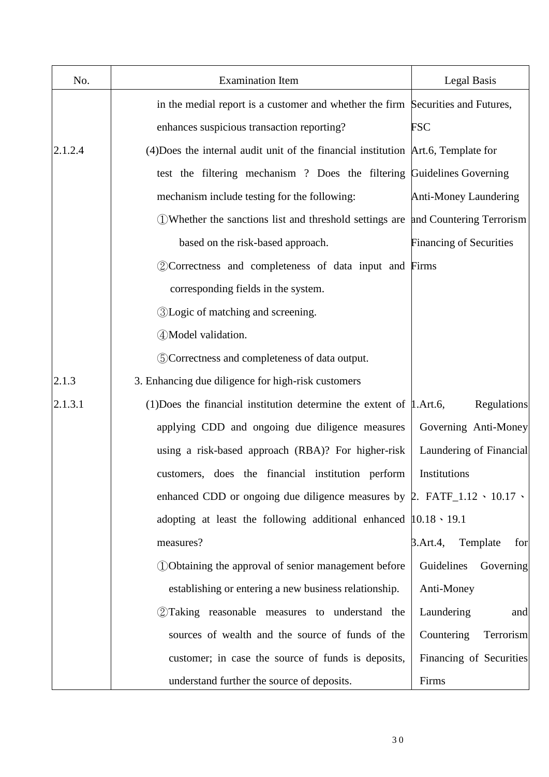| No.     | <b>Examination Item</b>                                                                     | Legal Basis                    |
|---------|---------------------------------------------------------------------------------------------|--------------------------------|
|         | in the medial report is a customer and whether the firm Securities and Futures,             |                                |
|         | enhances suspicious transaction reporting?                                                  | <b>FSC</b>                     |
| 2.1.2.4 | (4) Does the internal audit unit of the financial institution Art.6, Template for           |                                |
|         | test the filtering mechanism? Does the filtering Guidelines Governing                       |                                |
|         | mechanism include testing for the following:                                                | <b>Anti-Money Laundering</b>   |
|         | 1. DWhether the sanctions list and threshold settings are                                   | and Countering Terrorism       |
|         | based on the risk-based approach.                                                           | <b>Financing of Securities</b> |
|         | 2 Correctness and completeness of data input and Firms                                      |                                |
|         | corresponding fields in the system.                                                         |                                |
|         | <b>3</b> Logic of matching and screening.                                                   |                                |
|         | 4) Model validation.                                                                        |                                |
|         | 5 Correctness and completeness of data output.                                              |                                |
| 2.1.3   | 3. Enhancing due diligence for high-risk customers                                          |                                |
| 2.1.3.1 | (1) Does the financial institution determine the extent of $\mu$ . Art. 6,                  | <b>Regulations</b>             |
|         | applying CDD and ongoing due diligence measures                                             | Governing Anti-Money           |
|         | using a risk-based approach (RBA)? For higher-risk                                          | Laundering of Financial        |
|         | customers, does the financial institution perform                                           | Institutions                   |
|         | enhanced CDD or ongoing due diligence measures by $\beta$ . FATF_1.12 $\cdot$ 10.17 $\cdot$ |                                |
|         | adopting at least the following additional enhanced $ 10.18 \cdot 19.1 $                    |                                |
|         | measures?                                                                                   | Template<br>3. Art. 4,<br>for  |
|         | 1 Obtaining the approval of senior management before                                        | Guidelines<br>Governing        |
|         | establishing or entering a new business relationship.                                       | Anti-Money                     |
|         | 2 Taking reasonable measures to understand the                                              | Laundering<br>and              |
|         | sources of wealth and the source of funds of the                                            | Countering<br>Terrorism        |
|         | customer; in case the source of funds is deposits,                                          | Financing of Securities        |
|         | understand further the source of deposits.                                                  | Firms                          |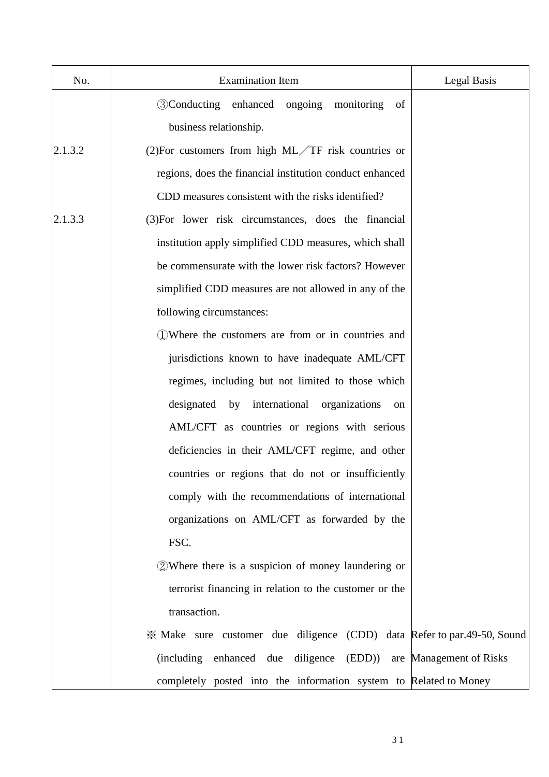| No.     | <b>Examination Item</b>                                                 | Legal Basis |
|---------|-------------------------------------------------------------------------|-------------|
|         | <b>3 Conducting enhanced ongoing</b><br>monitoring<br>of                |             |
|         | business relationship.                                                  |             |
| 2.1.3.2 | (2) For customers from high $ML/TF$ risk countries or                   |             |
|         | regions, does the financial institution conduct enhanced                |             |
|         | CDD measures consistent with the risks identified?                      |             |
| 2.1.3.3 | (3) For lower risk circumstances, does the financial                    |             |
|         | institution apply simplified CDD measures, which shall                  |             |
|         | be commensurate with the lower risk factors? However                    |             |
|         | simplified CDD measures are not allowed in any of the                   |             |
|         | following circumstances:                                                |             |
|         | (1) Where the customers are from or in countries and                    |             |
|         | jurisdictions known to have inadequate AML/CFT                          |             |
|         | regimes, including but not limited to those which                       |             |
|         | designated by international organizations<br>on                         |             |
|         | AML/CFT as countries or regions with serious                            |             |
|         | deficiencies in their AML/CFT regime, and other                         |             |
|         | countries or regions that do not or insufficiently                      |             |
|         | comply with the recommendations of international                        |             |
|         | organizations on AML/CFT as forwarded by the                            |             |
|         | FSC.                                                                    |             |
|         | 2 Where there is a suspicion of money laundering or                     |             |
|         | terrorist financing in relation to the customer or the                  |             |
|         | transaction.                                                            |             |
|         | * Make sure customer due diligence (CDD) data Refer to par.49-50, Sound |             |
|         | (including enhanced due diligence (EDD)) are Management of Risks        |             |
|         | completely posted into the information system to Related to Money       |             |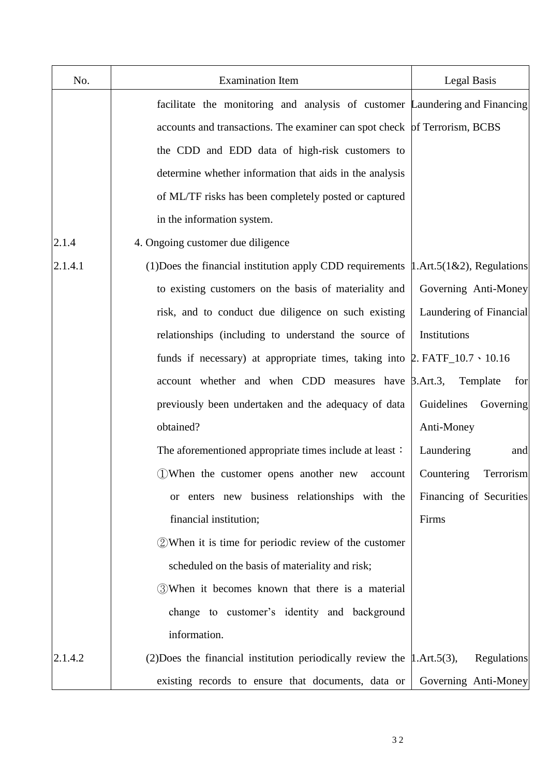| No.     | <b>Examination Item</b>                                                                           | Legal Basis                    |
|---------|---------------------------------------------------------------------------------------------------|--------------------------------|
|         | facilitate the monitoring and analysis of customer Laundering and Financing                       |                                |
|         | accounts and transactions. The examiner can spot check of Terrorism, BCBS                         |                                |
|         | the CDD and EDD data of high-risk customers to                                                    |                                |
|         | determine whether information that aids in the analysis                                           |                                |
|         | of ML/TF risks has been completely posted or captured                                             |                                |
|         | in the information system.                                                                        |                                |
| 2.1.4   | 4. Ongoing customer due diligence                                                                 |                                |
| 2.1.4.1 | (1) Does the financial institution apply CDD requirements $\vert 1.$ Art. $5(1\&2)$ , Regulations |                                |
|         | to existing customers on the basis of materiality and                                             | Governing Anti-Money           |
|         | risk, and to conduct due diligence on such existing                                               | Laundering of Financial        |
|         | relationships (including to understand the source of                                              | Institutions                   |
|         | funds if necessary) at appropriate times, taking into $\beta$ . FATF_10.7 $\cdot$ 10.16           |                                |
|         | account whether and when CDD measures have $\beta$ .Art.3,                                        | Template<br>for                |
|         | previously been undertaken and the adequacy of data                                               | Guidelines<br>Governing        |
|         | obtained?                                                                                         | Anti-Money                     |
|         | The aforementioned appropriate times include at least:                                            | Laundering<br>and              |
|         | 1) When the customer opens another new<br>account                                                 | Countering<br><b>Terrorism</b> |
|         | or enters new business relationships with the                                                     | Financing of Securities        |
|         | financial institution;                                                                            | Firms                          |
|         | 2 When it is time for periodic review of the customer                                             |                                |
|         | scheduled on the basis of materiality and risk;                                                   |                                |
|         | 3 When it becomes known that there is a material                                                  |                                |
|         | change to customer's identity and background                                                      |                                |
|         | information.                                                                                      |                                |
| 2.1.4.2 | (2) Does the financial institution periodically review the $\mu$ . Art. 5(3),                     | <b>Regulations</b>             |
|         | existing records to ensure that documents, data or                                                | Governing Anti-Money           |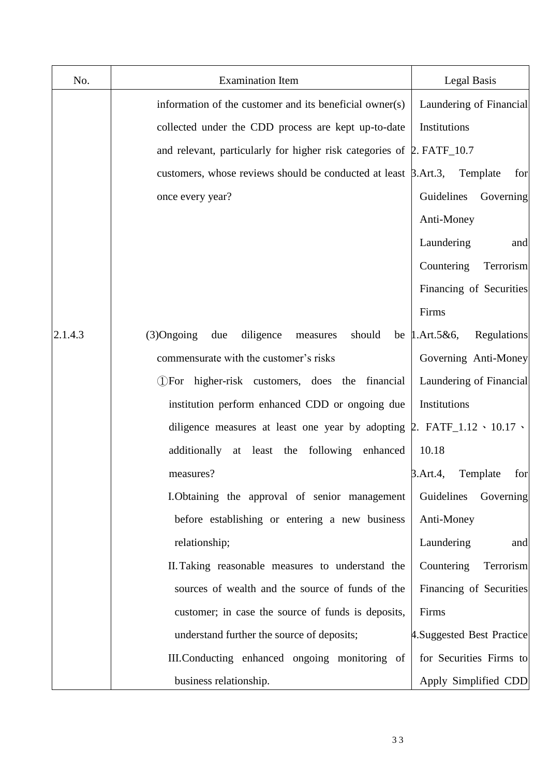| No.     | <b>Examination Item</b>                                                                | Legal Basis                         |
|---------|----------------------------------------------------------------------------------------|-------------------------------------|
|         | information of the customer and its beneficial owner(s)                                | Laundering of Financial             |
|         | collected under the CDD process are kept up-to-date                                    | Institutions                        |
|         | and relevant, particularly for higher risk categories of $\beta$ . FATF_10.7           |                                     |
|         | customers, whose reviews should be conducted at least $\beta$ .Art.3,                  | Template<br>for                     |
|         | once every year?                                                                       | Guidelines<br>Governing             |
|         |                                                                                        | Anti-Money                          |
|         |                                                                                        | Laundering<br>and                   |
|         |                                                                                        | Countering<br>Terrorism             |
|         |                                                                                        | Financing of Securities             |
|         |                                                                                        | Firms                               |
| 2.1.4.3 | $(3)$ Ongoing<br>diligence<br>due<br>should<br>measures                                | Regulations<br>be $1.$ Art. $5&6$ , |
|         | commensurate with the customer's risks                                                 | Governing Anti-Money                |
|         | (DFor higher-risk customers, does the financial                                        | Laundering of Financial             |
|         | institution perform enhanced CDD or ongoing due                                        | Institutions                        |
|         | diligence measures at least one year by adopting $\beta$ . FATF_1.12 \cdot 10.17 \cdot |                                     |
|         | additionally at least the following enhanced                                           | 10.18                               |
|         | measures?                                                                              | 3.Art.4,<br>Template<br>for         |
|         | I. Obtaining the approval of senior management                                         | Governing<br>Guidelines             |
|         | before establishing or entering a new business                                         | Anti-Money                          |
|         | relationship;                                                                          | Laundering<br>and                   |
|         | II. Taking reasonable measures to understand the                                       | Countering<br>Terrorism             |
|         | sources of wealth and the source of funds of the                                       | Financing of Securities             |
|         | customer; in case the source of funds is deposits,                                     | Firms                               |
|         | understand further the source of deposits;                                             | 4. Suggested Best Practice          |
|         | III. Conducting enhanced ongoing monitoring of                                         | for Securities Firms to             |
|         | business relationship.                                                                 | Apply Simplified CDD                |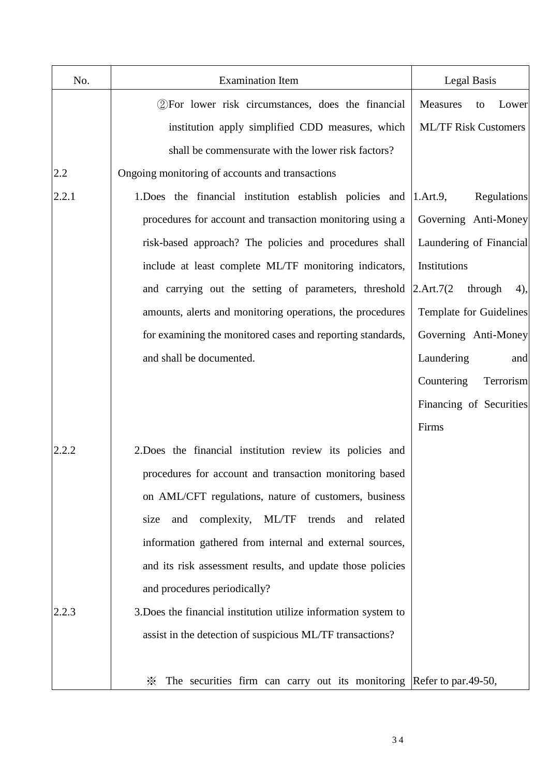| No.   | <b>Examination Item</b>                                                   | Legal Basis                  |
|-------|---------------------------------------------------------------------------|------------------------------|
|       | 2) For lower risk circumstances, does the financial                       | Measures<br>Lower<br>to      |
|       | institution apply simplified CDD measures, which                          | <b>ML/TF Risk Customers</b>  |
|       | shall be commensurate with the lower risk factors?                        |                              |
| 2.2   | Ongoing monitoring of accounts and transactions                           |                              |
| 2.2.1 | 1. Does the financial institution establish policies and                  | 1.Art.9,<br>Regulations      |
|       | procedures for account and transaction monitoring using a                 | Governing Anti-Money         |
|       | risk-based approach? The policies and procedures shall                    | Laundering of Financial      |
|       | include at least complete ML/TF monitoring indicators,                    | Institutions                 |
|       | and carrying out the setting of parameters, threshold                     | 2.Art.7(2)<br>through<br>4), |
|       | amounts, alerts and monitoring operations, the procedures                 | Template for Guidelines      |
|       | for examining the monitored cases and reporting standards,                | Governing Anti-Money         |
|       | and shall be documented.                                                  | Laundering<br>and            |
|       |                                                                           | Countering<br>Terrorism      |
|       |                                                                           | Financing of Securities      |
|       |                                                                           | Firms                        |
| 2.2.2 | 2. Does the financial institution review its policies and                 |                              |
|       | procedures for account and transaction monitoring based                   |                              |
|       | on AML/CFT regulations, nature of customers, business                     |                              |
|       | complexity,<br>ML/TF<br>related<br>size<br>and<br>trends<br>and           |                              |
|       | information gathered from internal and external sources,                  |                              |
|       | and its risk assessment results, and update those policies                |                              |
|       | and procedures periodically?                                              |                              |
| 2.2.3 | 3. Does the financial institution utilize information system to           |                              |
|       | assist in the detection of suspicious ML/TF transactions?                 |                              |
|       | The securities firm can carry out its monitoring Refer to par.49-50,<br>☀ |                              |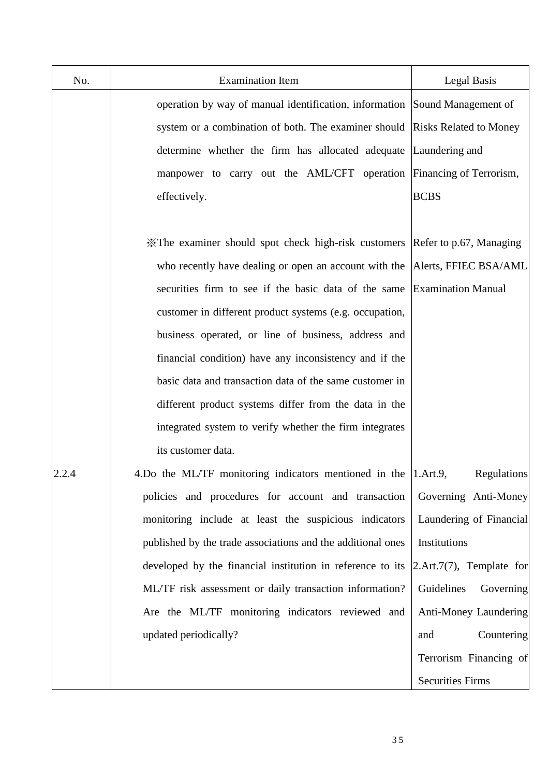| No.   | <b>Examination Item</b>                                                     | <b>Legal Basis</b>          |
|-------|-----------------------------------------------------------------------------|-----------------------------|
|       | operation by way of manual identification, information Sound Management of  |                             |
|       | system or a combination of both. The examiner should Risks Related to Money |                             |
|       | determine whether the firm has allocated adequate Laundering and            |                             |
|       | manpower to carry out the AML/CFT operation Financing of Terrorism,         |                             |
|       | effectively.                                                                | <b>BCBS</b>                 |
|       |                                                                             |                             |
|       | X The examiner should spot check high-risk customers                        | Refer to p.67, Managing     |
|       | who recently have dealing or open an account with the                       | Alerts, FFIEC BSA/AML       |
|       | securities firm to see if the basic data of the same                        | <b>Examination Manual</b>   |
|       | customer in different product systems (e.g. occupation,                     |                             |
|       | business operated, or line of business, address and                         |                             |
|       | financial condition) have any inconsistency and if the                      |                             |
|       | basic data and transaction data of the same customer in                     |                             |
|       | different product systems differ from the data in the                       |                             |
|       | integrated system to verify whether the firm integrates                     |                             |
|       | its customer data.                                                          |                             |
| 2.2.4 | 4. Do the ML/TF monitoring indicators mentioned in the 1. Art.9,            | <b>Regulations</b>          |
|       | policies and procedures for account and transaction                         | Governing Anti-Money        |
|       | monitoring include at least the suspicious indicators                       | Laundering of Financial     |
|       | published by the trade associations and the additional ones                 | Institutions                |
|       | developed by the financial institution in reference to its                  | $[2.Art.7(7),$ Template for |
|       | ML/TF risk assessment or daily transaction information?                     | Guidelines<br>Governing     |
|       | Are the ML/TF monitoring indicators reviewed and                            | Anti-Money Laundering       |
|       | updated periodically?                                                       | Countering<br>and           |
|       |                                                                             | Terrorism Financing of      |
|       |                                                                             | <b>Securities Firms</b>     |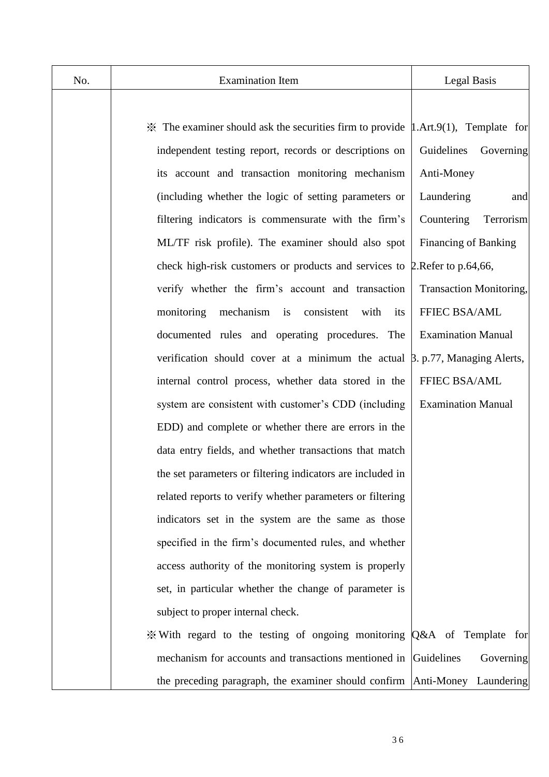| No. | <b>Examination Item</b>                                                                                     | Legal Basis                    |
|-----|-------------------------------------------------------------------------------------------------------------|--------------------------------|
|     |                                                                                                             |                                |
|     | $\mathcal{K}$ The examiner should ask the securities firm to provide $\mathcal{L}$ . Art.9(1), Template for |                                |
|     | independent testing report, records or descriptions on                                                      | Guidelines<br>Governing        |
|     | its account and transaction monitoring mechanism                                                            | Anti-Money                     |
|     | (including whether the logic of setting parameters or                                                       | Laundering<br>and              |
|     | filtering indicators is commensurate with the firm's                                                        | Countering<br>Terrorism        |
|     | ML/TF risk profile). The examiner should also spot                                                          | Financing of Banking           |
|     | check high-risk customers or products and services to 2. Refer to p.64,66,                                  |                                |
|     | verify whether the firm's account and transaction                                                           | <b>Transaction Monitoring,</b> |
|     | mechanism<br>monitoring<br>is consistent<br>with<br>its                                                     | FFIEC BSA/AML                  |
|     | documented rules and operating procedures. The                                                              | <b>Examination Manual</b>      |
|     | verification should cover at a minimum the actual $\beta$ . p.77, Managing Alerts,                          |                                |
|     | internal control process, whether data stored in the                                                        | FFIEC BSA/AML                  |
|     | system are consistent with customer's CDD (including                                                        | <b>Examination Manual</b>      |
|     | EDD) and complete or whether there are errors in the                                                        |                                |
|     | data entry fields, and whether transactions that match                                                      |                                |
|     | the set parameters or filtering indicators are included in                                                  |                                |
|     | related reports to verify whether parameters or filtering                                                   |                                |
|     | indicators set in the system are the same as those                                                          |                                |
|     | specified in the firm's documented rules, and whether                                                       |                                |
|     | access authority of the monitoring system is properly                                                       |                                |
|     | set, in particular whether the change of parameter is                                                       |                                |
|     | subject to proper internal check.                                                                           |                                |
|     | $\frac{1}{2}$ With regard to the testing of ongoing monitoring Q&A of Template for                          |                                |
|     | mechanism for accounts and transactions mentioned in                                                        | Guidelines<br>Governing        |
|     | the preceding paragraph, the examiner should confirm Anti-Money Laundering                                  |                                |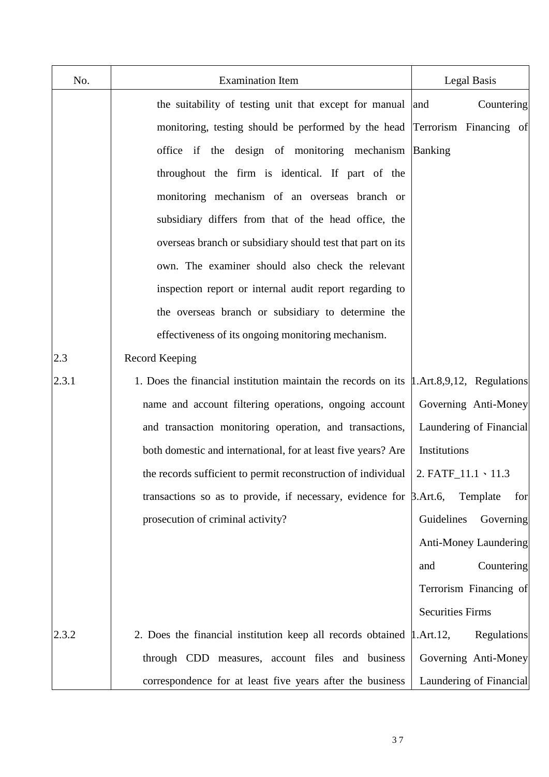| No.   | <b>Examination Item</b>                                                                        | Legal Basis               |
|-------|------------------------------------------------------------------------------------------------|---------------------------|
|       | the suitability of testing unit that except for manual and                                     | Countering                |
|       | monitoring, testing should be performed by the head Terrorism Financing of                     |                           |
|       | office if the design of monitoring mechanism Banking                                           |                           |
|       | throughout the firm is identical. If part of the                                               |                           |
|       | monitoring mechanism of an overseas branch or                                                  |                           |
|       | subsidiary differs from that of the head office, the                                           |                           |
|       | overseas branch or subsidiary should test that part on its                                     |                           |
|       | own. The examiner should also check the relevant                                               |                           |
|       | inspection report or internal audit report regarding to                                        |                           |
|       | the overseas branch or subsidiary to determine the                                             |                           |
|       | effectiveness of its ongoing monitoring mechanism.                                             |                           |
| 2.3   | Record Keeping                                                                                 |                           |
| 2.3.1 | 1. Does the financial institution maintain the records on its $\mu$ . Art. 8,9,12, Regulations |                           |
|       | name and account filtering operations, ongoing account                                         | Governing Anti-Money      |
|       | and transaction monitoring operation, and transactions,                                        | Laundering of Financial   |
|       | both domestic and international, for at least five years? Are                                  | Institutions              |
|       | the records sufficient to permit reconstruction of individual                                  | 2. $FATF_11.1 \cdot 11.3$ |
|       | transactions so as to provide, if necessary, evidence for $\beta$ . Art. 6,                    | Template<br>for           |
|       | prosecution of criminal activity?                                                              | Guidelines<br>Governing   |
|       |                                                                                                | Anti-Money Laundering     |
|       |                                                                                                | Countering<br>and         |
|       |                                                                                                | Terrorism Financing of    |
|       |                                                                                                | <b>Securities Firms</b>   |
| 2.3.2 | 2. Does the financial institution keep all records obtained $\mu$ . Art. 12,                   | Regulations               |
|       | through CDD measures, account files and business                                               | Governing Anti-Money      |
|       | correspondence for at least five years after the business                                      | Laundering of Financial   |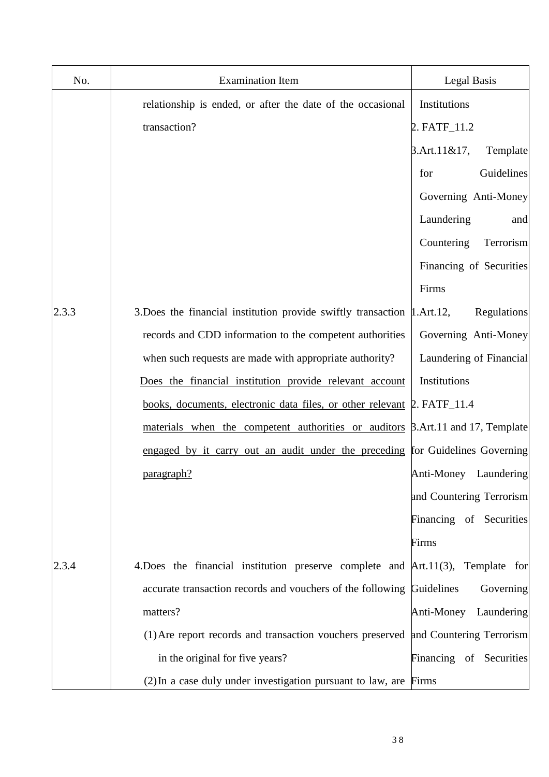| No.   | <b>Examination Item</b>                                                               | Legal Basis                 |
|-------|---------------------------------------------------------------------------------------|-----------------------------|
|       | relationship is ended, or after the date of the occasional                            | Institutions                |
|       | transaction?                                                                          | 2. FATF_11.2                |
|       |                                                                                       | $3.$ Art.11&17,<br>Template |
|       |                                                                                       | Guidelines<br>for           |
|       |                                                                                       | Governing Anti-Money        |
|       |                                                                                       | Laundering<br>and           |
|       |                                                                                       | Countering<br>Terrorism     |
|       |                                                                                       | Financing of Securities     |
|       |                                                                                       | Firms                       |
| 2.3.3 | 3. Does the financial institution provide swiftly transaction $\mu$ . Art. 12,        | Regulations                 |
|       | records and CDD information to the competent authorities                              | Governing Anti-Money        |
|       | when such requests are made with appropriate authority?                               | Laundering of Financial     |
|       | Does the financial institution provide relevant account                               | Institutions                |
|       | books, documents, electronic data files, or other relevant 2. FATF_11.4               |                             |
|       | materials when the competent authorities or auditors <b>B.Art.11</b> and 17, Template |                             |
|       | engaged by it carry out an audit under the preceding for Guidelines Governing         |                             |
|       | paragraph?                                                                            | Anti-Money Laundering       |
|       |                                                                                       | and Countering Terrorism    |
|       |                                                                                       | Financing of Securities     |
|       |                                                                                       | Firms                       |
| 2.3.4 | 4. Does the financial institution preserve complete and $Art.11(3)$ , Template for    |                             |
|       | accurate transaction records and vouchers of the following Guidelines                 | Governing                   |
|       | matters?                                                                              | Anti-Money<br>Laundering    |
|       | (1) Are report records and transaction vouchers preserved and Countering Terrorism    |                             |
|       | in the original for five years?                                                       | Financing of Securities     |
|       | (2) In a case duly under investigation pursuant to law, are Firms                     |                             |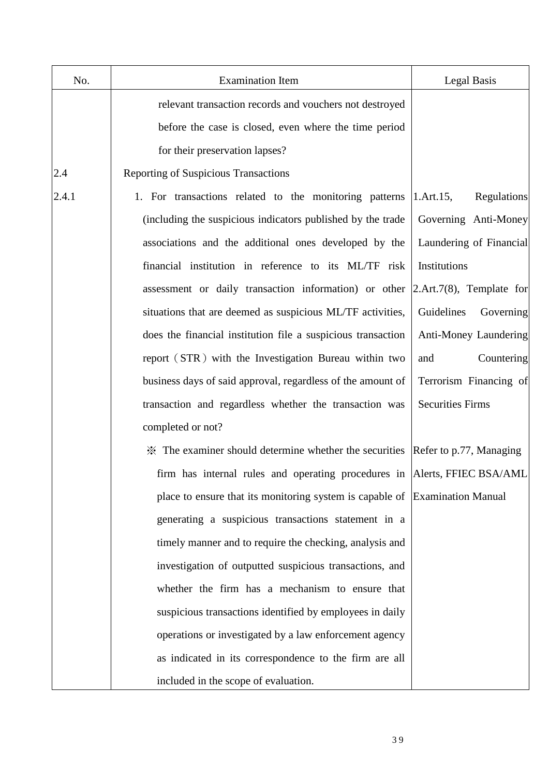| No.   | <b>Examination Item</b>                                                                   | Legal Basis                           |
|-------|-------------------------------------------------------------------------------------------|---------------------------------------|
|       | relevant transaction records and vouchers not destroyed                                   |                                       |
|       | before the case is closed, even where the time period                                     |                                       |
|       | for their preservation lapses?                                                            |                                       |
| 2.4   | Reporting of Suspicious Transactions                                                      |                                       |
| 2.4.1 | 1. For transactions related to the monitoring patterns                                    | $1.$ Art. $15,$<br><b>Regulations</b> |
|       | (including the suspicious indicators published by the trade                               | Governing Anti-Money                  |
|       | associations and the additional ones developed by the                                     | Laundering of Financial               |
|       | financial institution in reference to its ML/TF risk                                      | Institutions                          |
|       | assessment or daily transaction information) or other                                     | $2.$ Art.7(8), Template for           |
|       | situations that are deemed as suspicious ML/TF activities,                                | Guidelines<br>Governing               |
|       | does the financial institution file a suspicious transaction                              | Anti-Money Laundering                 |
|       | report (STR) with the Investigation Bureau within two                                     | Countering<br>and                     |
|       | business days of said approval, regardless of the amount of                               | Terrorism Financing of                |
|       | transaction and regardless whether the transaction was                                    | <b>Securities Firms</b>               |
|       | completed or not?                                                                         |                                       |
|       | $\mathcal X$ The examiner should determine whether the securities Refer to p.77, Managing |                                       |
|       | firm has internal rules and operating procedures in  Alerts, FFIEC BSA/AML                |                                       |
|       | place to ensure that its monitoring system is capable of Examination Manual               |                                       |
|       | generating a suspicious transactions statement in a                                       |                                       |
|       | timely manner and to require the checking, analysis and                                   |                                       |
|       | investigation of outputted suspicious transactions, and                                   |                                       |
|       | whether the firm has a mechanism to ensure that                                           |                                       |
|       | suspicious transactions identified by employees in daily                                  |                                       |
|       | operations or investigated by a law enforcement agency                                    |                                       |
|       | as indicated in its correspondence to the firm are all                                    |                                       |
|       | included in the scope of evaluation.                                                      |                                       |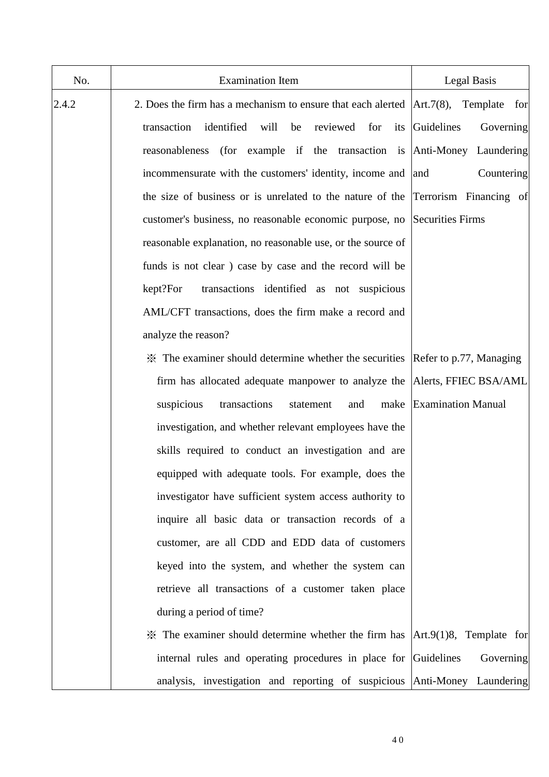| No.   | <b>Examination Item</b>                                                                          | Legal Basis             |
|-------|--------------------------------------------------------------------------------------------------|-------------------------|
| 2.4.2 | 2. Does the firm has a mechanism to ensure that each alerted $\vert Art.7(8),\vert$              | Template<br>for         |
|       | identified<br>reviewed for<br>transaction<br>will<br>be<br>its                                   | Guidelines<br>Governing |
|       | reasonableness (for example if the transaction is Anti-Money Laundering                          |                         |
|       | incommensurate with the customers' identity, income and  and                                     | Countering              |
|       | the size of business or is unrelated to the nature of the Terrorism Financing of                 |                         |
|       | customer's business, no reasonable economic purpose, no Securities Firms                         |                         |
|       | reasonable explanation, no reasonable use, or the source of                                      |                         |
|       | funds is not clear) case by case and the record will be                                          |                         |
|       | transactions identified as not suspicious<br>kept?For                                            |                         |
|       | AML/CFT transactions, does the firm make a record and                                            |                         |
|       | analyze the reason?                                                                              |                         |
|       | $\mathcal X$ The examiner should determine whether the securities Refer to p.77, Managing        |                         |
|       | firm has allocated adequate manpower to analyze the Alerts, FFIEC BSA/AML                        |                         |
|       | transactions<br>suspicious<br>statement<br>and                                                   | make Examination Manual |
|       | investigation, and whether relevant employees have the                                           |                         |
|       | skills required to conduct an investigation and are                                              |                         |
|       | equipped with adequate tools. For example, does the                                              |                         |
|       | investigator have sufficient system access authority to                                          |                         |
|       | inquire all basic data or transaction records of a                                               |                         |
|       | customer, are all CDD and EDD data of customers                                                  |                         |
|       | keyed into the system, and whether the system can                                                |                         |
|       | retrieve all transactions of a customer taken place                                              |                         |
|       | during a period of time?                                                                         |                         |
|       | $\mathcal X$ The examiner should determine whether the firm has $\vert Art.9(1)8$ , Template for |                         |
|       | internal rules and operating procedures in place for Guidelines                                  | Governing               |
|       | analysis, investigation and reporting of suspicious Anti-Money Laundering                        |                         |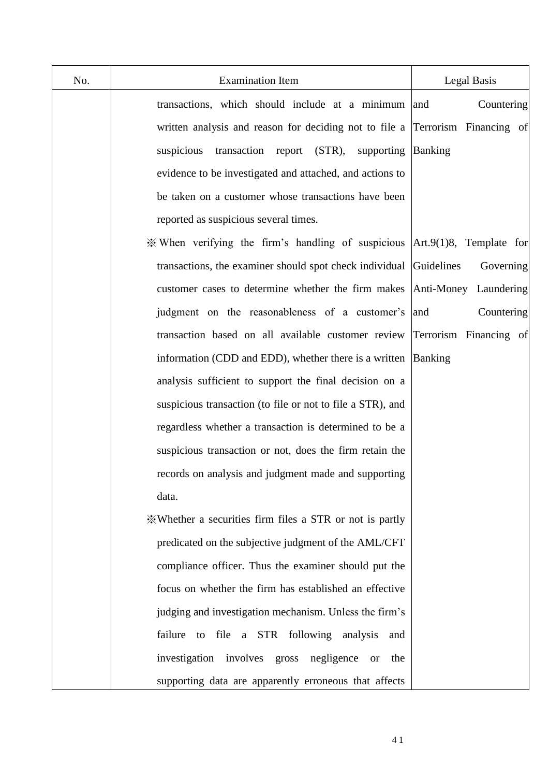| No. | <b>Examination Item</b>                                                                         | Legal Basis            |
|-----|-------------------------------------------------------------------------------------------------|------------------------|
|     | transactions, which should include at a minimum                                                 | Countering<br>and      |
|     | written analysis and reason for deciding not to file a Terrorism Financing of                   |                        |
|     | suspicious<br>transaction report (STR),<br>supporting                                           | <b>Banking</b>         |
|     | evidence to be investigated and attached, and actions to                                        |                        |
|     | be taken on a customer whose transactions have been                                             |                        |
|     | reported as suspicious several times.                                                           |                        |
|     | $\mathcal X$ When verifying the firm's handling of suspicious $\text{Art.}9(1)8$ , Template for |                        |
|     | transactions, the examiner should spot check individual Guidelines                              | Governing              |
|     | customer cases to determine whether the firm makes                                              | Anti-Money Laundering  |
|     | judgment on the reasonableness of a customer's                                                  | Countering<br>and      |
|     | transaction based on all available customer review                                              | Terrorism Financing of |
|     | information (CDD and EDD), whether there is a written                                           | Banking                |
|     | analysis sufficient to support the final decision on a                                          |                        |
|     | suspicious transaction (to file or not to file a STR), and                                      |                        |
|     | regardless whether a transaction is determined to be a                                          |                        |
|     | suspicious transaction or not, does the firm retain the                                         |                        |
|     | records on analysis and judgment made and supporting                                            |                        |
|     | data.                                                                                           |                        |
|     | *Whether a securities firm files a STR or not is partly                                         |                        |
|     | predicated on the subjective judgment of the AML/CFT                                            |                        |
|     | compliance officer. Thus the examiner should put the                                            |                        |
|     | focus on whether the firm has established an effective                                          |                        |
|     | judging and investigation mechanism. Unless the firm's                                          |                        |
|     | failure to file a STR following analysis<br>and                                                 |                        |
|     | investigation involves gross negligence<br>the<br><b>or</b>                                     |                        |
|     | supporting data are apparently erroneous that affects                                           |                        |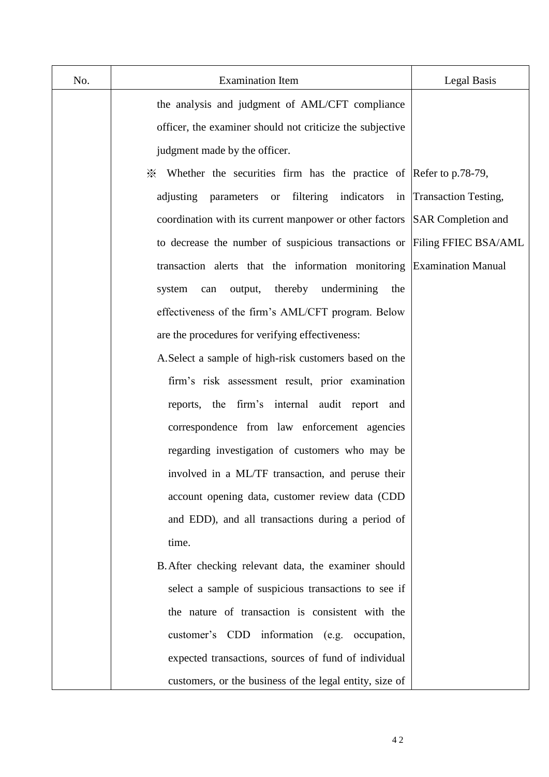| No. | <b>Examination Item</b>                                                         | Legal Basis               |
|-----|---------------------------------------------------------------------------------|---------------------------|
|     | the analysis and judgment of AML/CFT compliance                                 |                           |
|     | officer, the examiner should not criticize the subjective                       |                           |
|     | judgment made by the officer.                                                   |                           |
|     | $\frac{3}{2}$ Whether the securities firm has the practice of Refer to p.78-79, |                           |
|     | or filtering indicators in Transaction Testing,<br>adjusting parameters         |                           |
|     | coordination with its current manpower or other factors                         | <b>SAR</b> Completion and |
|     | to decrease the number of suspicious transactions or                            | Filing FFIEC BSA/AML      |
|     | transaction alerts that the information monitoring                              | <b>Examination Manual</b> |
|     | thereby undermining<br>output,<br>the<br>system<br>can                          |                           |
|     | effectiveness of the firm's AML/CFT program. Below                              |                           |
|     | are the procedures for verifying effectiveness:                                 |                           |
|     | A. Select a sample of high-risk customers based on the                          |                           |
|     | firm's risk assessment result, prior examination                                |                           |
|     | reports, the firm's internal audit report and                                   |                           |
|     | correspondence from law enforcement agencies                                    |                           |
|     | regarding investigation of customers who may be                                 |                           |
|     | involved in a ML/TF transaction, and peruse their                               |                           |
|     | account opening data, customer review data (CDD                                 |                           |
|     | and EDD), and all transactions during a period of                               |                           |
|     | time.                                                                           |                           |
|     | B. After checking relevant data, the examiner should                            |                           |
|     | select a sample of suspicious transactions to see if                            |                           |
|     | the nature of transaction is consistent with the                                |                           |
|     | customer's CDD information (e.g. occupation,                                    |                           |
|     | expected transactions, sources of fund of individual                            |                           |
|     | customers, or the business of the legal entity, size of                         |                           |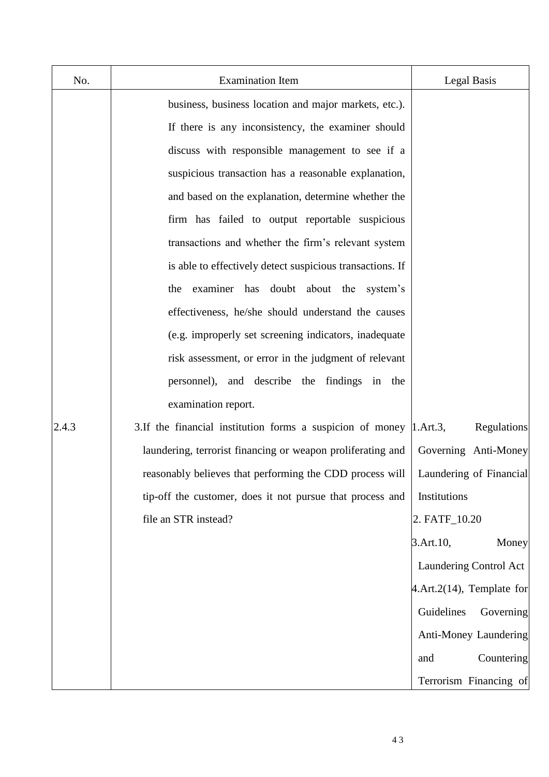| No.   | <b>Examination Item</b>                                                | Legal Basis                   |
|-------|------------------------------------------------------------------------|-------------------------------|
|       | business, business location and major markets, etc.).                  |                               |
|       | If there is any inconsistency, the examiner should                     |                               |
|       | discuss with responsible management to see if a                        |                               |
|       | suspicious transaction has a reasonable explanation,                   |                               |
|       | and based on the explanation, determine whether the                    |                               |
|       | firm has failed to output reportable suspicious                        |                               |
|       | transactions and whether the firm's relevant system                    |                               |
|       | is able to effectively detect suspicious transactions. If              |                               |
|       | the examiner has doubt about the system's                              |                               |
|       | effectiveness, he/she should understand the causes                     |                               |
|       | (e.g. improperly set screening indicators, inadequate                  |                               |
|       | risk assessment, or error in the judgment of relevant                  |                               |
|       | personnel), and describe the findings in the                           |                               |
|       | examination report.                                                    |                               |
| 2.4.3 | 3. If the financial institution forms a suspicion of money  1. Art. 3, | Regulations                   |
|       | laundering, terrorist financing or weapon proliferating and            | Governing Anti-Money          |
|       | reasonably believes that performing the CDD process will               | Laundering of Financial       |
|       | tip-off the customer, does it not pursue that process and              | Institutions                  |
|       | file an STR instead?                                                   | 2. FATF_10.20                 |
|       |                                                                        | 3.Art.10,<br>Money            |
|       |                                                                        | Laundering Control Act        |
|       |                                                                        | $4. Art.2(14)$ , Template for |
|       |                                                                        | Guidelines<br>Governing       |
|       |                                                                        | Anti-Money Laundering         |
|       |                                                                        | Countering<br>and             |
|       |                                                                        | Terrorism Financing of        |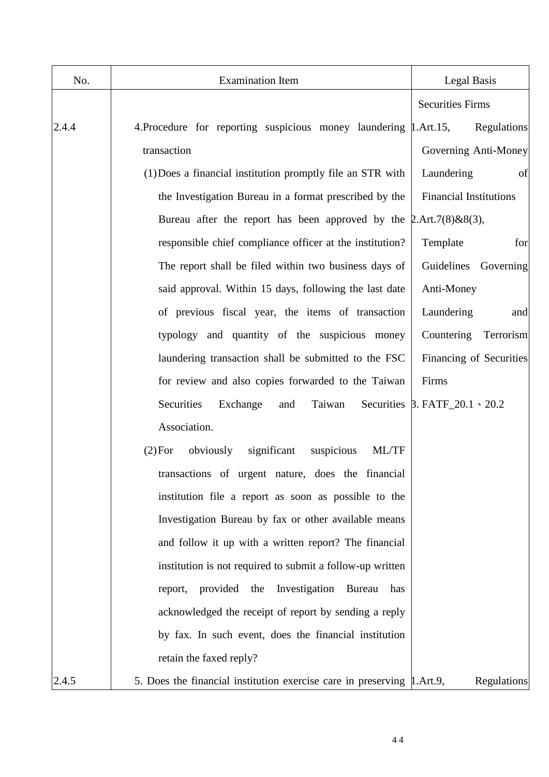| No.   | <b>Examination Item</b>                                                  | Legal Basis                               |
|-------|--------------------------------------------------------------------------|-------------------------------------------|
|       |                                                                          | <b>Securities Firms</b>                   |
| 2.4.4 | 4. Procedure for reporting suspicious money laundering 1. Art. 15,       | Regulations                               |
|       | transaction                                                              | Governing Anti-Money                      |
|       | (1) Does a financial institution promptly file an STR with               | Laundering<br>of                          |
|       | the Investigation Bureau in a format prescribed by the                   | <b>Financial Institutions</b>             |
|       | Bureau after the report has been approved by the $2. Art. 7(8) & 8(3)$ , |                                           |
|       | responsible chief compliance officer at the institution?                 | Template<br>for                           |
|       | The report shall be filed within two business days of                    | Guidelines Governing                      |
|       | said approval. Within 15 days, following the last date                   | Anti-Money                                |
|       | of previous fiscal year, the items of transaction                        | Laundering<br>and                         |
|       | typology and quantity of the suspicious money                            | Countering<br>Terrorism                   |
|       | laundering transaction shall be submitted to the FSC                     | Financing of Securities                   |
|       | for review and also copies forwarded to the Taiwan                       | Firms                                     |
|       | Securities<br>Exchange<br>Taiwan<br>and                                  | Securities $\beta$ . FATF_20.1 \cdot 20.2 |
|       | Association.                                                             |                                           |
|       | obviously<br>significant<br>suspicious<br>ML/TF<br>(2) For               |                                           |
|       | transactions of urgent nature, does the financial                        |                                           |
|       | institution file a report as soon as possible to the                     |                                           |
|       | Investigation Bureau by fax or other available means                     |                                           |
|       | and follow it up with a written report? The financial                    |                                           |
|       | institution is not required to submit a follow-up written                |                                           |
|       | Investigation<br>provided the<br>Bureau<br>report,<br>has                |                                           |
|       | acknowledged the receipt of report by sending a reply                    |                                           |
|       | by fax. In such event, does the financial institution                    |                                           |
|       | retain the faxed reply?                                                  |                                           |
| 2.4.5 | 5. Does the financial institution exercise care in preserving 1.Art.9,   | Regulations                               |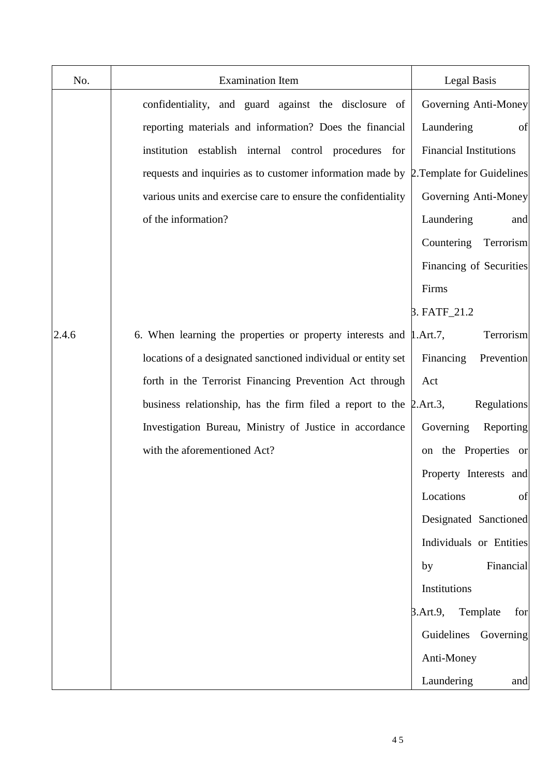| No.   | <b>Examination Item</b>                                                              | <b>Legal Basis</b>            |
|-------|--------------------------------------------------------------------------------------|-------------------------------|
|       | confidentiality, and guard against the disclosure of                                 | Governing Anti-Money          |
|       | reporting materials and information? Does the financial                              | Laundering<br>of              |
|       | institution establish internal control procedures for                                | <b>Financial Institutions</b> |
|       | requests and inquiries as to customer information made by 2. Template for Guidelines |                               |
|       | various units and exercise care to ensure the confidentiality                        | Governing Anti-Money          |
|       | of the information?                                                                  | Laundering<br>and             |
|       |                                                                                      | Countering<br>Terrorism       |
|       |                                                                                      | Financing of Securities       |
|       |                                                                                      | Firms                         |
|       |                                                                                      | 3. FATF_21.2                  |
| 2.4.6 | 6. When learning the properties or property interests and $\mu$ . Art. 7,            | Terrorism                     |
|       | locations of a designated sanctioned individual or entity set                        | Financing<br>Prevention       |
|       | forth in the Terrorist Financing Prevention Act through                              | Act                           |
|       | business relationship, has the firm filed a report to the $\beta$ . Art.3,           | Regulations                   |
|       | Investigation Bureau, Ministry of Justice in accordance                              | Governing<br>Reporting        |
|       | with the aforementioned Act?                                                         | on the Properties or          |
|       |                                                                                      | Property Interests and        |
|       |                                                                                      | Locations<br>of               |
|       |                                                                                      | Designated Sanctioned         |
|       |                                                                                      | Individuals or Entities       |
|       |                                                                                      | Financial<br>by               |
|       |                                                                                      | Institutions                  |
|       |                                                                                      | 3.Art.9,<br>Template<br>for   |
|       |                                                                                      | Guidelines<br>Governing       |
|       |                                                                                      | Anti-Money                    |
|       |                                                                                      | Laundering<br>and             |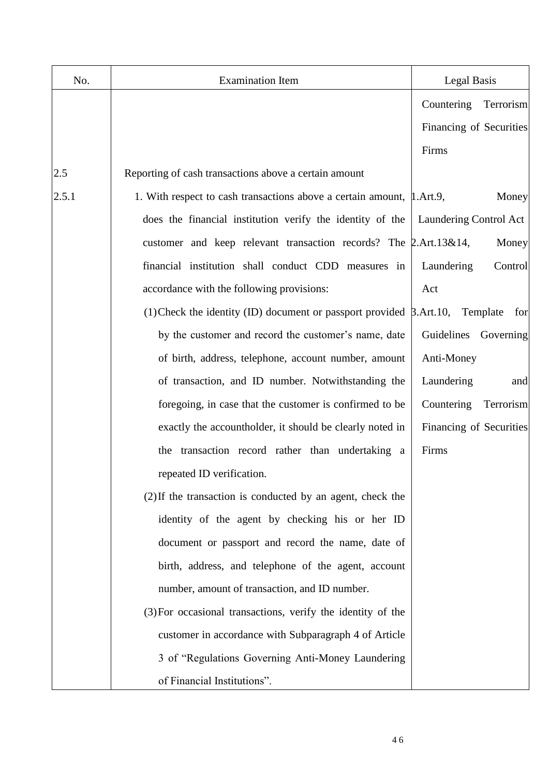| No.   | <b>Examination Item</b>                                                      | <b>Legal Basis</b>      |
|-------|------------------------------------------------------------------------------|-------------------------|
|       |                                                                              | Countering<br>Terrorism |
|       |                                                                              | Financing of Securities |
|       |                                                                              | Firms                   |
| 2.5   | Reporting of cash transactions above a certain amount                        |                         |
| 2.5.1 | 1. With respect to cash transactions above a certain amount, 1. Art.9,       | Money                   |
|       | does the financial institution verify the identity of the                    | Laundering Control Act  |
|       | customer and keep relevant transaction records? The 2.Art.13&14,             | Money                   |
|       | financial institution shall conduct CDD measures in                          | Control<br>Laundering   |
|       | accordance with the following provisions:                                    | Act                     |
|       | (1) Check the identity (ID) document or passport provided $\beta$ . Art. 10, | Template<br>for         |
|       | by the customer and record the customer's name, date                         | Guidelines<br>Governing |
|       | of birth, address, telephone, account number, amount                         | Anti-Money              |
|       | of transaction, and ID number. Notwithstanding the                           | Laundering<br>and       |
|       | foregoing, in case that the customer is confirmed to be                      | Countering<br>Terrorism |
|       | exactly the accountholder, it should be clearly noted in                     | Financing of Securities |
|       | the transaction record rather than undertaking a                             | Firms                   |
|       | repeated ID verification.                                                    |                         |
|       | (2) If the transaction is conducted by an agent, check the                   |                         |
|       | identity of the agent by checking his or her ID                              |                         |
|       | document or passport and record the name, date of                            |                         |
|       | birth, address, and telephone of the agent, account                          |                         |
|       | number, amount of transaction, and ID number.                                |                         |
|       | (3) For occasional transactions, verify the identity of the                  |                         |
|       | customer in accordance with Subparagraph 4 of Article                        |                         |
|       | 3 of "Regulations Governing Anti-Money Laundering                            |                         |
|       | of Financial Institutions".                                                  |                         |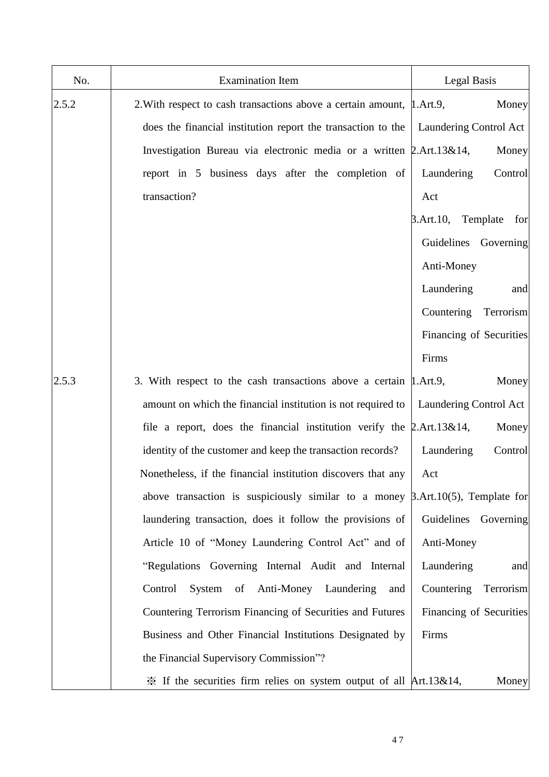| No.   | <b>Examination Item</b>                                                                 | Legal Basis               |
|-------|-----------------------------------------------------------------------------------------|---------------------------|
| 2.5.2 | 2. With respect to cash transactions above a certain amount, 1. Art.9,                  | Money                     |
|       | does the financial institution report the transaction to the                            | Laundering Control Act    |
|       | Investigation Bureau via electronic media or a written 2.Art.13&14,                     | Money                     |
|       | report in 5 business days after the completion of                                       | Control<br>Laundering     |
|       | transaction?                                                                            | Act                       |
|       |                                                                                         | 3.Art.10, Template<br>for |
|       |                                                                                         | Guidelines Governing      |
|       |                                                                                         | Anti-Money                |
|       |                                                                                         | Laundering<br>and         |
|       |                                                                                         | Countering<br>Terrorism   |
|       |                                                                                         | Financing of Securities   |
|       |                                                                                         | Firms                     |
| 2.5.3 | 3. With respect to the cash transactions above a certain [1.Art.9,                      | Money                     |
|       | amount on which the financial institution is not required to                            | Laundering Control Act    |
|       | file a report, does the financial institution verify the $\beta$ . Art. 13&14,          | Money                     |
|       | identity of the customer and keep the transaction records?                              | Laundering<br>Control     |
|       | Nonetheless, if the financial institution discovers that any                            | Act                       |
|       | above transaction is suspiciously similar to a money $\beta$ . Art. 10(5), Template for |                           |
|       | laundering transaction, does it follow the provisions of                                | Guidelines Governing      |
|       | Article 10 of "Money Laundering Control Act" and of                                     | Anti-Money                |
|       | "Regulations Governing Internal Audit and Internal                                      | Laundering<br>and         |
|       | System of Anti-Money Laundering<br>Control<br>and                                       | Countering<br>Terrorism   |
|       | Countering Terrorism Financing of Securities and Futures                                | Financing of Securities   |
|       | Business and Other Financial Institutions Designated by                                 | Firms                     |
|       | the Financial Supervisory Commission"?                                                  |                           |
|       | $\frac{3}{2}$ If the securities firm relies on system output of all Art.13&14,          | Money                     |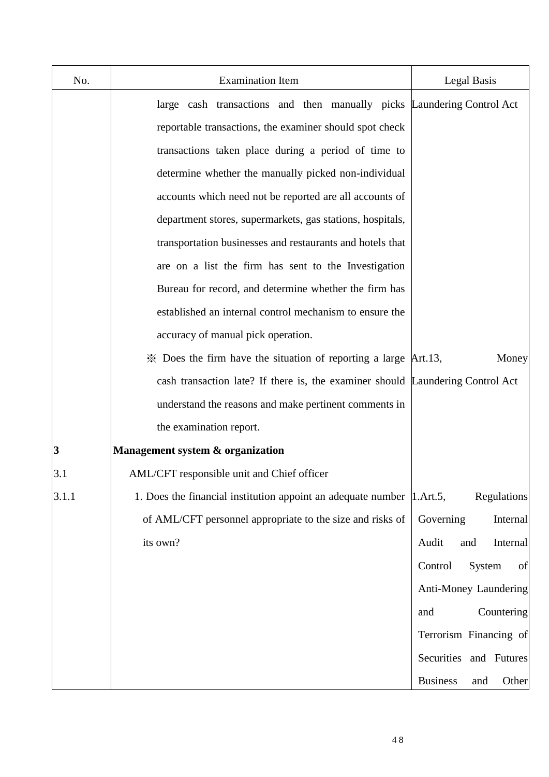| No.   | <b>Examination Item</b>                                                        | Legal Basis                     |
|-------|--------------------------------------------------------------------------------|---------------------------------|
|       | large cash transactions and then manually picks Laundering Control Act         |                                 |
|       | reportable transactions, the examiner should spot check                        |                                 |
|       | transactions taken place during a period of time to                            |                                 |
|       | determine whether the manually picked non-individual                           |                                 |
|       | accounts which need not be reported are all accounts of                        |                                 |
|       | department stores, supermarkets, gas stations, hospitals,                      |                                 |
|       | transportation businesses and restaurants and hotels that                      |                                 |
|       | are on a list the firm has sent to the Investigation                           |                                 |
|       | Bureau for record, and determine whether the firm has                          |                                 |
|       | established an internal control mechanism to ensure the                        |                                 |
|       | accuracy of manual pick operation.                                             |                                 |
|       | $\mathcal X$ Does the firm have the situation of reporting a large Art.13,     | Money                           |
|       | cash transaction late? If there is, the examiner should Laundering Control Act |                                 |
|       | understand the reasons and make pertinent comments in                          |                                 |
|       | the examination report.                                                        |                                 |
| 3     | Management system & organization                                               |                                 |
| 3.1   | AML/CFT responsible unit and Chief officer                                     |                                 |
| 3.1.1 | 1. Does the financial institution appoint an adequate number 1. Art.5,         | <b>Regulations</b>              |
|       | of AML/CFT personnel appropriate to the size and risks of                      | Governing<br>Internal           |
|       | its own?                                                                       | Audit<br>and<br>Internal        |
|       |                                                                                | Control<br>of<br>System         |
|       |                                                                                | Anti-Money Laundering           |
|       |                                                                                | Countering<br>and               |
|       |                                                                                | Terrorism Financing of          |
|       |                                                                                | Securities and Futures          |
|       |                                                                                | <b>Business</b><br>Other<br>and |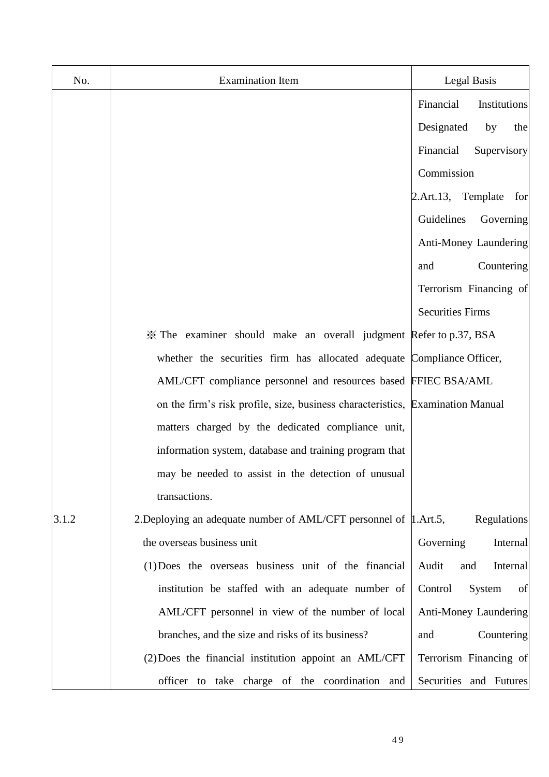| No.   | <b>Examination Item</b>                                                        | <b>Legal Basis</b>        |
|-------|--------------------------------------------------------------------------------|---------------------------|
|       |                                                                                | Financial<br>Institutions |
|       |                                                                                | Designated<br>the<br>by   |
|       |                                                                                | Financial<br>Supervisory  |
|       |                                                                                | Commission                |
|       |                                                                                | 2.Art.13, Template<br>for |
|       |                                                                                | Guidelines<br>Governing   |
|       |                                                                                | Anti-Money Laundering     |
|       |                                                                                | Countering<br>and         |
|       |                                                                                | Terrorism Financing of    |
|       |                                                                                | <b>Securities Firms</b>   |
|       | X The examiner should make an overall judgment Refer to p.37, BSA              |                           |
|       | whether the securities firm has allocated adequate Compliance Officer,         |                           |
|       | AML/CFT compliance personnel and resources based FFIEC BSA/AML                 |                           |
|       | on the firm's risk profile, size, business characteristics, Examination Manual |                           |
|       | matters charged by the dedicated compliance unit,                              |                           |
|       | information system, database and training program that                         |                           |
|       | may be needed to assist in the detection of unusual                            |                           |
|       | transactions.                                                                  |                           |
| 3.1.2 | 2. Deploying an adequate number of AML/CFT personnel of 1. Art. 5,             | Regulations               |
|       | the overseas business unit                                                     | Governing<br>Internal     |
|       | (1) Does the overseas business unit of the financial                           | Audit<br>Internal<br>and  |
|       | institution be staffed with an adequate number of                              | Control<br>System<br>of   |
|       | AML/CFT personnel in view of the number of local                               | Anti-Money Laundering     |
|       | branches, and the size and risks of its business?                              | Countering<br>and         |
|       | (2) Does the financial institution appoint an AML/CFT                          | Terrorism Financing of    |
|       | officer to take charge of the coordination and                                 | Securities and Futures    |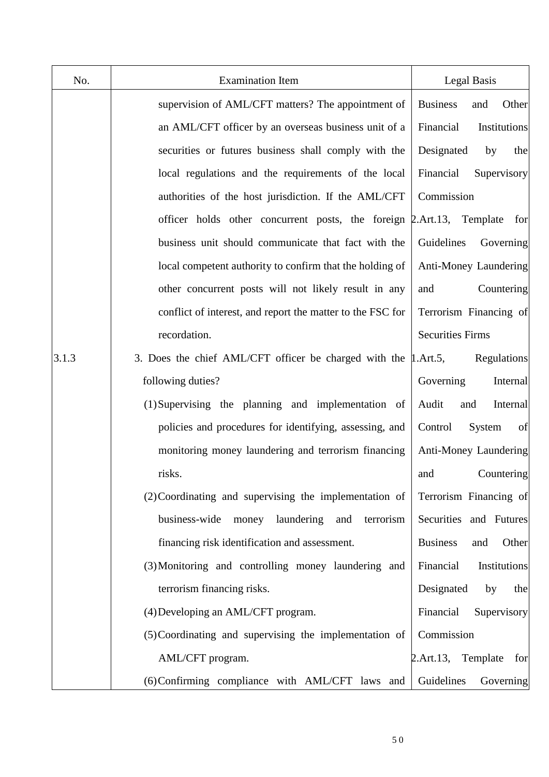| No.   | <b>Examination Item</b>                                              | <b>Legal Basis</b>              |
|-------|----------------------------------------------------------------------|---------------------------------|
|       | supervision of AML/CFT matters? The appointment of                   | <b>Business</b><br>Other<br>and |
|       | an AML/CFT officer by an overseas business unit of a                 | Financial<br>Institutions       |
|       | securities or futures business shall comply with the                 | Designated<br>the<br>by         |
|       | local regulations and the requirements of the local                  | Financial<br>Supervisory        |
|       | authorities of the host jurisdiction. If the AML/CFT                 | Commission                      |
|       | officer holds other concurrent posts, the foreign 2.Art.13, Template | for                             |
|       | business unit should communicate that fact with the                  | Guidelines<br>Governing         |
|       | local competent authority to confirm that the holding of             | Anti-Money Laundering           |
|       | other concurrent posts will not likely result in any                 | Countering<br>and               |
|       | conflict of interest, and report the matter to the FSC for           | Terrorism Financing of          |
|       | recordation.                                                         | <b>Securities Firms</b>         |
| 3.1.3 | 3. Does the chief AML/CFT officer be charged with the 1.Art.5,       | Regulations                     |
|       | following duties?                                                    | Internal<br>Governing           |
|       | (1) Supervising the planning and implementation of                   | Internal<br>Audit<br>and        |
|       | policies and procedures for identifying, assessing, and              | of<br>Control<br>System         |
|       | monitoring money laundering and terrorism financing                  | Anti-Money Laundering           |
|       | risks.                                                               | and<br>Countering               |
|       | (2) Coordinating and supervising the implementation of               | Terrorism Financing of          |
|       | business-wide<br>money laundering<br>terrorism<br>and                | Securities and Futures          |
|       | financing risk identification and assessment.                        | <b>Business</b><br>Other<br>and |
|       | (3) Monitoring and controlling money laundering and                  | Financial<br>Institutions       |
|       | terrorism financing risks.                                           | Designated<br>by<br>the         |
|       | (4) Developing an AML/CFT program.                                   | Financial<br>Supervisory        |
|       | (5) Coordinating and supervising the implementation of               | Commission                      |
|       | AML/CFT program.                                                     | 2. Art. 13,<br>Template<br>for  |
|       | (6) Confirming compliance with AML/CFT laws and                      | Guidelines<br>Governing         |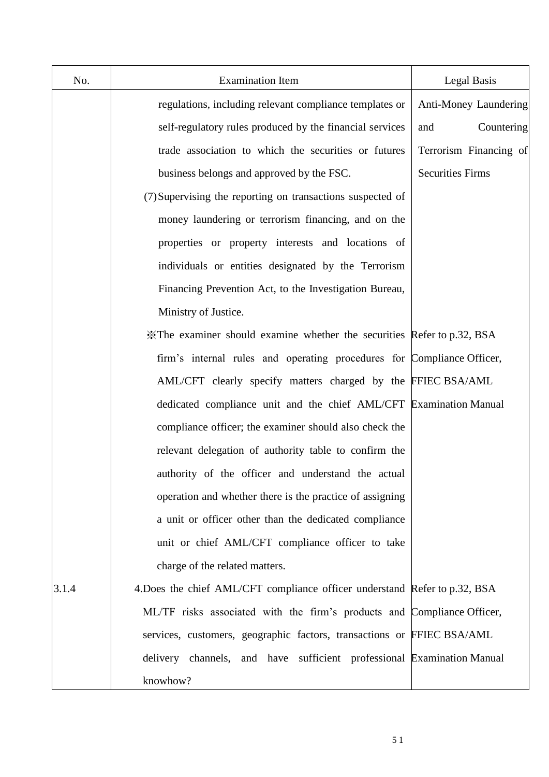| No.   | <b>Examination Item</b>                                                    | Legal Basis             |
|-------|----------------------------------------------------------------------------|-------------------------|
|       | regulations, including relevant compliance templates or                    | Anti-Money Laundering   |
|       | self-regulatory rules produced by the financial services                   | Countering<br>and       |
|       | trade association to which the securities or futures                       | Terrorism Financing of  |
|       | business belongs and approved by the FSC.                                  | <b>Securities Firms</b> |
|       | (7) Supervising the reporting on transactions suspected of                 |                         |
|       | money laundering or terrorism financing, and on the                        |                         |
|       | properties or property interests and locations of                          |                         |
|       | individuals or entities designated by the Terrorism                        |                         |
|       | Financing Prevention Act, to the Investigation Bureau,                     |                         |
|       | Ministry of Justice.                                                       |                         |
|       | X The examiner should examine whether the securities Refer to p.32, BSA    |                         |
|       | firm's internal rules and operating procedures for Compliance Officer,     |                         |
|       | AML/CFT clearly specify matters charged by the FFIEC BSA/AML               |                         |
|       | dedicated compliance unit and the chief AML/CFT Examination Manual         |                         |
|       | compliance officer; the examiner should also check the                     |                         |
|       | relevant delegation of authority table to confirm the                      |                         |
|       | authority of the officer and understand the actual                         |                         |
|       | operation and whether there is the practice of assigning                   |                         |
|       | a unit or officer other than the dedicated compliance                      |                         |
|       | unit or chief AML/CFT compliance officer to take                           |                         |
|       | charge of the related matters.                                             |                         |
| 3.1.4 | 4. Does the chief AML/CFT compliance officer understand Refer to p.32, BSA |                         |
|       | ML/TF risks associated with the firm's products and Compliance Officer,    |                         |
|       | services, customers, geographic factors, transactions or FFIEC BSA/AML     |                         |
|       | delivery channels, and have sufficient professional Examination Manual     |                         |
|       | knowhow?                                                                   |                         |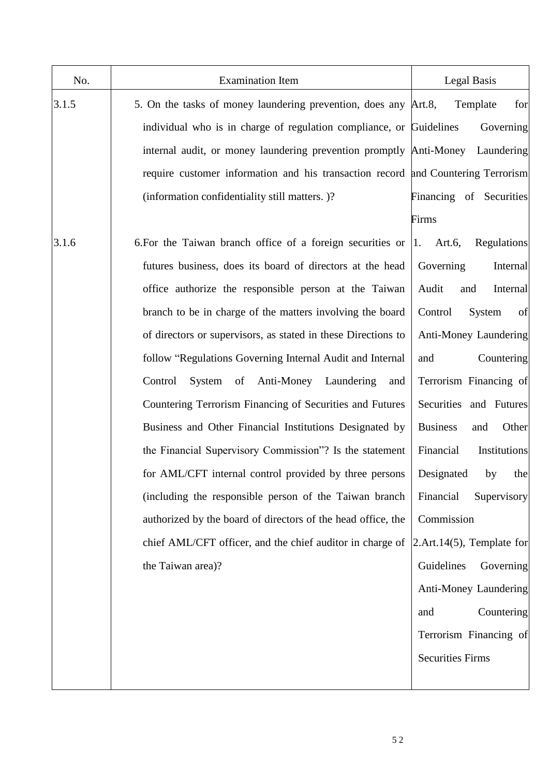| No.   | <b>Examination Item</b>                                                          | Legal Basis                      |
|-------|----------------------------------------------------------------------------------|----------------------------------|
| 3.1.5 | 5. On the tasks of money laundering prevention, does any Art.8,                  | for<br>Template                  |
|       | individual who is in charge of regulation compliance, or Guidelines              | Governing                        |
|       | internal audit, or money laundering prevention promptly Anti-Money Laundering    |                                  |
|       | require customer information and his transaction record and Countering Terrorism |                                  |
|       | (information confidentiality still matters.)?                                    | Financing of Securities          |
|       |                                                                                  | Firms                            |
| 3.1.6 | 6. For the Taiwan branch office of a foreign securities or                       | Regulations<br>Art. $6,$<br> 1.  |
|       | futures business, does its board of directors at the head                        | Governing<br>Internal            |
|       | office authorize the responsible person at the Taiwan                            | Audit<br>and<br>Internal         |
|       | branch to be in charge of the matters involving the board                        | System<br>Control<br>of          |
|       | of directors or supervisors, as stated in these Directions to                    | Anti-Money Laundering            |
|       | follow "Regulations Governing Internal Audit and Internal                        | Countering<br>and                |
|       | of Anti-Money Laundering<br>Control<br>System<br>and                             | Terrorism Financing of           |
|       | Countering Terrorism Financing of Securities and Futures                         | Securities and Futures           |
|       | Business and Other Financial Institutions Designated by                          | <b>Business</b><br>Other<br>and  |
|       | the Financial Supervisory Commission"? Is the statement                          | Financial<br>Institutions        |
|       | for AML/CFT internal control provided by three persons                           | Designated<br>the<br>by          |
|       | (including the responsible person of the Taiwan branch                           | Financial<br>Supervisory         |
|       | authorized by the board of directors of the head office, the                     | Commission                       |
|       | chief AML/CFT officer, and the chief auditor in charge of                        | $2.$ Art.14 $(5)$ , Template for |
|       | the Taiwan area)?                                                                | Guidelines<br>Governing          |
|       |                                                                                  | Anti-Money Laundering            |
|       |                                                                                  | Countering<br>and                |
|       |                                                                                  | Terrorism Financing of           |
|       |                                                                                  | <b>Securities Firms</b>          |
|       |                                                                                  |                                  |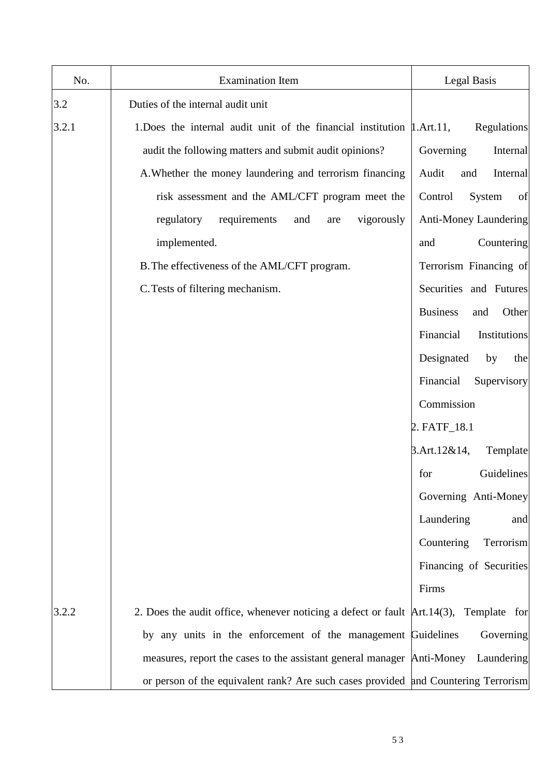| No.   | <b>Examination Item</b>                                                                  | Legal Basis                     |
|-------|------------------------------------------------------------------------------------------|---------------------------------|
| 3.2   | Duties of the internal audit unit                                                        |                                 |
| 3.2.1 | 1. Does the internal audit unit of the financial institution $\mu$ . Art. 11,            | Regulations                     |
|       | audit the following matters and submit audit opinions?                                   | Governing<br>Internal           |
|       | A. Whether the money laundering and terrorism financing                                  | Audit<br>and<br>Internal        |
|       | risk assessment and the AML/CFT program meet the                                         | Control<br>System<br>of         |
|       | vigorously<br>regulatory<br>requirements<br>and<br>are                                   | Anti-Money Laundering           |
|       | implemented.                                                                             | Countering<br>and               |
|       | B. The effectiveness of the AML/CFT program.                                             | Terrorism Financing of          |
|       | C. Tests of filtering mechanism.                                                         | Securities and Futures          |
|       |                                                                                          | <b>Business</b><br>Other<br>and |
|       |                                                                                          | Financial<br>Institutions       |
|       |                                                                                          | Designated<br>by<br>the         |
|       |                                                                                          | Financial<br>Supervisory        |
|       |                                                                                          | Commission                      |
|       |                                                                                          | 2. FATF_18.1                    |
|       |                                                                                          | $3.$ Art. $12&814,$<br>Template |
|       |                                                                                          | Guidelines<br>for               |
|       |                                                                                          | Governing Anti-Money            |
|       |                                                                                          | Laundering<br>and               |
|       |                                                                                          | Countering<br>Terrorism         |
|       |                                                                                          | Financing of Securities         |
|       |                                                                                          | Firms                           |
| 3.2.2 | 2. Does the audit office, whenever noticing a defect or fault $Art.14(3)$ , Template for |                                 |
|       | by any units in the enforcement of the management Guidelines                             | Governing                       |
|       | measures, report the cases to the assistant general manager Anti-Money                   | Laundering                      |
|       | or person of the equivalent rank? Are such cases provided and Countering Terrorism       |                                 |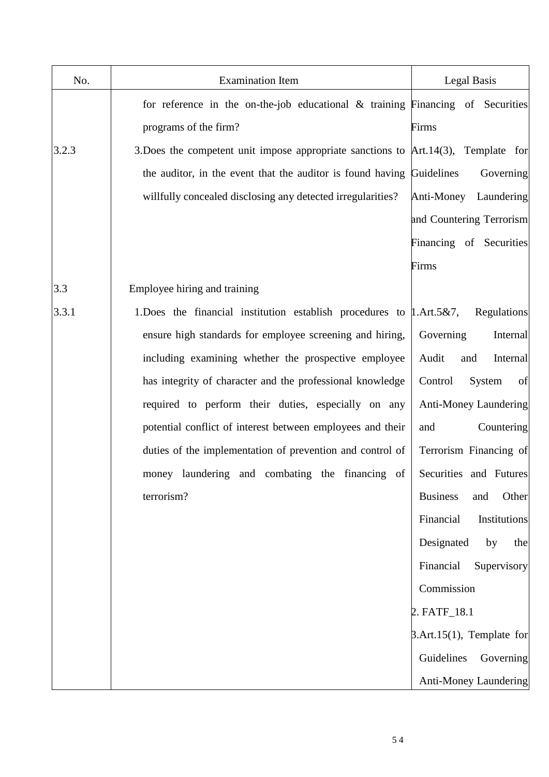| No.   | <b>Examination Item</b>                                                               | Legal Basis                     |
|-------|---------------------------------------------------------------------------------------|---------------------------------|
|       | for reference in the on-the-job educational & training Financing of Securities        |                                 |
|       | programs of the firm?                                                                 | Firms                           |
| 3.2.3 | 3. Does the competent unit impose appropriate sanctions to $Art.14(3)$ , Template for |                                 |
|       | the auditor, in the event that the auditor is found having                            | Guidelines<br>Governing         |
|       | willfully concealed disclosing any detected irregularities?                           | Anti-Money<br>Laundering        |
|       |                                                                                       | and Countering Terrorism        |
|       |                                                                                       | Financing of Securities         |
|       |                                                                                       | Firms                           |
| 3.3   | Employee hiring and training                                                          |                                 |
| 3.3.1 | 1. Does the financial institution establish procedures to $\mu$ . Art. 5&7,           | Regulations                     |
|       | ensure high standards for employee screening and hiring,                              | Governing<br>Internal           |
|       | including examining whether the prospective employee                                  | Internal<br>Audit<br>and        |
|       | has integrity of character and the professional knowledge                             | Control<br>System<br>of         |
|       | required to perform their duties, especially on any                                   | <b>Anti-Money Laundering</b>    |
|       | potential conflict of interest between employees and their                            | Countering<br>and               |
|       | duties of the implementation of prevention and control of                             | Terrorism Financing of          |
|       | money laundering and combating the financing of                                       | Securities and Futures          |
|       | terrorism?                                                                            | <b>Business</b><br>Other<br>and |
|       |                                                                                       | Financial<br>Institutions       |
|       |                                                                                       | Designated<br>by<br>the         |
|       |                                                                                       | Financial<br>Supervisory        |
|       |                                                                                       | Commission                      |
|       |                                                                                       | 2. FATF_18.1                    |
|       |                                                                                       | $3.$ Art.15(1), Template for    |
|       |                                                                                       | Guidelines<br>Governing         |
|       |                                                                                       | Anti-Money Laundering           |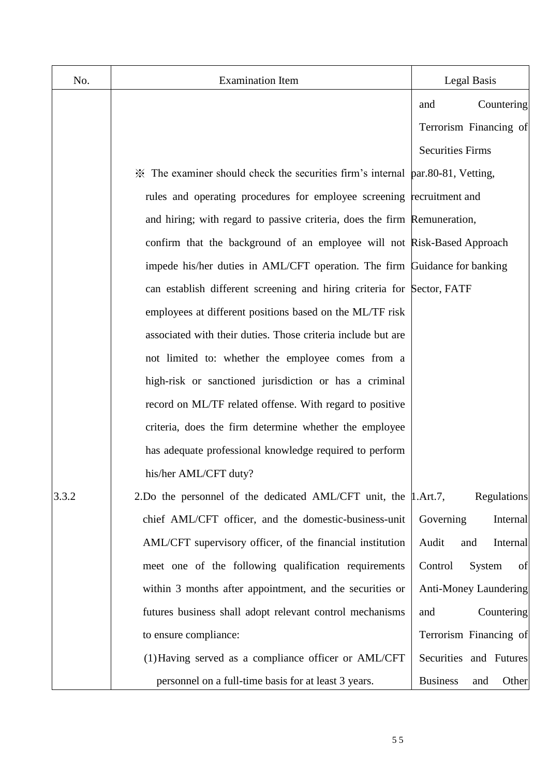| No.   | <b>Examination Item</b>                                                        | Legal Basis                     |
|-------|--------------------------------------------------------------------------------|---------------------------------|
|       |                                                                                | Countering<br>and               |
|       |                                                                                | Terrorism Financing of          |
|       |                                                                                | <b>Securities Firms</b>         |
|       | X The examiner should check the securities firm's internal par.80-81, Vetting, |                                 |
|       | rules and operating procedures for employee screening recruitment and          |                                 |
|       | and hiring; with regard to passive criteria, does the firm Remuneration,       |                                 |
|       | confirm that the background of an employee will not Risk-Based Approach        |                                 |
|       | impede his/her duties in AML/CFT operation. The firm Guidance for banking      |                                 |
|       | can establish different screening and hiring criteria for Sector, FATF         |                                 |
|       | employees at different positions based on the ML/TF risk                       |                                 |
|       | associated with their duties. Those criteria include but are                   |                                 |
|       | not limited to: whether the employee comes from a                              |                                 |
|       | high-risk or sanctioned jurisdiction or has a criminal                         |                                 |
|       | record on ML/TF related offense. With regard to positive                       |                                 |
|       | criteria, does the firm determine whether the employee                         |                                 |
|       | has adequate professional knowledge required to perform                        |                                 |
|       | his/her AML/CFT duty?                                                          |                                 |
| 3.3.2 | 2. Do the personnel of the dedicated AML/CFT unit, the 1. Art. 7,              | Regulations                     |
|       | chief AML/CFT officer, and the domestic-business-unit                          | Governing<br>Internal           |
|       | AML/CFT supervisory officer, of the financial institution                      | Audit<br>Internal<br>and        |
|       | meet one of the following qualification requirements                           | Control<br>System<br>of         |
|       | within 3 months after appointment, and the securities or                       | <b>Anti-Money Laundering</b>    |
|       | futures business shall adopt relevant control mechanisms                       | Countering<br>and               |
|       | to ensure compliance:                                                          | Terrorism Financing of          |
|       | (1) Having served as a compliance officer or AML/CFT                           | Securities and Futures          |
|       | personnel on a full-time basis for at least 3 years.                           | <b>Business</b><br>Other<br>and |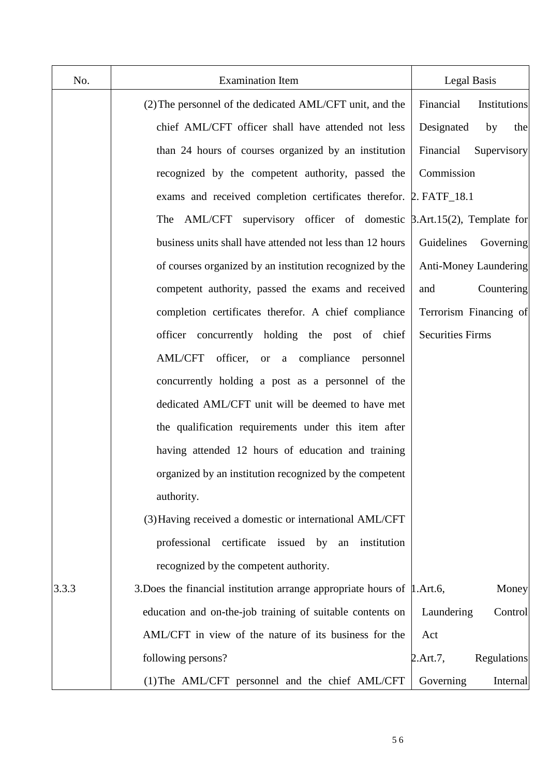| No.   | <b>Examination Item</b>                                                        | Legal Basis                  |
|-------|--------------------------------------------------------------------------------|------------------------------|
|       | (2) The personnel of the dedicated AML/CFT unit, and the                       | Institutions<br>Financial    |
|       | chief AML/CFT officer shall have attended not less                             | Designated<br>by<br>the      |
|       | than 24 hours of courses organized by an institution                           | Financial<br>Supervisory     |
|       | recognized by the competent authority, passed the                              | Commission                   |
|       | exams and received completion certificates therefor. 2. FATF_18.1              |                              |
|       | The AML/CFT supervisory officer of domestic $\beta$ .Art.15(2), Template for   |                              |
|       | business units shall have attended not less than 12 hours                      | Guidelines<br>Governing      |
|       | of courses organized by an institution recognized by the                       | <b>Anti-Money Laundering</b> |
|       | competent authority, passed the exams and received                             | Countering<br>and            |
|       | completion certificates therefor. A chief compliance                           | Terrorism Financing of       |
|       | officer concurrently holding the post of chief                                 | <b>Securities Firms</b>      |
|       | officer, or a compliance<br><b>AML/CFT</b><br>personnel                        |                              |
|       | concurrently holding a post as a personnel of the                              |                              |
|       | dedicated AML/CFT unit will be deemed to have met                              |                              |
|       | the qualification requirements under this item after                           |                              |
|       | having attended 12 hours of education and training                             |                              |
|       | organized by an institution recognized by the competent                        |                              |
|       | authority.                                                                     |                              |
|       | (3) Having received a domestic or international AML/CFT                        |                              |
|       | certificate issued by<br>professional<br>institution<br>an                     |                              |
|       | recognized by the competent authority.                                         |                              |
| 3.3.3 | 3. Does the financial institution arrange appropriate hours of $\mu$ . Art. 6, | Money                        |
|       | education and on-the-job training of suitable contents on                      | Laundering<br>Control        |
|       | AML/CFT in view of the nature of its business for the                          | Act                          |
|       | following persons?                                                             | Regulations<br>2.Art.7,      |
|       | (1) The AML/CFT personnel and the chief AML/CFT                                | Governing<br>Internal        |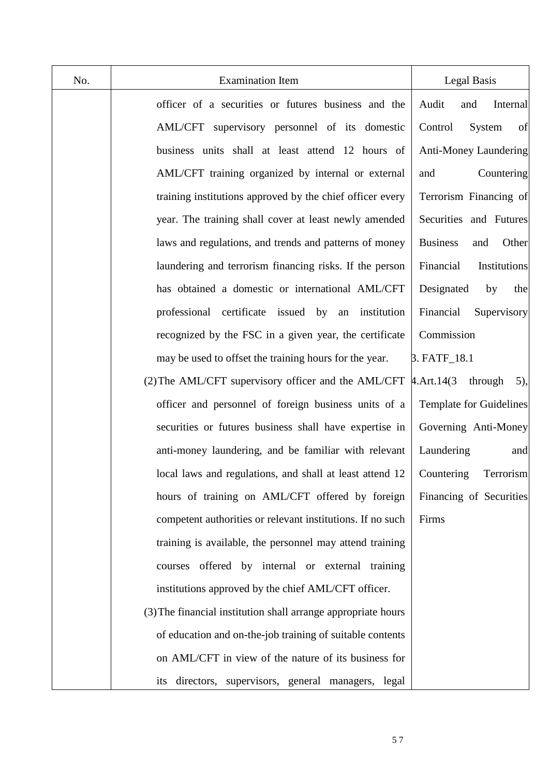| No. | <b>Examination Item</b>                                       | Legal Basis                         |
|-----|---------------------------------------------------------------|-------------------------------------|
|     | officer of a securities or futures business and the           | Internal<br>Audit<br>and            |
|     | AML/CFT supervisory personnel of its domestic                 | of<br>Control<br>System             |
|     | business units shall at least attend 12 hours of              | Anti-Money Laundering               |
|     | AML/CFT training organized by internal or external            | Countering<br>and                   |
|     | training institutions approved by the chief officer every     | Terrorism Financing of              |
|     | year. The training shall cover at least newly amended         | Securities and Futures              |
|     | laws and regulations, and trends and patterns of money        | <b>Business</b><br>Other<br>and     |
|     | laundering and terrorism financing risks. If the person       | Financial<br>Institutions           |
|     | has obtained a domestic or international AML/CFT              | Designated<br>by<br>the             |
|     | professional certificate issued by<br>an institution          | Financial<br>Supervisory            |
|     | recognized by the FSC in a given year, the certificate        | Commission                          |
|     | may be used to offset the training hours for the year.        | 3. FATF_18.1                        |
|     | (2) The AML/CFT supervisory officer and the AML/CFT           | $4.$ Art. $14(3)$<br>through<br>5), |
|     | officer and personnel of foreign business units of a          | Template for Guidelines             |
|     | securities or futures business shall have expertise in        | Governing Anti-Money                |
|     | anti-money laundering, and be familiar with relevant          | Laundering<br>and                   |
|     | local laws and regulations, and shall at least attend 12      | Terrorism<br>Countering             |
|     | hours of training on AML/CFT offered by foreign               | Financing of Securities             |
|     | competent authorities or relevant institutions. If no such    | Firms                               |
|     | training is available, the personnel may attend training      |                                     |
|     | offered by internal or external training<br>courses           |                                     |
|     | institutions approved by the chief AML/CFT officer.           |                                     |
|     | (3) The financial institution shall arrange appropriate hours |                                     |
|     | of education and on-the-job training of suitable contents     |                                     |
|     | on AML/CFT in view of the nature of its business for          |                                     |
|     | its directors, supervisors, general managers, legal           |                                     |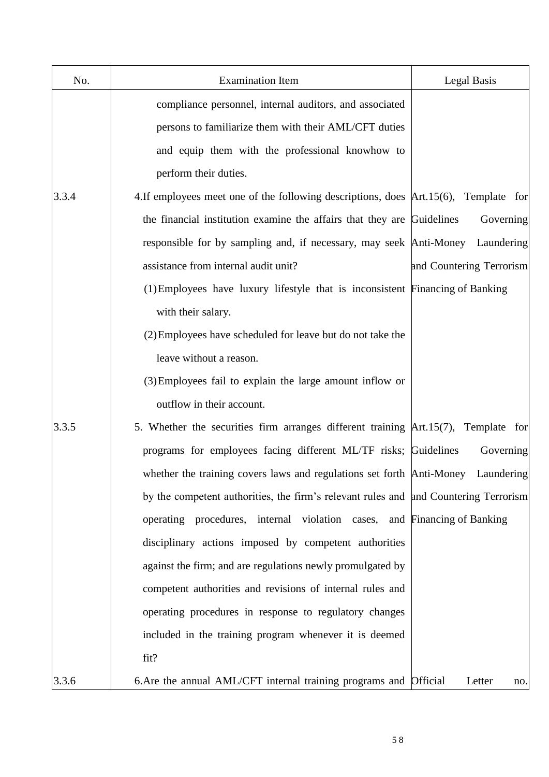| No.   | <b>Examination Item</b>                                                               | Legal Basis              |
|-------|---------------------------------------------------------------------------------------|--------------------------|
|       | compliance personnel, internal auditors, and associated                               |                          |
|       | persons to familiarize them with their AML/CFT duties                                 |                          |
|       | and equip them with the professional knowhow to                                       |                          |
|       | perform their duties.                                                                 |                          |
| 3.3.4 | 4. If employees meet one of the following descriptions, does Art. 15(6), Template for |                          |
|       | the financial institution examine the affairs that they are Guidelines                | Governing                |
|       | responsible for by sampling and, if necessary, may seek Anti-Money                    | Laundering               |
|       | assistance from internal audit unit?                                                  | and Countering Terrorism |
|       | (1) Employees have luxury lifestyle that is inconsistent Financing of Banking         |                          |
|       | with their salary.                                                                    |                          |
|       | (2) Employees have scheduled for leave but do not take the                            |                          |
|       | leave without a reason.                                                               |                          |
|       | (3) Employees fail to explain the large amount inflow or                              |                          |
|       | outflow in their account.                                                             |                          |
| 3.3.5 | 5. Whether the securities firm arranges different training Art.15(7), Template for    |                          |
|       | programs for employees facing different ML/TF risks; Guidelines                       | Governing                |
|       | whether the training covers laws and regulations set forth Anti-Money                 | Laundering               |
|       | by the competent authorities, the firm's relevant rules and and Countering Terrorism  |                          |
|       | operating procedures, internal violation cases, and Financing of Banking              |                          |
|       | disciplinary actions imposed by competent authorities                                 |                          |
|       | against the firm; and are regulations newly promulgated by                            |                          |
|       | competent authorities and revisions of internal rules and                             |                          |
|       | operating procedures in response to regulatory changes                                |                          |
|       | included in the training program whenever it is deemed                                |                          |
|       | fit?                                                                                  |                          |
| 3.3.6 | 6. Are the annual AML/CFT internal training programs and Official                     | Letter<br>no.            |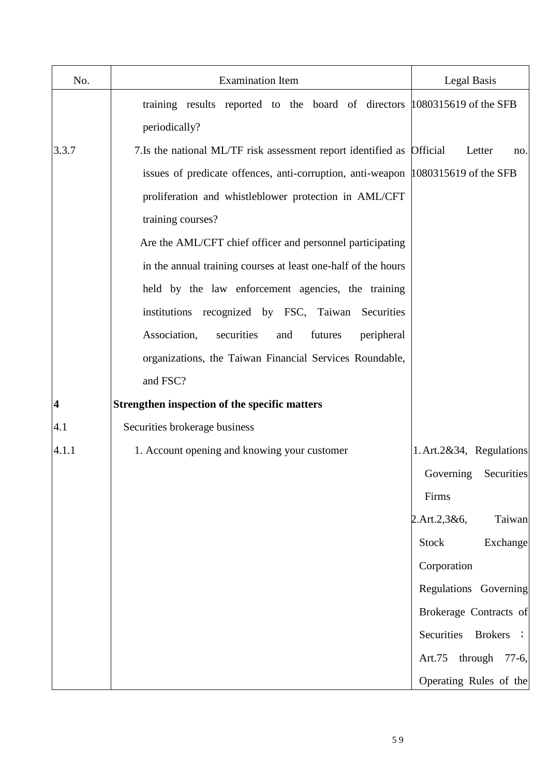| No.                     | <b>Examination Item</b>                                                          | Legal Basis                 |
|-------------------------|----------------------------------------------------------------------------------|-----------------------------|
|                         | training results reported to the board of directors 1080315619 of the SFB        |                             |
|                         | periodically?                                                                    |                             |
| 3.3.7                   | 7.Is the national ML/TF risk assessment report identified as Official            | Letter<br>no.               |
|                         | issues of predicate offences, anti-corruption, anti-weapon 1080315619 of the SFB |                             |
|                         | proliferation and whistleblower protection in AML/CFT                            |                             |
|                         | training courses?                                                                |                             |
|                         | Are the AML/CFT chief officer and personnel participating                        |                             |
|                         | in the annual training courses at least one-half of the hours                    |                             |
|                         | held by the law enforcement agencies, the training                               |                             |
|                         | institutions recognized by FSC, Taiwan Securities                                |                             |
|                         | Association,<br>securities<br>futures<br>peripheral<br>and                       |                             |
|                         | organizations, the Taiwan Financial Services Roundable,                          |                             |
|                         | and FSC?                                                                         |                             |
| $\overline{\mathbf{4}}$ | Strengthen inspection of the specific matters                                    |                             |
| 4.1                     | Securities brokerage business                                                    |                             |
| 4.1.1                   | 1. Account opening and knowing your customer                                     | 1. Art. 2&34, Regulations   |
|                         |                                                                                  | Governing Securities        |
|                         |                                                                                  | Firms                       |
|                         |                                                                                  | 2. Art. 2, 3 & 6,<br>Taiwan |
|                         |                                                                                  | Exchange<br>Stock           |
|                         |                                                                                  | Corporation                 |
|                         |                                                                                  | Regulations Governing       |
|                         |                                                                                  | Brokerage Contracts of      |
|                         |                                                                                  | Securities<br>Brokers ;     |
|                         |                                                                                  | Art.75 through 77-6,        |
|                         |                                                                                  | Operating Rules of the      |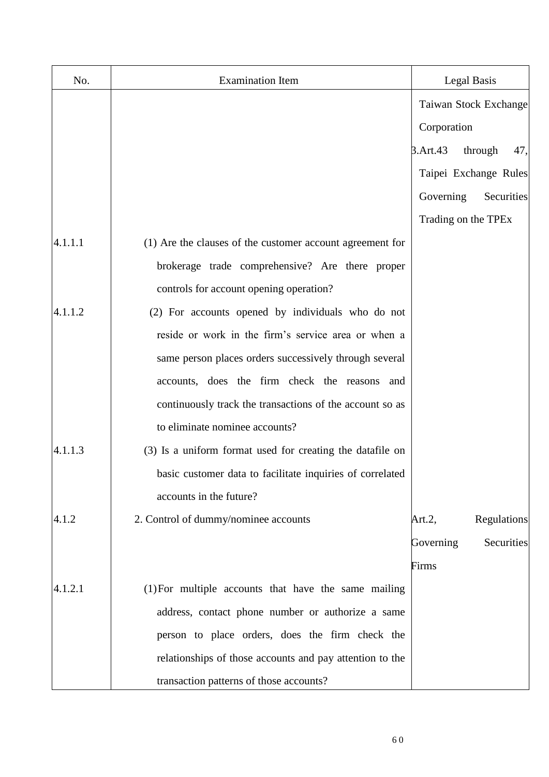| No.     | <b>Examination Item</b>                                   |             | Legal Basis           |
|---------|-----------------------------------------------------------|-------------|-----------------------|
|         |                                                           |             | Taiwan Stock Exchange |
|         |                                                           | Corporation |                       |
|         |                                                           | 3.Art.43    | through<br>47,        |
|         |                                                           |             | Taipei Exchange Rules |
|         |                                                           | Governing   | Securities            |
|         |                                                           |             | Trading on the TPEx   |
| 4.1.1.1 | (1) Are the clauses of the customer account agreement for |             |                       |
|         | brokerage trade comprehensive? Are there proper           |             |                       |
|         | controls for account opening operation?                   |             |                       |
| 4.1.1.2 | (2) For accounts opened by individuals who do not         |             |                       |
|         | reside or work in the firm's service area or when a       |             |                       |
|         | same person places orders successively through several    |             |                       |
|         | accounts, does the firm check the reasons<br>and          |             |                       |
|         | continuously track the transactions of the account so as  |             |                       |
|         | to eliminate nominee accounts?                            |             |                       |
| 4.1.1.3 | (3) Is a uniform format used for creating the datafile on |             |                       |
|         | basic customer data to facilitate inquiries of correlated |             |                       |
|         | accounts in the future?                                   |             |                       |
| 4.1.2   | 2. Control of dummy/nominee accounts                      | Art. $2$ ,  | Regulations           |
|         |                                                           | Governing   | Securities            |
|         |                                                           | Firms       |                       |
| 4.1.2.1 | (1) For multiple accounts that have the same mailing      |             |                       |
|         | address, contact phone number or authorize a same         |             |                       |
|         | person to place orders, does the firm check the           |             |                       |
|         | relationships of those accounts and pay attention to the  |             |                       |
|         | transaction patterns of those accounts?                   |             |                       |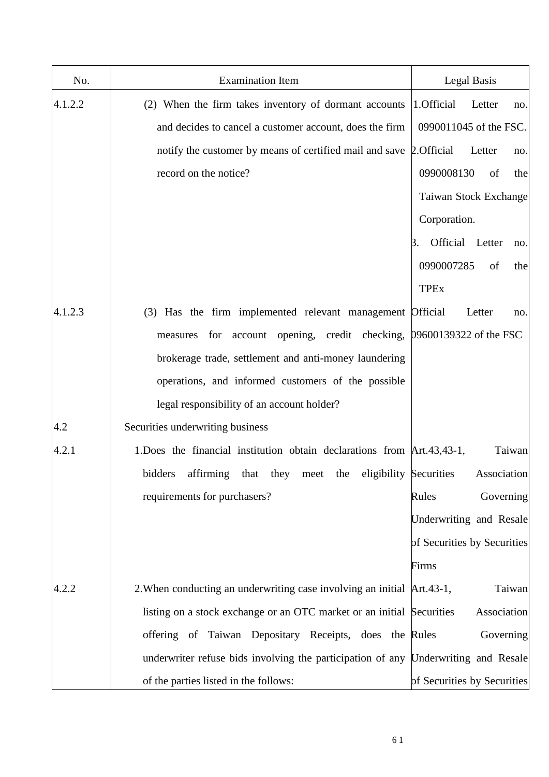| No.     | <b>Examination Item</b>                                                            | Legal Basis                  |
|---------|------------------------------------------------------------------------------------|------------------------------|
| 4.1.2.2 | (2) When the firm takes inventory of dormant accounts                              | 1.Official<br>Letter<br>no.  |
|         | and decides to cancel a customer account, does the firm                            | 0990011045 of the FSC.       |
|         | notify the customer by means of certified mail and save 2. Official                | Letter<br>no.                |
|         | record on the notice?                                                              | 0990008130<br>of<br>the      |
|         |                                                                                    | Taiwan Stock Exchange        |
|         |                                                                                    | Corporation.                 |
|         |                                                                                    | Official Letter<br>Β.<br>no. |
|         |                                                                                    | 0990007285<br>of<br>the      |
|         |                                                                                    | <b>TPEx</b>                  |
| 4.1.2.3 | (3) Has the firm implemented relevant management Official                          | Letter<br>no.                |
|         | opening, credit checking, 09600139322 of the FSC<br>account<br>measures<br>for     |                              |
|         | brokerage trade, settlement and anti-money laundering                              |                              |
|         | operations, and informed customers of the possible                                 |                              |
|         | legal responsibility of an account holder?                                         |                              |
| 4.2     | Securities underwriting business                                                   |                              |
| 4.2.1   | 1. Does the financial institution obtain declarations from Art. 43, 43-1,          | Taiwan                       |
|         | bidders<br>affirming<br>eligibility Securities<br>they<br>the<br>that<br>meet      | Association                  |
|         | requirements for purchasers?                                                       | Governing<br>Rules           |
|         |                                                                                    | Underwriting and Resale      |
|         |                                                                                    | of Securities by Securities  |
|         |                                                                                    | Firms                        |
| 4.2.2   | 2. When conducting an underwriting case involving an initial Art. 43-1,            | Taiwan                       |
|         | listing on a stock exchange or an OTC market or an initial Securities              | Association                  |
|         | offering of Taiwan Depositary Receipts, does the Rules                             | Governing                    |
|         | underwriter refuse bids involving the participation of any Underwriting and Resale |                              |
|         | of the parties listed in the follows:                                              | of Securities by Securities  |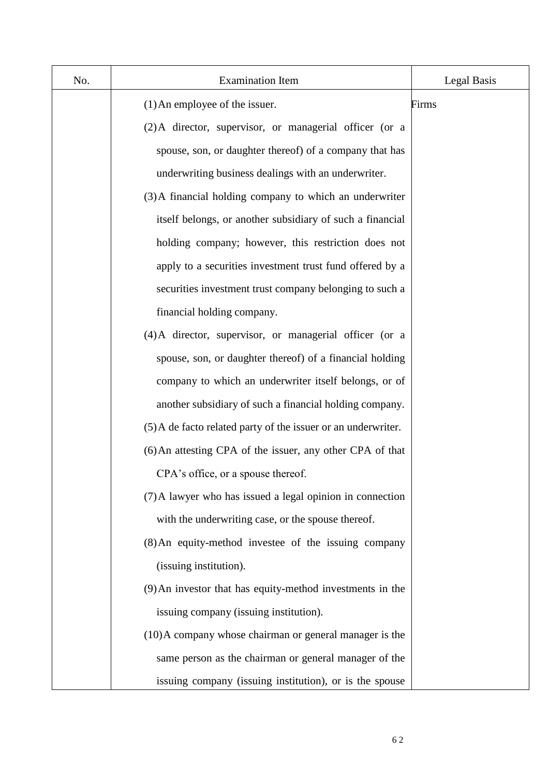| No. | <b>Examination Item</b>                                       | Legal Basis |
|-----|---------------------------------------------------------------|-------------|
|     | $(1)$ An employee of the issuer.                              | Firms       |
|     | (2) A director, supervisor, or managerial officer (or a       |             |
|     | spouse, son, or daughter thereof) of a company that has       |             |
|     | underwriting business dealings with an underwriter.           |             |
|     | (3) A financial holding company to which an underwriter       |             |
|     | itself belongs, or another subsidiary of such a financial     |             |
|     | holding company; however, this restriction does not           |             |
|     | apply to a securities investment trust fund offered by a      |             |
|     | securities investment trust company belonging to such a       |             |
|     | financial holding company.                                    |             |
|     | (4) A director, supervisor, or managerial officer (or a       |             |
|     | spouse, son, or daughter thereof) of a financial holding      |             |
|     | company to which an underwriter itself belongs, or of         |             |
|     | another subsidiary of such a financial holding company.       |             |
|     | (5) A de facto related party of the issuer or an underwriter. |             |
|     | (6) An attesting CPA of the issuer, any other CPA of that     |             |
|     | CPA's office, or a spouse thereof.                            |             |
|     | (7) A lawyer who has issued a legal opinion in connection     |             |
|     | with the underwriting case, or the spouse thereof.            |             |
|     | (8) An equity-method investee of the issuing company          |             |
|     | (issuing institution).                                        |             |
|     | (9) An investor that has equity-method investments in the     |             |
|     | issuing company (issuing institution).                        |             |
|     | (10) A company whose chairman or general manager is the       |             |
|     | same person as the chairman or general manager of the         |             |
|     | issuing company (issuing institution), or is the spouse       |             |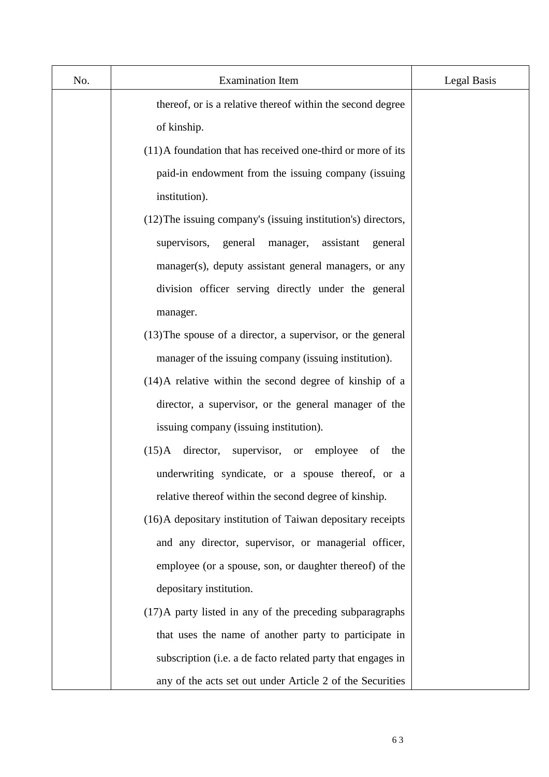| No. | <b>Examination Item</b>                                       | Legal Basis |
|-----|---------------------------------------------------------------|-------------|
|     | thereof, or is a relative thereof within the second degree    |             |
|     | of kinship.                                                   |             |
|     | (11) A foundation that has received one-third or more of its  |             |
|     | paid-in endowment from the issuing company (issuing           |             |
|     | institution).                                                 |             |
|     | (12) The issuing company's (issuing institution's) directors, |             |
|     | supervisors, general<br>manager,<br>assistant<br>general      |             |
|     | manager(s), deputy assistant general managers, or any         |             |
|     | division officer serving directly under the general           |             |
|     | manager.                                                      |             |
|     | $(13)$ The spouse of a director, a supervisor, or the general |             |
|     | manager of the issuing company (issuing institution).         |             |
|     | $(14)$ A relative within the second degree of kinship of a    |             |
|     | director, a supervisor, or the general manager of the         |             |
|     | issuing company (issuing institution).                        |             |
|     | $(15)$ A<br>director,<br>supervisor, or employee<br>the<br>of |             |
|     | underwriting syndicate, or a spouse thereof, or a             |             |
|     | relative thereof within the second degree of kinship.         |             |
|     | (16) A depositary institution of Taiwan depositary receipts   |             |
|     | and any director, supervisor, or managerial officer,          |             |
|     | employee (or a spouse, son, or daughter thereof) of the       |             |
|     | depositary institution.                                       |             |
|     | (17) A party listed in any of the preceding subparagraphs     |             |
|     | that uses the name of another party to participate in         |             |
|     | subscription (i.e. a de facto related party that engages in   |             |
|     | any of the acts set out under Article 2 of the Securities     |             |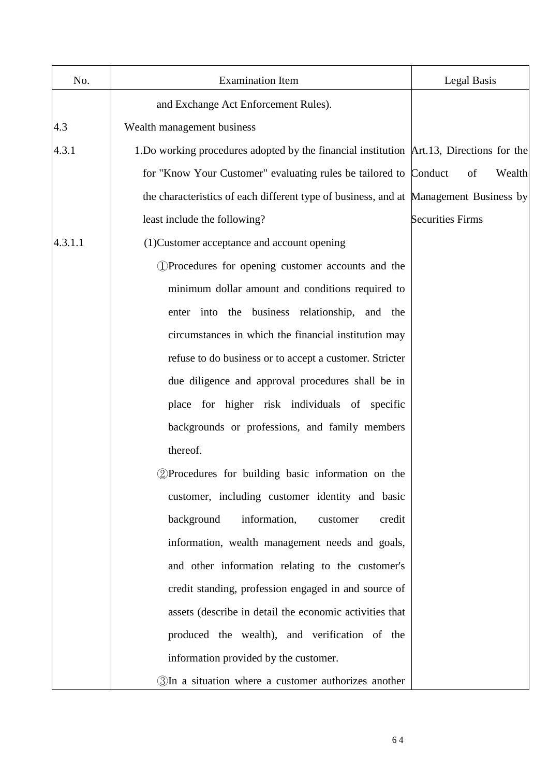| No.     | <b>Examination Item</b>                                                                   | Legal Basis             |
|---------|-------------------------------------------------------------------------------------------|-------------------------|
|         | and Exchange Act Enforcement Rules).                                                      |                         |
| 4.3     | Wealth management business                                                                |                         |
| 4.3.1   | 1. Do working procedures adopted by the financial institution Art. 13, Directions for the |                         |
|         | for "Know Your Customer" evaluating rules be tailored to Conduct                          | of<br>Wealth            |
|         | the characteristics of each different type of business, and at Management Business by     |                         |
|         | least include the following?                                                              | <b>Securities Firms</b> |
| 4.3.1.1 | (1) Customer acceptance and account opening                                               |                         |
|         | 1) Procedures for opening customer accounts and the                                       |                         |
|         | minimum dollar amount and conditions required to                                          |                         |
|         | enter into the business relationship, and the                                             |                         |
|         | circumstances in which the financial institution may                                      |                         |
|         | refuse to do business or to accept a customer. Stricter                                   |                         |
|         | due diligence and approval procedures shall be in                                         |                         |
|         | place for higher risk individuals of specific                                             |                         |
|         | backgrounds or professions, and family members                                            |                         |
|         | thereof.                                                                                  |                         |
|         | 2)Procedures for building basic information on the                                        |                         |
|         | customer, including customer identity and basic                                           |                         |
|         | information,<br>background<br>credit<br>customer                                          |                         |
|         | information, wealth management needs and goals,                                           |                         |
|         | and other information relating to the customer's                                          |                         |
|         | credit standing, profession engaged in and source of                                      |                         |
|         | assets (describe in detail the economic activities that                                   |                         |
|         | produced the wealth), and verification of the                                             |                         |
|         | information provided by the customer.                                                     |                         |
|         | 3In a situation where a customer authorizes another                                       |                         |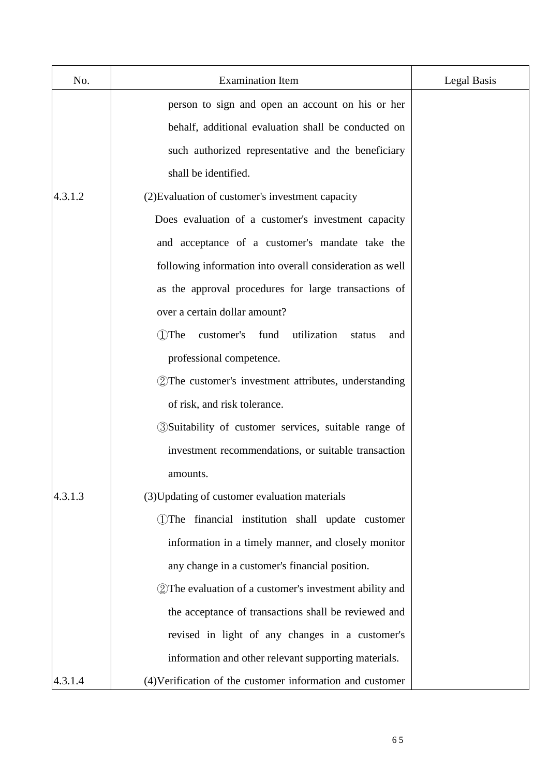| No.     | <b>Examination Item</b>                                     | Legal Basis |
|---------|-------------------------------------------------------------|-------------|
|         | person to sign and open an account on his or her            |             |
|         | behalf, additional evaluation shall be conducted on         |             |
|         | such authorized representative and the beneficiary          |             |
|         | shall be identified.                                        |             |
| 4.3.1.2 | (2) Evaluation of customer's investment capacity            |             |
|         | Does evaluation of a customer's investment capacity         |             |
|         | and acceptance of a customer's mandate take the             |             |
|         | following information into overall consideration as well    |             |
|         | as the approval procedures for large transactions of        |             |
|         | over a certain dollar amount?                               |             |
|         | utilization<br>1)The<br>customer's<br>fund<br>status<br>and |             |
|         | professional competence.                                    |             |
|         | 2 The customer's investment attributes, understanding       |             |
|         | of risk, and risk tolerance.                                |             |
|         | 3) Suitability of customer services, suitable range of      |             |
|         | investment recommendations, or suitable transaction         |             |
|         | amounts.                                                    |             |
| 4.3.1.3 | (3) Updating of customer evaluation materials               |             |
|         | 1) The financial institution shall update customer          |             |
|         | information in a timely manner, and closely monitor         |             |
|         | any change in a customer's financial position.              |             |
|         | 2) The evaluation of a customer's investment ability and    |             |
|         | the acceptance of transactions shall be reviewed and        |             |
|         | revised in light of any changes in a customer's             |             |
|         | information and other relevant supporting materials.        |             |
| 4.3.1.4 | (4) Verification of the customer information and customer   |             |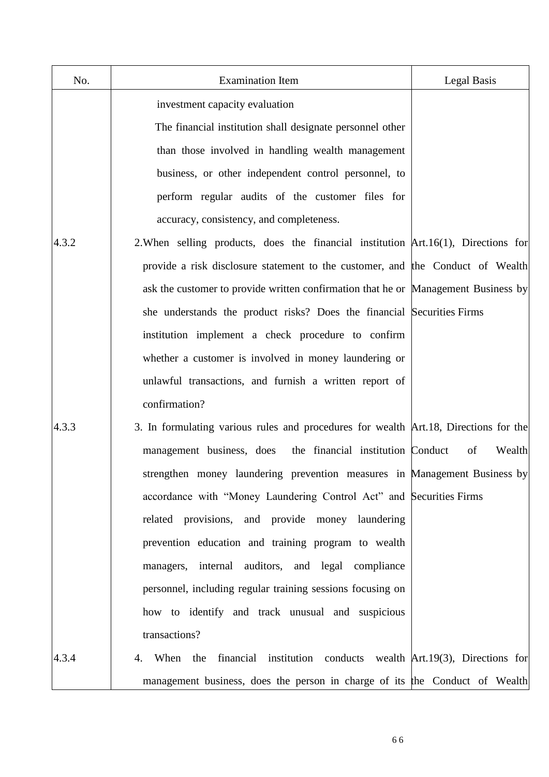| No.   | <b>Examination Item</b>                                                              | <b>Legal Basis</b> |
|-------|--------------------------------------------------------------------------------------|--------------------|
|       | investment capacity evaluation                                                       |                    |
|       | The financial institution shall designate personnel other                            |                    |
|       | than those involved in handling wealth management                                    |                    |
|       | business, or other independent control personnel, to                                 |                    |
|       | perform regular audits of the customer files for                                     |                    |
|       | accuracy, consistency, and completeness.                                             |                    |
| 4.3.2 | 2. When selling products, does the financial institution Art. 16(1), Directions for  |                    |
|       | provide a risk disclosure statement to the customer, and the Conduct of Wealth       |                    |
|       | ask the customer to provide written confirmation that he or Management Business by   |                    |
|       | she understands the product risks? Does the financial Securities Firms               |                    |
|       | institution implement a check procedure to confirm                                   |                    |
|       | whether a customer is involved in money laundering or                                |                    |
|       | unlawful transactions, and furnish a written report of                               |                    |
|       | confirmation?                                                                        |                    |
| 4.3.3 | 3. In formulating various rules and procedures for wealth Art.18, Directions for the |                    |
|       | management business, does the financial institution Conduct                          | of<br>Wealth       |
|       | strengthen money laundering prevention measures in Management Business by            |                    |
|       | accordance with "Money Laundering Control Act" and Securities Firms                  |                    |
|       | related provisions, and provide money laundering                                     |                    |
|       | prevention education and training program to wealth                                  |                    |
|       | managers, internal auditors, and legal compliance                                    |                    |
|       | personnel, including regular training sessions focusing on                           |                    |
|       | how to identify and track unusual and suspicious                                     |                    |
|       | transactions?                                                                        |                    |
| 4.3.4 | When the financial institution conducts wealth Art.19(3), Directions for<br>4.       |                    |
|       | management business, does the person in charge of its the Conduct of Wealth          |                    |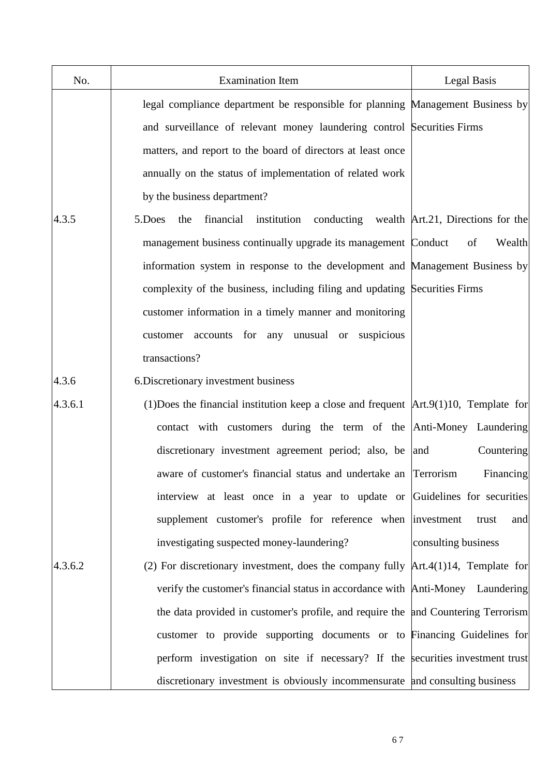| No.     | <b>Examination Item</b>                                                                  | Legal Basis                                  |
|---------|------------------------------------------------------------------------------------------|----------------------------------------------|
|         | legal compliance department be responsible for planning Management Business by           |                                              |
|         | and surveillance of relevant money laundering control Securities Firms                   |                                              |
|         | matters, and report to the board of directors at least once                              |                                              |
|         | annually on the status of implementation of related work                                 |                                              |
|         | by the business department?                                                              |                                              |
| 4.3.5   | financial<br>institution<br>5.Does<br>the                                                | conducting wealth Art.21, Directions for the |
|         | management business continually upgrade its management Conduct                           | of<br>Wealth                                 |
|         | information system in response to the development and Management Business by             |                                              |
|         | complexity of the business, including filing and updating Securities Firms               |                                              |
|         | customer information in a timely manner and monitoring                                   |                                              |
|         | customer accounts for any unusual or suspicious                                          |                                              |
|         | transactions?                                                                            |                                              |
| 4.3.6   | 6. Discretionary investment business                                                     |                                              |
| 4.3.6.1 | (1) Does the financial institution keep a close and frequent $Art.9(1)10$ , Template for |                                              |
|         | contact with customers during the term of the Anti-Money Laundering                      |                                              |
|         | discretionary investment agreement period; also, be and                                  | Countering                                   |
|         | aware of customer's financial status and undertake an Terrorism                          | Financing                                    |
|         | interview at least once in a year to update or Guidelines for securities                 |                                              |
|         | supplement customer's profile for reference when investment                              | and<br>trust                                 |
|         | investigating suspected money-laundering?                                                | consulting business                          |
| 4.3.6.2 | (2) For discretionary investment, does the company fully $Art.4(1)14$ , Template for     |                                              |
|         | verify the customer's financial status in accordance with Anti-Money Laundering          |                                              |
|         | the data provided in customer's profile, and require the and Countering Terrorism        |                                              |
|         | customer to provide supporting documents or to Financing Guidelines for                  |                                              |
|         | perform investigation on site if necessary? If the securities investment trust           |                                              |
|         | discretionary investment is obviously incommensurate and consulting business             |                                              |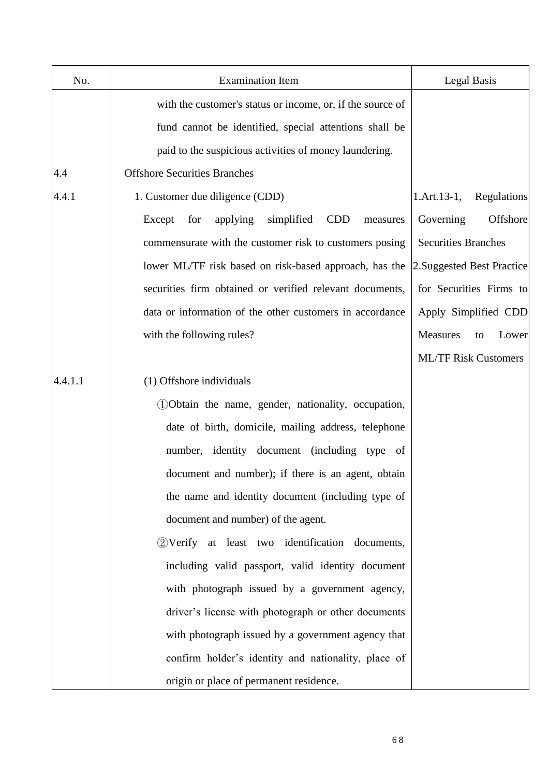| No.     | <b>Examination Item</b>                                           | <b>Legal Basis</b>               |
|---------|-------------------------------------------------------------------|----------------------------------|
|         | with the customer's status or income, or, if the source of        |                                  |
|         | fund cannot be identified, special attentions shall be            |                                  |
|         | paid to the suspicious activities of money laundering.            |                                  |
| 4.4     | <b>Offshore Securities Branches</b>                               |                                  |
| 4.4.1   | 1. Customer due diligence (CDD)                                   | $1.$ Art. $13-1,$<br>Regulations |
|         | Except<br>applying<br>simplified<br><b>CDD</b><br>for<br>measures | Governing<br>Offshore            |
|         | commensurate with the customer risk to customers posing           | <b>Securities Branches</b>       |
|         | lower ML/TF risk based on risk-based approach, has the            | 2. Suggested Best Practice       |
|         | securities firm obtained or verified relevant documents,          | for Securities Firms to          |
|         | data or information of the other customers in accordance          | Apply Simplified CDD             |
|         | with the following rules?                                         | Measures<br>Lower<br>to          |
|         |                                                                   | <b>ML/TF Risk Customers</b>      |
| 4.4.1.1 | (1) Offshore individuals                                          |                                  |
|         | DObtain the name, gender, nationality, occupation,                |                                  |
|         | date of birth, domicile, mailing address, telephone               |                                  |
|         | number, identity document (including type of                      |                                  |
|         | document and number); if there is an agent, obtain                |                                  |
|         | the name and identity document (including type of                 |                                  |
|         | document and number) of the agent.                                |                                  |
|         | 2) Verify at least two identification documents,                  |                                  |
|         | including valid passport, valid identity document                 |                                  |
|         | with photograph issued by a government agency,                    |                                  |
|         | driver's license with photograph or other documents               |                                  |
|         | with photograph issued by a government agency that                |                                  |
|         | confirm holder's identity and nationality, place of               |                                  |
|         | origin or place of permanent residence.                           |                                  |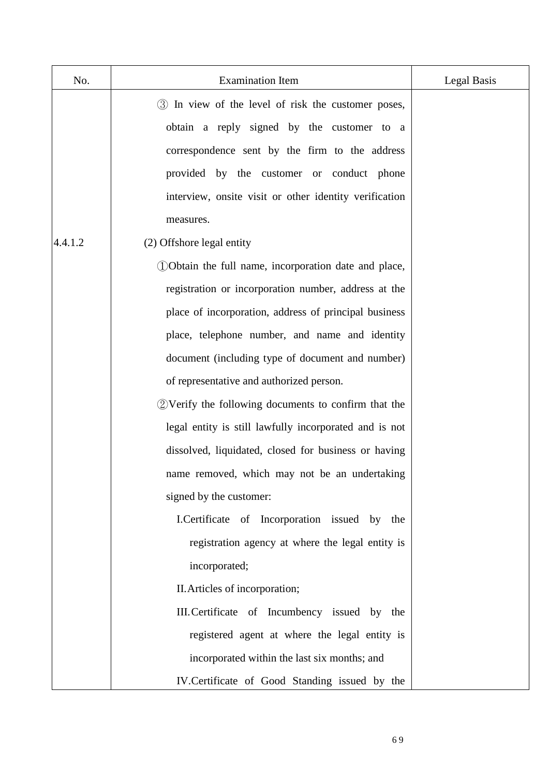| No.     | <b>Examination Item</b>                                 | <b>Legal Basis</b> |
|---------|---------------------------------------------------------|--------------------|
|         | 3 In view of the level of risk the customer poses,      |                    |
|         | obtain a reply signed by the customer to a              |                    |
|         | correspondence sent by the firm to the address          |                    |
|         | provided by the customer or conduct phone               |                    |
|         | interview, onsite visit or other identity verification  |                    |
|         | measures.                                               |                    |
| 4.4.1.2 | (2) Offshore legal entity                               |                    |
|         | 100 Obtain the full name, incorporation date and place, |                    |
|         | registration or incorporation number, address at the    |                    |
|         | place of incorporation, address of principal business   |                    |
|         | place, telephone number, and name and identity          |                    |
|         | document (including type of document and number)        |                    |
|         | of representative and authorized person.                |                    |
|         | 2) Verify the following documents to confirm that the   |                    |
|         | legal entity is still lawfully incorporated and is not  |                    |
|         | dissolved, liquidated, closed for business or having    |                    |
|         | name removed, which may not be an undertaking           |                    |
|         | signed by the customer:                                 |                    |
|         | I.Certificate of Incorporation issued by the            |                    |
|         | registration agency at where the legal entity is        |                    |
|         | incorporated;                                           |                    |
|         | II. Articles of incorporation;                          |                    |
|         | III. Certificate of Incumbency issued by the            |                    |
|         | registered agent at where the legal entity is           |                    |
|         | incorporated within the last six months; and            |                    |
|         | IV. Certificate of Good Standing issued by the          |                    |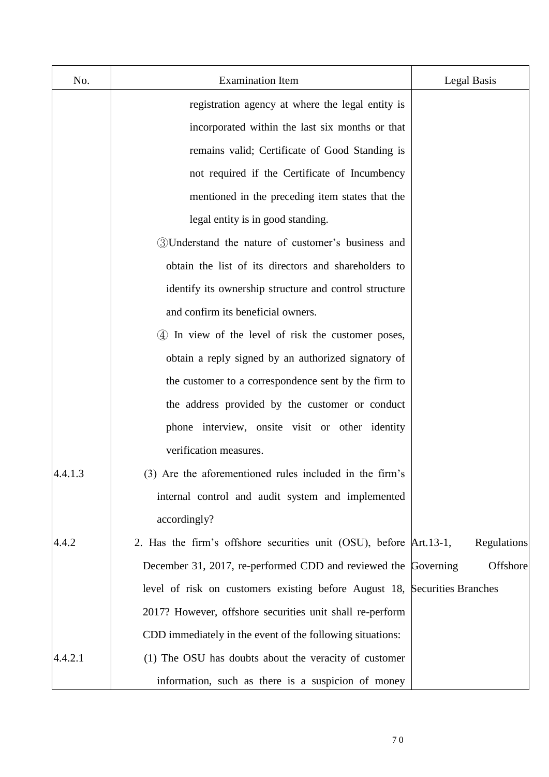| No.     | <b>Examination Item</b>                                                   | Legal Basis |
|---------|---------------------------------------------------------------------------|-------------|
|         | registration agency at where the legal entity is                          |             |
|         | incorporated within the last six months or that                           |             |
|         | remains valid; Certificate of Good Standing is                            |             |
|         | not required if the Certificate of Incumbency                             |             |
|         | mentioned in the preceding item states that the                           |             |
|         | legal entity is in good standing.                                         |             |
|         | 3) Understand the nature of customer's business and                       |             |
|         | obtain the list of its directors and shareholders to                      |             |
|         | identify its ownership structure and control structure                    |             |
|         | and confirm its beneficial owners.                                        |             |
|         | 4) In view of the level of risk the customer poses,                       |             |
|         | obtain a reply signed by an authorized signatory of                       |             |
|         | the customer to a correspondence sent by the firm to                      |             |
|         | the address provided by the customer or conduct                           |             |
|         | phone interview, onsite visit or other identity                           |             |
|         | verification measures.                                                    |             |
| 4.4.1.3 | (3) Are the aforementioned rules included in the firm's                   |             |
|         | internal control and audit system and implemented                         |             |
|         | accordingly?                                                              |             |
| 4.4.2   | 2. Has the firm's offshore securities unit (OSU), before Art.13-1,        | Regulations |
|         | December 31, 2017, re-performed CDD and reviewed the Governing            | Offshore    |
|         | level of risk on customers existing before August 18, Securities Branches |             |
|         | 2017? However, offshore securities unit shall re-perform                  |             |
|         | CDD immediately in the event of the following situations:                 |             |
| 4.4.2.1 | (1) The OSU has doubts about the veracity of customer                     |             |
|         | information, such as there is a suspicion of money                        |             |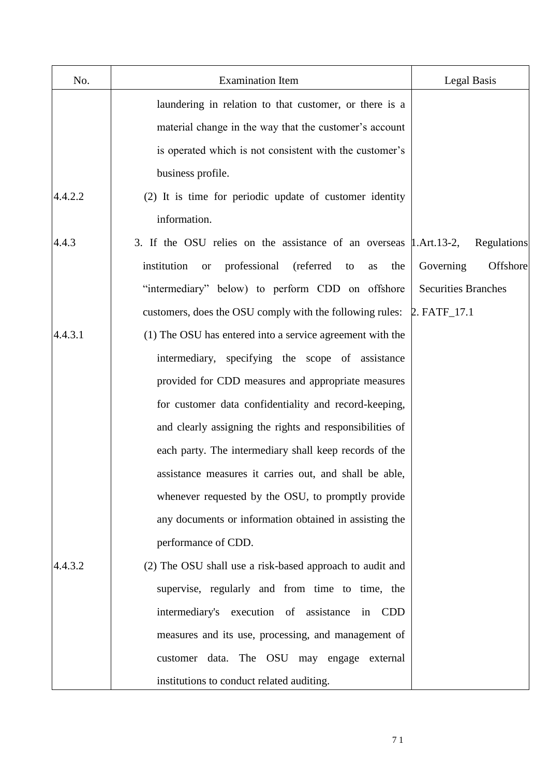| No.     | <b>Examination Item</b>                                                  | <b>Legal Basis</b>         |
|---------|--------------------------------------------------------------------------|----------------------------|
|         | laundering in relation to that customer, or there is a                   |                            |
|         | material change in the way that the customer's account                   |                            |
|         | is operated which is not consistent with the customer's                  |                            |
|         | business profile.                                                        |                            |
| 4.4.2.2 | (2) It is time for periodic update of customer identity                  |                            |
|         | information.                                                             |                            |
| 4.4.3   | 3. If the OSU relies on the assistance of an overseas $\mu$ . Art. 13-2, | Regulations                |
|         | institution<br>professional<br>(referred<br>to<br>the<br><b>or</b><br>as | Offshore<br>Governing      |
|         | "intermediary" below) to perform CDD on offshore                         | <b>Securities Branches</b> |
|         | customers, does the OSU comply with the following rules:                 | 2. FATF_17.1               |
| 4.4.3.1 | (1) The OSU has entered into a service agreement with the                |                            |
|         | intermediary, specifying the scope of assistance                         |                            |
|         | provided for CDD measures and appropriate measures                       |                            |
|         | for customer data confidentiality and record-keeping,                    |                            |
|         | and clearly assigning the rights and responsibilities of                 |                            |
|         | each party. The intermediary shall keep records of the                   |                            |
|         | assistance measures it carries out, and shall be able,                   |                            |
|         | whenever requested by the OSU, to promptly provide                       |                            |
|         | any documents or information obtained in assisting the                   |                            |
|         | performance of CDD.                                                      |                            |
| 4.4.3.2 | (2) The OSU shall use a risk-based approach to audit and                 |                            |
|         | supervise, regularly and from time to time, the                          |                            |
|         | intermediary's execution of assistance in CDD                            |                            |
|         | measures and its use, processing, and management of                      |                            |
|         | customer data. The OSU may engage external                               |                            |
|         | institutions to conduct related auditing.                                |                            |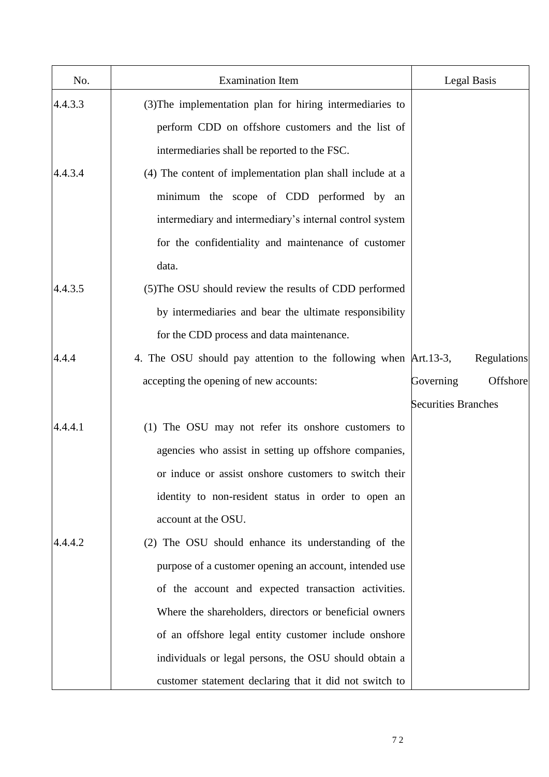| No.     | <b>Examination Item</b>                                         | Legal Basis                |             |
|---------|-----------------------------------------------------------------|----------------------------|-------------|
| 4.4.3.3 | (3) The implementation plan for hiring intermediaries to        |                            |             |
|         | perform CDD on offshore customers and the list of               |                            |             |
|         | intermediaries shall be reported to the FSC.                    |                            |             |
| 4.4.3.4 | (4) The content of implementation plan shall include at a       |                            |             |
|         | minimum the scope of CDD performed by an                        |                            |             |
|         | intermediary and intermediary's internal control system         |                            |             |
|         | for the confidentiality and maintenance of customer             |                            |             |
|         | data.                                                           |                            |             |
| 4.4.3.5 | (5) The OSU should review the results of CDD performed          |                            |             |
|         | by intermediaries and bear the ultimate responsibility          |                            |             |
|         | for the CDD process and data maintenance.                       |                            |             |
| 4.4.4   | 4. The OSU should pay attention to the following when Art.13-3, |                            | Regulations |
|         | accepting the opening of new accounts:                          | Governing                  | Offshore    |
|         |                                                                 | <b>Securities Branches</b> |             |
| 4.4.4.1 | (1) The OSU may not refer its onshore customers to              |                            |             |
|         | agencies who assist in setting up offshore companies,           |                            |             |
|         | or induce or assist onshore customers to switch their           |                            |             |
|         | identity to non-resident status in order to open an             |                            |             |
|         | account at the OSU.                                             |                            |             |
| 4.4.4.2 | (2) The OSU should enhance its understanding of the             |                            |             |
|         | purpose of a customer opening an account, intended use          |                            |             |
|         | of the account and expected transaction activities.             |                            |             |
|         | Where the shareholders, directors or beneficial owners          |                            |             |
|         | of an offshore legal entity customer include onshore            |                            |             |
|         | individuals or legal persons, the OSU should obtain a           |                            |             |
|         | customer statement declaring that it did not switch to          |                            |             |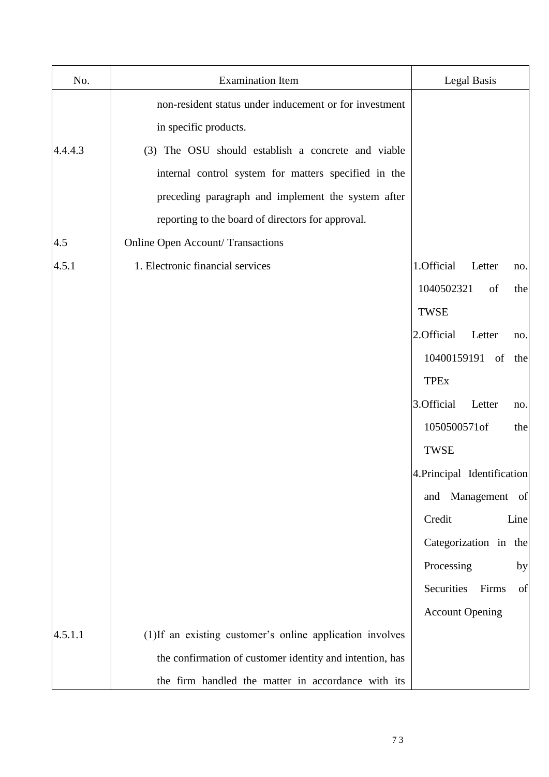| No.     | <b>Examination Item</b>                                  | Legal Basis                 |
|---------|----------------------------------------------------------|-----------------------------|
|         | non-resident status under inducement or for investment   |                             |
|         | in specific products.                                    |                             |
| 4.4.4.3 | (3) The OSU should establish a concrete and viable       |                             |
|         | internal control system for matters specified in the     |                             |
|         | preceding paragraph and implement the system after       |                             |
|         | reporting to the board of directors for approval.        |                             |
| 4.5     | <b>Online Open Account/Transactions</b>                  |                             |
| 4.5.1   | 1. Electronic financial services                         | 1.Official<br>Letter<br>no. |
|         |                                                          | 1040502321<br>of<br>the     |
|         |                                                          | TWSE                        |
|         |                                                          | 2.Official<br>Letter<br>no. |
|         |                                                          | 10400159191<br>of<br>the    |
|         |                                                          | <b>TPEx</b>                 |
|         |                                                          | 3.Official<br>Letter<br>no. |
|         |                                                          | 1050500571of<br>the         |
|         |                                                          | <b>TWSE</b>                 |
|         |                                                          | 4. Principal Identification |
|         |                                                          | and Management<br>of        |
|         |                                                          | Credit<br>Line              |
|         |                                                          | Categorization in the       |
|         |                                                          | Processing<br>by            |
|         |                                                          | Securities<br>Firms<br>of   |
|         |                                                          | <b>Account Opening</b>      |
| 4.5.1.1 | (1)If an existing customer's online application involves |                             |
|         | the confirmation of customer identity and intention, has |                             |
|         | the firm handled the matter in accordance with its       |                             |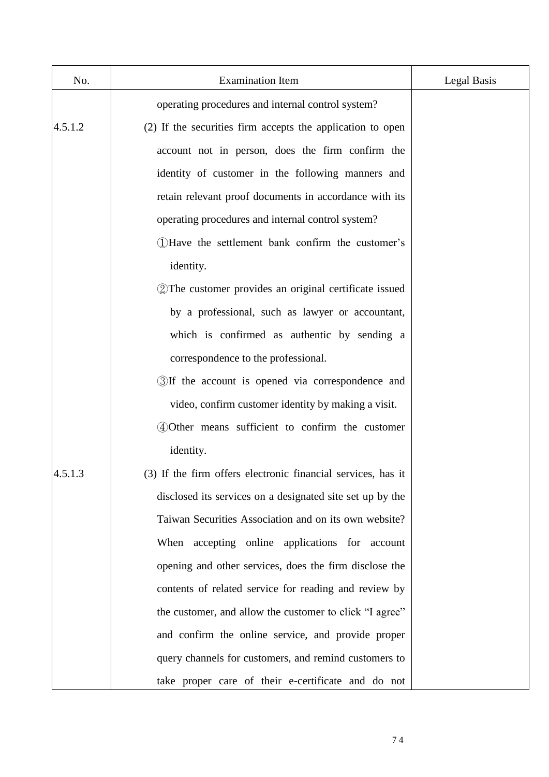| No.     | <b>Examination Item</b>                                      | Legal Basis |
|---------|--------------------------------------------------------------|-------------|
|         | operating procedures and internal control system?            |             |
| 4.5.1.2 | (2) If the securities firm accepts the application to open   |             |
|         | account not in person, does the firm confirm the             |             |
|         | identity of customer in the following manners and            |             |
|         | retain relevant proof documents in accordance with its       |             |
|         | operating procedures and internal control system?            |             |
|         | (1) Have the settlement bank confirm the customer's          |             |
|         | identity.                                                    |             |
|         | 2 The customer provides an original certificate issued       |             |
|         | by a professional, such as lawyer or accountant,             |             |
|         | which is confirmed as authentic by sending a                 |             |
|         | correspondence to the professional.                          |             |
|         | 3If the account is opened via correspondence and             |             |
|         | video, confirm customer identity by making a visit.          |             |
|         | 4 Other means sufficient to confirm the customer             |             |
|         | identity.                                                    |             |
| 4.5.1.3 | (3) If the firm offers electronic financial services, has it |             |
|         | disclosed its services on a designated site set up by the    |             |
|         | Taiwan Securities Association and on its own website?        |             |
|         | When accepting online applications for account               |             |
|         | opening and other services, does the firm disclose the       |             |
|         | contents of related service for reading and review by        |             |
|         | the customer, and allow the customer to click "I agree"      |             |
|         | and confirm the online service, and provide proper           |             |
|         | query channels for customers, and remind customers to        |             |
|         | take proper care of their e-certificate and do not           |             |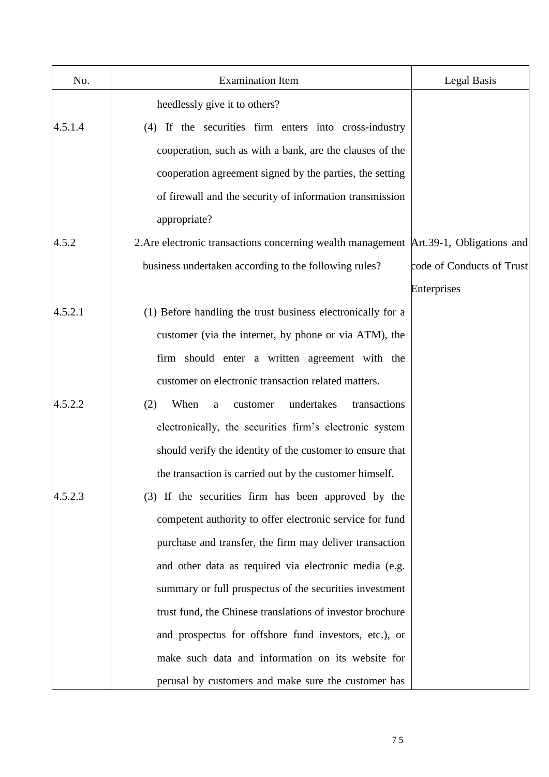| No.     | <b>Examination Item</b>                                                                | Legal Basis               |
|---------|----------------------------------------------------------------------------------------|---------------------------|
|         | heedlessly give it to others?                                                          |                           |
| 4.5.1.4 | (4) If the securities firm enters into cross-industry                                  |                           |
|         | cooperation, such as with a bank, are the clauses of the                               |                           |
|         | cooperation agreement signed by the parties, the setting                               |                           |
|         | of firewall and the security of information transmission                               |                           |
|         | appropriate?                                                                           |                           |
| 4.5.2   | 2. Are electronic transactions concerning wealth management Art. 39-1, Obligations and |                           |
|         | business undertaken according to the following rules?                                  | code of Conducts of Trust |
|         |                                                                                        | Enterprises               |
| 4.5.2.1 | (1) Before handling the trust business electronically for a                            |                           |
|         | customer (via the internet, by phone or via ATM), the                                  |                           |
|         | firm should enter a written agreement with the                                         |                           |
|         | customer on electronic transaction related matters.                                    |                           |
| 4.5.2.2 | When<br>undertakes<br>(2)<br>transactions<br>customer<br>a                             |                           |
|         | electronically, the securities firm's electronic system                                |                           |
|         | should verify the identity of the customer to ensure that                              |                           |
|         | the transaction is carried out by the customer himself.                                |                           |
| 4.5.2.3 | (3) If the securities firm has been approved by the                                    |                           |
|         | competent authority to offer electronic service for fund                               |                           |
|         | purchase and transfer, the firm may deliver transaction                                |                           |
|         | and other data as required via electronic media (e.g.                                  |                           |
|         | summary or full prospectus of the securities investment                                |                           |
|         | trust fund, the Chinese translations of investor brochure                              |                           |
|         | and prospectus for offshore fund investors, etc.), or                                  |                           |
|         | make such data and information on its website for                                      |                           |
|         | perusal by customers and make sure the customer has                                    |                           |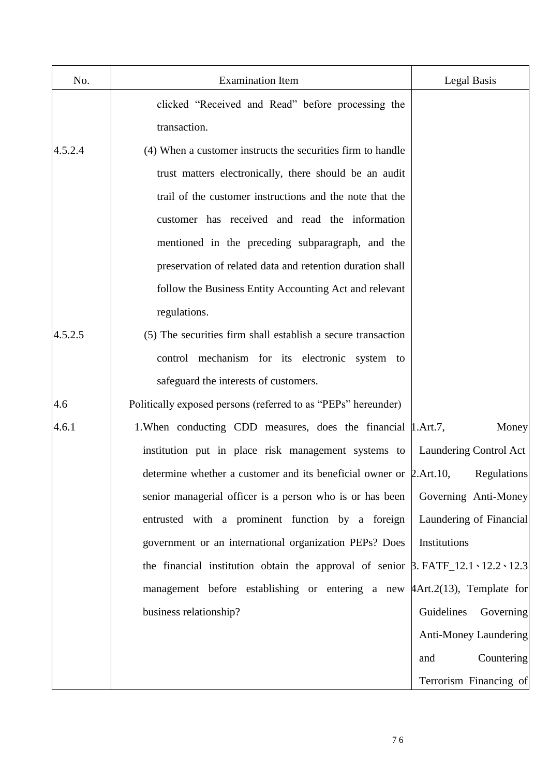| No.     | <b>Examination Item</b>                                                                           | Legal Basis             |
|---------|---------------------------------------------------------------------------------------------------|-------------------------|
|         | clicked "Received and Read" before processing the                                                 |                         |
|         | transaction.                                                                                      |                         |
| 4.5.2.4 | (4) When a customer instructs the securities firm to handle                                       |                         |
|         | trust matters electronically, there should be an audit                                            |                         |
|         | trail of the customer instructions and the note that the                                          |                         |
|         | customer has received and read the information                                                    |                         |
|         | mentioned in the preceding subparagraph, and the                                                  |                         |
|         | preservation of related data and retention duration shall                                         |                         |
|         | follow the Business Entity Accounting Act and relevant                                            |                         |
|         | regulations.                                                                                      |                         |
| 4.5.2.5 | (5) The securities firm shall establish a secure transaction                                      |                         |
|         | control mechanism for its electronic system to                                                    |                         |
|         | safeguard the interests of customers.                                                             |                         |
| 4.6     | Politically exposed persons (referred to as "PEPs" hereunder)                                     |                         |
| 4.6.1   | 1. When conducting CDD measures, does the financial   1. Art. 7,                                  | Money                   |
|         | institution put in place risk management systems to   Laundering Control Act                      |                         |
|         | determine whether a customer and its beneficial owner or 2.Art.10,                                | Regulations             |
|         | senior managerial officer is a person who is or has been                                          | Governing Anti-Money    |
|         | entrusted with a prominent function by a foreign                                                  | Laundering of Financial |
|         | government or an international organization PEPs? Does                                            | Institutions            |
|         | the financial institution obtain the approval of senior $\beta$ . FATF_12.1 \cdot 12.2 \cdot 12.3 |                         |
|         | management before establishing or entering a new $\frac{4Art.2(13)}{art.2(13)}$ , Template for    |                         |
|         | business relationship?                                                                            | Guidelines<br>Governing |
|         |                                                                                                   | Anti-Money Laundering   |
|         |                                                                                                   | Countering<br>and       |
|         |                                                                                                   | Terrorism Financing of  |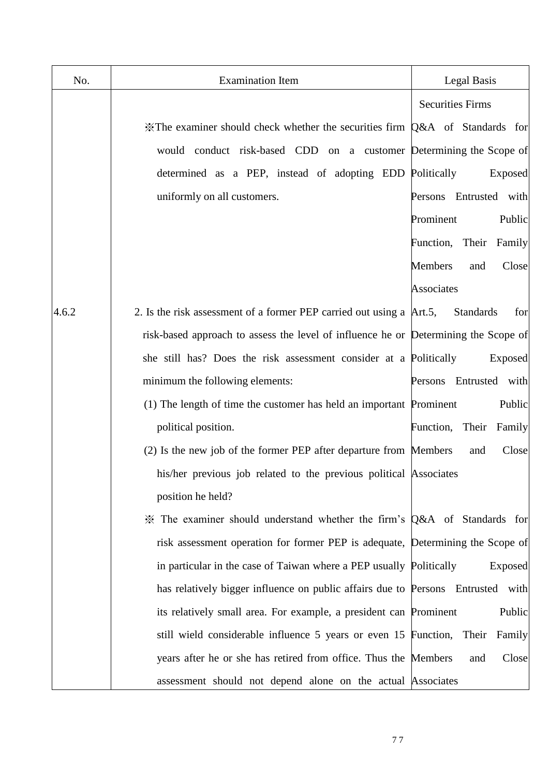| No.   | <b>Examination Item</b>                                                                    | Legal Basis                    |
|-------|--------------------------------------------------------------------------------------------|--------------------------------|
|       |                                                                                            | <b>Securities Firms</b>        |
|       | $\mathcal K$ The examiner should check whether the securities firm $Q\&A$ of Standards for |                                |
|       | would conduct risk-based CDD on a customer Determining the Scope of                        |                                |
|       | determined as a PEP, instead of adopting EDD Politically                                   | Exposed                        |
|       | uniformly on all customers.                                                                | Entrusted with<br>Persons      |
|       |                                                                                            | Prominent<br>Public            |
|       |                                                                                            | Function, Their<br>Family      |
|       |                                                                                            | <b>Members</b><br>Close<br>and |
|       |                                                                                            | Associates                     |
| 4.6.2 | 2. Is the risk assessment of a former PEP carried out using a Art.5,                       | <b>Standards</b><br>for        |
|       | risk-based approach to assess the level of influence he or Determining the Scope of        |                                |
|       | she still has? Does the risk assessment consider at a Politically                          | Exposed                        |
|       | minimum the following elements:                                                            | Persons Entrusted with         |
|       | (1) The length of time the customer has held an important Prominent                        | Public                         |
|       | political position.                                                                        | Function,<br>Their<br>Family   |
|       | (2) Is the new job of the former PEP after departure from Members                          | Close<br>and                   |
|       | his/her previous job related to the previous political Associates                          |                                |
|       | position he held?                                                                          |                                |
|       | * The examiner should understand whether the firm's Q&A of Standards for                   |                                |
|       | risk assessment operation for former PEP is adequate, Determining the Scope of             |                                |
|       | in particular in the case of Taiwan where a PEP usually Politically                        | Exposed                        |
|       | has relatively bigger influence on public affairs due to Persons Entrusted with            |                                |
|       | its relatively small area. For example, a president can Prominent                          | Public                         |
|       | still wield considerable influence 5 years or even 15 Function,                            | Their<br>Family                |
|       | years after he or she has retired from office. Thus the Members                            | Close<br>and                   |
|       | assessment should not depend alone on the actual Associates                                |                                |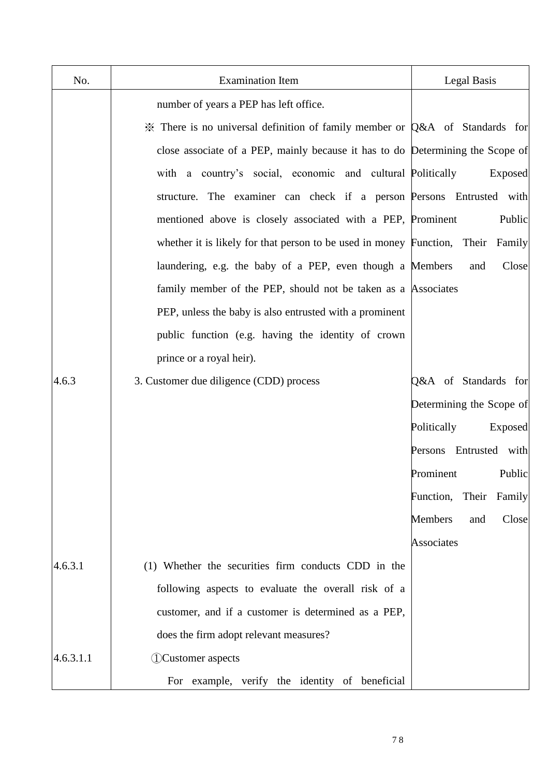| No.       | <b>Examination Item</b>                                                         | <b>Legal Basis</b>             |
|-----------|---------------------------------------------------------------------------------|--------------------------------|
|           | number of years a PEP has left office.                                          |                                |
|           | X There is no universal definition of family member or Q&A of Standards for     |                                |
|           | close associate of a PEP, mainly because it has to do Determining the Scope of  |                                |
|           | with a country's social, economic and cultural Politically                      | Exposed                        |
|           | structure. The examiner can check if a person Persons Entrusted with            |                                |
|           | mentioned above is closely associated with a PEP, Prominent                     | Public                         |
|           | whether it is likely for that person to be used in money Function, Their Family |                                |
|           | laundering, e.g. the baby of a PEP, even though a Members                       | Close<br>and                   |
|           | family member of the PEP, should not be taken as a Associates                   |                                |
|           | PEP, unless the baby is also entrusted with a prominent                         |                                |
|           | public function (e.g. having the identity of crown                              |                                |
|           | prince or a royal heir).                                                        |                                |
| 4.6.3     | 3. Customer due diligence (CDD) process                                         | Q&A of Standards for           |
|           |                                                                                 | Determining the Scope of       |
|           |                                                                                 | Politically<br>Exposed         |
|           |                                                                                 | Persons Entrusted with         |
|           |                                                                                 | <b>Public</b><br>Prominent     |
|           |                                                                                 | Function,<br>Their Family      |
|           |                                                                                 | <b>Members</b><br>Close<br>and |
|           |                                                                                 | Associates                     |
| 4.6.3.1   | (1) Whether the securities firm conducts CDD in the                             |                                |
|           | following aspects to evaluate the overall risk of a                             |                                |
|           | customer, and if a customer is determined as a PEP,                             |                                |
|           | does the firm adopt relevant measures?                                          |                                |
| 4.6.3.1.1 | <b><i><u>DCustomer</u></i></b> aspects                                          |                                |
|           | For example, verify the identity of beneficial                                  |                                |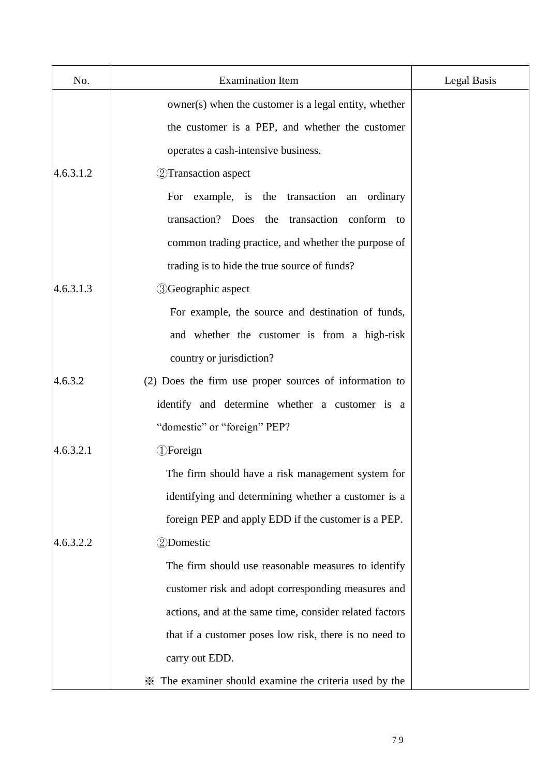| No.       | <b>Examination Item</b>                                 | Legal Basis |
|-----------|---------------------------------------------------------|-------------|
|           | owner(s) when the customer is a legal entity, whether   |             |
|           | the customer is a PEP, and whether the customer         |             |
|           | operates a cash-intensive business.                     |             |
| 4.6.3.1.2 | 2 Transaction aspect                                    |             |
|           | For example, is the transaction<br>an ordinary          |             |
|           | transaction? Does the transaction conform to            |             |
|           | common trading practice, and whether the purpose of     |             |
|           | trading is to hide the true source of funds?            |             |
| 4.6.3.1.3 | <b>3</b> Geographic aspect                              |             |
|           | For example, the source and destination of funds,       |             |
|           | and whether the customer is from a high-risk            |             |
|           | country or jurisdiction?                                |             |
| 4.6.3.2   | (2) Does the firm use proper sources of information to  |             |
|           | identify and determine whether a customer is a          |             |
|           | "domestic" or "foreign" PEP?                            |             |
| 4.6.3.2.1 | <b>D</b> Foreign                                        |             |
|           | The firm should have a risk management system for       |             |
|           | identifying and determining whether a customer is a     |             |
|           | foreign PEP and apply EDD if the customer is a PEP.     |             |
| 4.6.3.2.2 | 2Domestic                                               |             |
|           | The firm should use reasonable measures to identify     |             |
|           | customer risk and adopt corresponding measures and      |             |
|           | actions, and at the same time, consider related factors |             |
|           | that if a customer poses low risk, there is no need to  |             |
|           | carry out EDD.                                          |             |
|           | * The examiner should examine the criteria used by the  |             |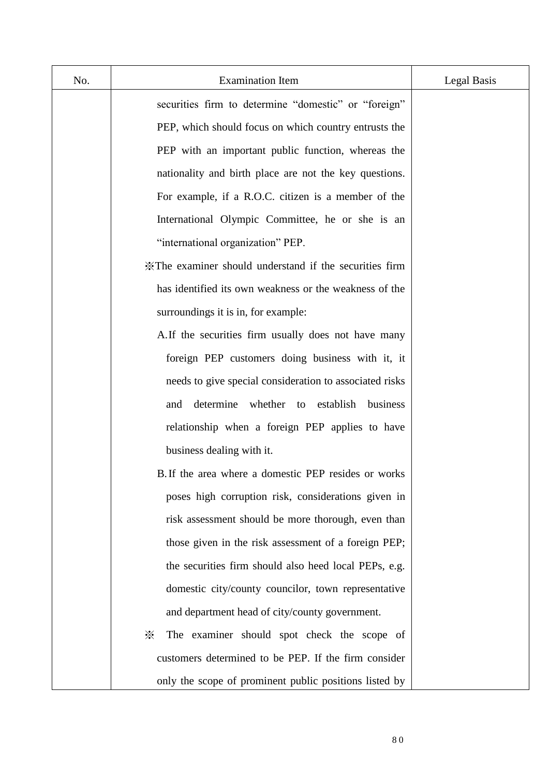| No. | <b>Examination Item</b>                                 | Legal Basis |
|-----|---------------------------------------------------------|-------------|
|     | securities firm to determine "domestic" or "foreign"    |             |
|     | PEP, which should focus on which country entrusts the   |             |
|     | PEP with an important public function, whereas the      |             |
|     | nationality and birth place are not the key questions.  |             |
|     | For example, if a R.O.C. citizen is a member of the     |             |
|     | International Olympic Committee, he or she is an        |             |
|     | "international organization" PEP.                       |             |
|     | X The examiner should understand if the securities firm |             |
|     | has identified its own weakness or the weakness of the  |             |
|     | surroundings it is in, for example:                     |             |
|     | A. If the securities firm usually does not have many    |             |
|     | foreign PEP customers doing business with it, it        |             |
|     | needs to give special consideration to associated risks |             |
|     | determine<br>whether to<br>establish<br>business<br>and |             |
|     | relationship when a foreign PEP applies to have         |             |
|     | business dealing with it.                               |             |
|     | B. If the area where a domestic PEP resides or works    |             |
|     | poses high corruption risk, considerations given in     |             |
|     | risk assessment should be more thorough, even than      |             |
|     | those given in the risk assessment of a foreign PEP;    |             |
|     | the securities firm should also heed local PEPs, e.g.   |             |
|     | domestic city/county councilor, town representative     |             |
|     | and department head of city/county government.          |             |
|     | The examiner should spot check the scope of<br>⋇        |             |
|     | customers determined to be PEP. If the firm consider    |             |
|     | only the scope of prominent public positions listed by  |             |